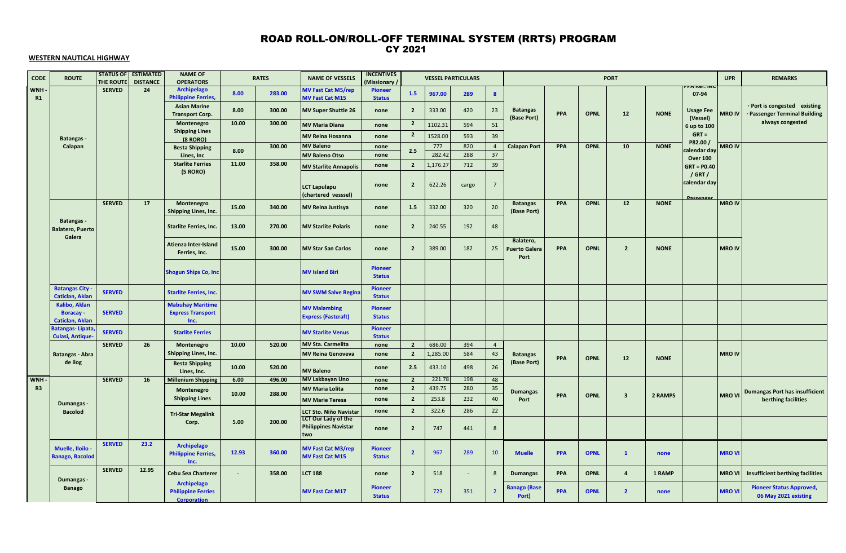### CY 2021 ROAD ROLL-ON/ROLL-OFF TERMINAL SYSTEM (RRTS) PROGRAM

### **WESTERN NAUTICAL HIGHWAY**

| CODE             | <b>ROUTE</b>                                          | <b>STATUS OF</b><br><b>THE ROUTE</b> | <b>ESTIMATED</b><br><b>DISTANCE</b> | <b>NAME OF</b><br><b>OPERATORS</b>                             |        | <b>RATES</b> | <b>NAME OF VESSELS</b>                               | <b>INCENTIVES</b><br>(Missionary |                |                | <b>VESSEL PARTICULARS</b> |                  |                                           |            |             | <b>PORT</b>             |             |                         | <b>UPR</b>    | <b>REMARKS</b>                                                |
|------------------|-------------------------------------------------------|--------------------------------------|-------------------------------------|----------------------------------------------------------------|--------|--------------|------------------------------------------------------|----------------------------------|----------------|----------------|---------------------------|------------------|-------------------------------------------|------------|-------------|-------------------------|-------------|-------------------------|---------------|---------------------------------------------------------------|
| <b>WNH</b><br>R1 |                                                       | <b>SERVED</b>                        | 24                                  | <b>Archipelago</b><br><b>Philippine Ferries,</b>               | 8.00   | 283.00       | <b>MV Fast Cat M5/rep</b><br>MV Fast Cat M15         | <b>Pioneer</b><br><b>Status</b>  | 1.5            | 967.00         | 289                       | $\boldsymbol{8}$ |                                           |            |             |                         |             | 07-94                   |               |                                                               |
|                  |                                                       |                                      |                                     | <b>Asian Marine</b><br><b>Transport Corp.</b>                  | 8.00   | 300.00       | <b>MV Super Shuttle 26</b>                           | none                             | $\overline{2}$ | 333.00         | 420                       | 23               | <b>Batangas</b><br>(Base Port)            | <b>PPA</b> | <b>OPNL</b> | 12                      | <b>NONE</b> | <b>Usage Fee</b>        | <b>MRO IV</b> | · Port is congested existing<br>· Passenger Terminal Building |
|                  |                                                       |                                      |                                     | Montenegro                                                     | 10.00  | 300.00       | <b>MV Maria Diana</b>                                | none                             | $\overline{2}$ | 1102.31        | 594                       | 51               |                                           |            |             |                         |             | (Vessel)<br>6 up to 100 |               | always congested                                              |
|                  | <b>Batangas</b> -                                     |                                      |                                     | <b>Shipping Lines</b><br>$(8$ RORO)                            |        |              | <b>MV Reina Hosanna</b>                              | none                             | $\overline{2}$ | 1528.00        | 593                       | 39               |                                           |            |             |                         |             | $GRT =$                 |               |                                                               |
|                  | Calapan                                               |                                      |                                     | <b>Besta Shipping</b>                                          | 8.00   | 300.00       | <b>MV Baleno</b>                                     | none                             | 2.5            | 777            | 820                       | $\overline{4}$   | <b>Calapan Port</b>                       | PPA        | <b>OPNL</b> | 10                      | <b>NONE</b> | P82.00 /<br>alendar day | <b>MRO IV</b> |                                                               |
|                  |                                                       |                                      |                                     | Lines, Inc                                                     |        |              | <b>MV Baleno Otso</b>                                | none                             |                | 282.4          | 288                       | 37               |                                           |            |             |                         |             | <b>Over 100</b>         |               |                                                               |
|                  |                                                       |                                      |                                     | <b>Starlite Ferries</b><br>(5 RORO)                            | 11.00  | 358.00       | <b>MV Starlite Annapolis</b>                         | none                             | $\overline{2}$ | 1,176.2        | 712                       | 39               |                                           |            |             |                         |             | $GRT = PO.40$           |               |                                                               |
|                  |                                                       |                                      |                                     |                                                                |        |              | <b>LCT Lapulapu</b><br>(chartered vesssel)           | none                             | $\overline{2}$ | 622.26         | cargo                     | $\overline{7}$   |                                           |            |             |                         |             | / GRT /<br>calendar day |               |                                                               |
|                  |                                                       | <b>SERVED</b>                        | 17                                  | Montenegro<br>Shipping Lines, Inc.                             | 15.00  | 340.00       | <b>MV Reina Justisya</b>                             | none                             | 1.5            | 332.00         | 320                       | 20               | <b>Batangas</b><br>(Base Port)            | PPA        | <b>OPNL</b> | 12                      | <b>NONE</b> |                         | <b>MRO IV</b> |                                                               |
|                  | <b>Batangas-</b><br><b>Balatero, Puerto</b><br>Galera |                                      |                                     | <b>Starlite Ferries, Inc.</b>                                  | 13.00  | 270.00       | <b>MV Starlite Polaris</b>                           | none                             | $\overline{2}$ | 240.55         | 192                       | 48               |                                           |            |             |                         |             |                         |               |                                                               |
|                  |                                                       |                                      |                                     | Atienza Inter-Island<br>Ferries, Inc.                          | 15.00  | 300.00       | <b>MV Star San Carlos</b>                            | none                             | $\overline{2}$ | 389.00         | 182                       | 25               | Balatero,<br><b>Puerto Galera</b><br>Port | <b>PPA</b> | <b>OPNL</b> | $\overline{2}$          | <b>NONE</b> |                         | <b>MRO IV</b> |                                                               |
|                  |                                                       |                                      |                                     | <b>Shogun Ships Co, Inc</b>                                    |        |              | <b>MV Island Biri</b>                                | <b>Pioneer</b><br><b>Status</b>  |                |                |                           |                  |                                           |            |             |                         |             |                         |               |                                                               |
|                  | <b>Batangas City</b><br>Caticlan, Aklan               | <b>SERVED</b>                        |                                     | <b>Starlite Ferries, Inc.</b>                                  |        |              | <b>MV SWM Salve Regina</b>                           | <b>Pioneer</b><br><b>Status</b>  |                |                |                           |                  |                                           |            |             |                         |             |                         |               |                                                               |
|                  | Kalibo, Aklan                                         |                                      |                                     | <b>Mabuhay Maritime</b>                                        |        |              | <b>MV Malambing</b>                                  | <b>Pioneer</b>                   |                |                |                           |                  |                                           |            |             |                         |             |                         |               |                                                               |
|                  | <b>Boracay -</b><br><b>Caticlan, Aklan</b>            | <b>SERVED</b>                        |                                     | <b>Express Transport</b><br>Inc.                               |        |              | <b>Express (Fastcraft)</b>                           | <b>Status</b>                    |                |                |                           |                  |                                           |            |             |                         |             |                         |               |                                                               |
|                  | <b>Batangas-Lipata</b><br><b>Culasi, Antique</b>      | <b>SERVED</b>                        |                                     | <b>Starlite Ferries</b>                                        |        |              | <b>MV Starlite Venus</b>                             | <b>Pioneer</b><br><b>Status</b>  |                |                |                           |                  |                                           |            |             |                         |             |                         |               |                                                               |
|                  |                                                       | <b>SERVED</b>                        | 26                                  | Montenegro                                                     | 10.00  | 520.00       | <b>MV Sta. Carmelita</b>                             | none                             | $\overline{2}$ | 686.00         | 394                       | $\overline{4}$   |                                           |            |             |                         |             |                         |               |                                                               |
|                  | <b>Batangas - Abra</b>                                |                                      |                                     | Shipping Lines, Inc.                                           |        |              | <b>MV Reina Genoveva</b>                             | none                             | $\overline{2}$ | 1,285.0        | 584                       | 43               | <b>Batangas</b>                           | <b>PPA</b> | <b>OPNL</b> | 12                      | <b>NONE</b> |                         | <b>MRO IV</b> |                                                               |
|                  | de ilog                                               |                                      |                                     | <b>Besta Shipping</b><br>Lines, Inc.                           | 10.00  | 520.00       | <b>MV Baleno</b>                                     | none                             | 2.5            | 433.10         | 498                       | 26               | (Base Port)                               |            |             |                         |             |                         |               |                                                               |
| <b>WNH</b>       |                                                       | <b>SERVED</b>                        | 16                                  | <b>Millenium Shipping</b>                                      | 6.00   | 496.00       | <b>MV Lakbayan Uno</b>                               | none                             | $\overline{2}$ | 221.7          | 198                       | 48               |                                           |            |             |                         |             |                         |               |                                                               |
| R3               |                                                       |                                      |                                     | Montenegro                                                     | 10.00  | 288.00       | <b>MV Maria Lolita</b>                               | none                             | $\overline{2}$ | 439.75         | 280                       | 35               | <b>Dumangas</b>                           | <b>PPA</b> | <b>OPNL</b> | $\overline{\mathbf{3}}$ | 2 RAMPS     |                         |               | MRO VI Dumangas Port has insufficient                         |
|                  | <b>Dumangas</b>                                       |                                      |                                     | <b>Shipping Lines</b>                                          |        |              | <b>MV Marie Teresa</b>                               | none                             | $\overline{2}$ | 253.8<br>322.6 | 232<br>286                | 40<br>22         | Port                                      |            |             |                         |             |                         |               | berthing facilities                                           |
|                  | <b>Bacolod</b>                                        |                                      |                                     | <b>Tri-Star Megalink</b>                                       |        |              | LCT Sto. Niño Navistar<br><b>LCT Our Lady of the</b> | none                             | $\overline{2}$ |                |                           |                  |                                           |            |             |                         |             |                         |               |                                                               |
|                  |                                                       |                                      |                                     | Corp.                                                          | 5.00   | 200.00       | <b>Philippines Navistar</b><br>two                   | none                             | $\overline{2}$ | 747            | 441                       | 8                |                                           |            |             |                         |             |                         |               |                                                               |
|                  | Muelle, Iloilo<br><b>Banago, Bacolod</b>              | <b>SERVED</b>                        | 23.2                                | Archipelago<br><b>Philippine Ferries,</b><br>Inc.              | 12.93  | 360.00       | <b>MV Fast Cat M3/rep</b><br><b>MV Fast Cat M15</b>  | <b>Pioneer</b><br><b>Status</b>  | $\overline{2}$ | 967            | 289                       | 10               | <b>Muelle</b>                             | <b>PPA</b> | <b>OPNL</b> | $\mathbf{1}$            | none        |                         | <b>MRO VI</b> |                                                               |
|                  |                                                       | <b>SERVED</b>                        | 12.95                               | <b>Cebu Sea Charterer</b>                                      | $\sim$ | 358.00       | <b>LCT 188</b>                                       | none                             | $\overline{2}$ | 518            | $\sim$                    | 8                | <b>Dumangas</b>                           | <b>PPA</b> | <b>OPNL</b> | $\overline{\mathbf{4}}$ | 1 RAMP      |                         | <b>MRO VI</b> | Insufficient berthing facilities                              |
|                  | Dumangas -<br><b>Banago</b>                           |                                      |                                     | Archipelago<br><b>Philippine Ferries</b><br><b>Corporation</b> |        |              | <b>MV Fast Cat M17</b>                               | <b>Pioneer</b><br><b>Status</b>  |                | 723            | 351                       | $\overline{2}$   | <b>Banago (Base</b><br>Port)              | <b>PPA</b> | <b>OPNL</b> | $\overline{2}$          | none        |                         | <b>MRO VI</b> | <b>Pioneer Status Approved,</b><br>06 May 2021 existing       |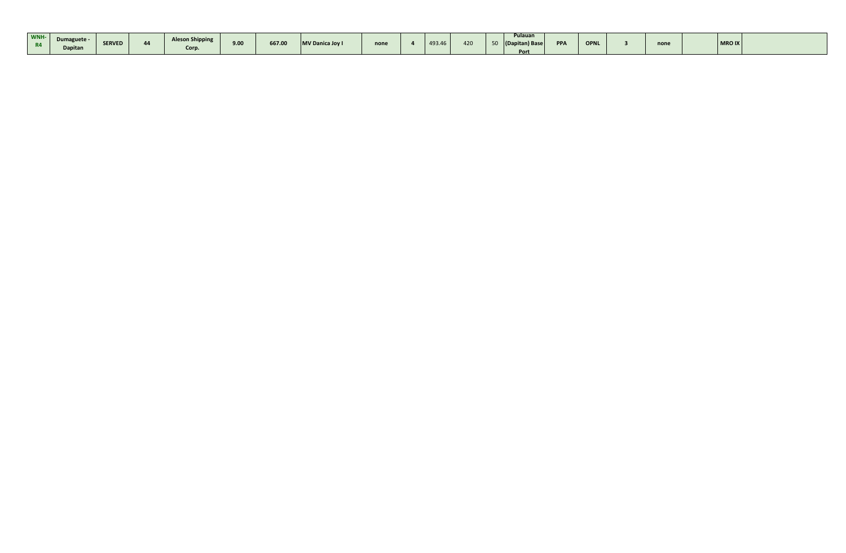| WNH-<br><b>R4</b> | Dumaguete -<br>Dapitan | <b>SERVED</b> | <b>Aleson Shipping</b><br>Corp | 0.00<br>J.UU | 667.00 | MV Danica Joy I | none | 493.46 | 420 | Pulauan<br>(Dapitan) Bas<br>$\blacksquare$ | <b>PPA</b> | <b>OPNL</b> | none | <b>MRO IX</b> |  |
|-------------------|------------------------|---------------|--------------------------------|--------------|--------|-----------------|------|--------|-----|--------------------------------------------|------------|-------------|------|---------------|--|
|                   |                        |               |                                |              |        |                 |      |        |     | Port                                       |            |             |      |               |  |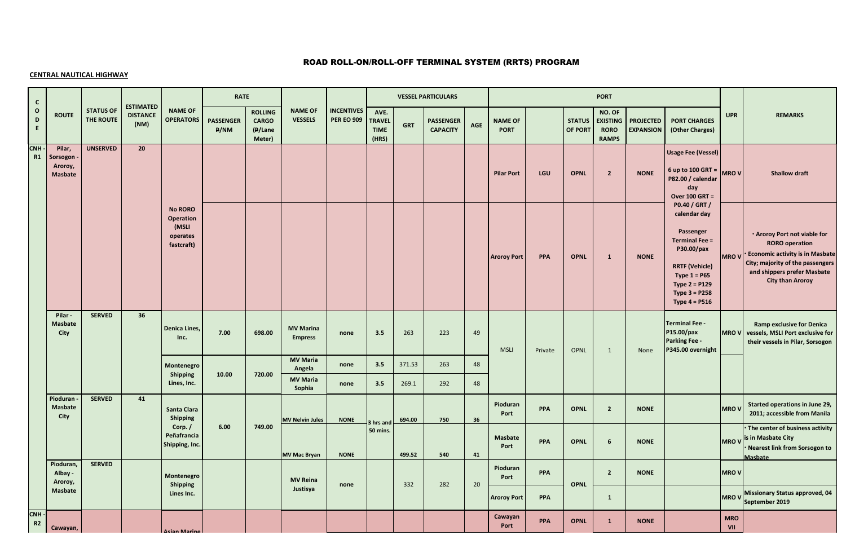# ROAD ROLL-ON/ROLL-OFF TERMINAL SYSTEM (RRTS) PROGRAM

### **CENTRAL NAUTICAL HIGHWAY**

| $\begin{array}{c} c \\ 0 \end{array}$ |                                            |                               |                                             |                                                                | <b>RATE</b>              |                                                     |                                    |                                        |                                               |            | <b>VESSEL PARTICULARS</b>           |            |                               |            |                                 | <b>PORT</b>                                              |                                      |                                                                                                                                                                                                       |                   |                                                                                                                                                                                               |
|---------------------------------------|--------------------------------------------|-------------------------------|---------------------------------------------|----------------------------------------------------------------|--------------------------|-----------------------------------------------------|------------------------------------|----------------------------------------|-----------------------------------------------|------------|-------------------------------------|------------|-------------------------------|------------|---------------------------------|----------------------------------------------------------|--------------------------------------|-------------------------------------------------------------------------------------------------------------------------------------------------------------------------------------------------------|-------------------|-----------------------------------------------------------------------------------------------------------------------------------------------------------------------------------------------|
| $\mathbf D$<br>$\mathsf{E}$           | <b>ROUTE</b>                               | <b>STATUS OF</b><br>THE ROUTE | <b>ESTIMATED</b><br><b>DISTANCE</b><br>(NM) | <b>NAME OF</b><br><b>OPERATORS</b>                             | <b>PASSENGER</b><br>P/NM | <b>ROLLING</b><br><b>CARGO</b><br>(P/Lane<br>Meter) | <b>NAME OF</b><br><b>VESSELS</b>   | <b>INCENTIVES</b><br><b>PER EO 909</b> | AVE.<br><b>TRAVEL</b><br><b>TIME</b><br>(HRS) | <b>GRT</b> | <b>PASSENGER</b><br><b>CAPACITY</b> | <b>AGE</b> | <b>NAME OF</b><br><b>PORT</b> |            | <b>STATUS</b><br><b>OF PORT</b> | NO. OF<br><b>EXISTING</b><br><b>RORO</b><br><b>RAMPS</b> | <b>PROJECTED</b><br><b>EXPANSION</b> | <b>PORT CHARGES</b><br>(Other Charges)                                                                                                                                                                | <b>UPR</b>        | <b>REMARKS</b>                                                                                                                                                                                |
| <b>CNH</b><br>R1                      | Pilar,<br>Sorsogon -<br>Aroroy,<br>Masbate | <b>UNSERVED</b>               | 20                                          |                                                                |                          |                                                     |                                    |                                        |                                               |            |                                     |            | <b>Pilar Port</b>             | LGU        | <b>OPNL</b>                     | $\overline{2}$                                           | <b>NONE</b>                          | <b>Usage Fee (Vessel)</b><br>6 up to 100 GRT = $MRO$ V<br>P82.00 / calendar<br>day<br><b>Over 100 GRT =</b>                                                                                           |                   | <b>Shallow draft</b>                                                                                                                                                                          |
|                                       |                                            |                               |                                             | <b>No RORO</b><br>Operation<br>(MSLI<br>operates<br>fastcraft) |                          |                                                     |                                    |                                        |                                               |            |                                     |            | <b>Aroroy Port</b>            | <b>PPA</b> | <b>OPNL</b>                     | $\mathbf{1}$                                             | <b>NONE</b>                          | P0.40 / GRT /<br>calendar day<br>Passenger<br><b>Terminal Fee =</b><br>P30.00/pax<br><b>RRTF (Vehicle)</b><br>Type $1 = P65$<br>Type 2 = P129<br><b>Type <math>3 = P258</math></b><br>Type $4 = P516$ | <b>MROV</b>       | . Aroroy Port not viable for<br><b>RORO</b> operation<br><b>Economic activity is in Masbate</b><br>City; majority of the passengers<br>and shippers prefer Masbate<br><b>City than Aroroy</b> |
|                                       | Pilar-<br>Masbate<br>City                  | <b>SERVED</b>                 | 36                                          | Denica Lines,<br>Inc.                                          | 7.00                     | 698.00                                              | <b>MV Marina</b><br><b>Empress</b> | none                                   | 3.5                                           | 263        | 223                                 | 49         | <b>MSLI</b>                   | Private    | <b>OPNL</b>                     | 1                                                        | None                                 | <b>Terminal Fee -</b><br>P15.00/pax<br><b>Parking Fee -</b><br>P345.00 overnight                                                                                                                      | <b>MROV</b>       | <b>Ramp exclusive for Denica</b><br>vessels, MSLI Port exclusive for<br>their vessels in Pilar, Sorsogon                                                                                      |
|                                       |                                            |                               |                                             | Montenegro<br><b>Shipping</b>                                  | 10.00                    | 720.00                                              | <b>MV Maria</b><br>Angela          | none                                   | 3.5                                           | 371.53     | 263                                 | 48         |                               |            |                                 |                                                          |                                      |                                                                                                                                                                                                       |                   |                                                                                                                                                                                               |
|                                       |                                            |                               |                                             | Lines, Inc.                                                    |                          |                                                     | <b>MV Maria</b><br>Sophia          | none                                   | 3.5                                           | 269.1      | 292                                 | 48         |                               |            |                                 |                                                          |                                      |                                                                                                                                                                                                       |                   |                                                                                                                                                                                               |
|                                       | Pioduran -<br>Masbate<br>City              | <b>SERVED</b>                 | 41                                          | Santa Clara<br>Shipping                                        |                          |                                                     | <b>MV Nelvin Jules</b>             | <b>NONE</b>                            | 3 hrs and                                     | 694.00     | 750                                 | 36         | Pioduran<br>Port              | <b>PPA</b> | <b>OPNL</b>                     | $\overline{2}$                                           | <b>NONE</b>                          |                                                                                                                                                                                                       | <b>MROV</b>       | Started operations in June 29,<br>2011; accessible from Manila                                                                                                                                |
|                                       |                                            |                               |                                             | Corp./<br>Peñafrancia<br>Shipping, Inc.                        | 6.00                     | 749.00                                              | <b>MV Mac Bryan</b>                | <b>NONE</b>                            | 50 mins.                                      | 499.52     | 540                                 | 41         | Masbate<br>Port               | <b>PPA</b> | <b>OPNL</b>                     | 6                                                        | <b>NONE</b>                          |                                                                                                                                                                                                       | <b>MROV</b>       | The center of business activity<br>is in Masbate City<br>Nearest link from Sorsogon to<br><b>Masbate</b>                                                                                      |
|                                       | Pioduran,<br>Albay -<br>Aroroy,            | <b>SERVED</b>                 |                                             | Montenegro                                                     |                          |                                                     | <b>MV Reina</b>                    |                                        |                                               |            |                                     |            | Pioduran<br>Port              | <b>PPA</b> |                                 | $\overline{2}$                                           | <b>NONE</b>                          |                                                                                                                                                                                                       | <b>MROV</b>       |                                                                                                                                                                                               |
|                                       | Masbate                                    |                               |                                             | <b>Shipping</b><br>Lines Inc.                                  |                          |                                                     | Justisya                           | none                                   |                                               | 332        | 282                                 | 20         | <b>Aroroy Port</b>            | PPA        | <b>OPNL</b>                     | $\mathbf{1}$                                             |                                      |                                                                                                                                                                                                       | <b>MROV</b>       | Missionary Status approved, 04<br>September 2019                                                                                                                                              |
| CNH -<br>R2                           | Cawayan,                                   |                               |                                             | Acian Marino                                                   |                          |                                                     |                                    |                                        |                                               |            |                                     |            | Cawayan<br>Port               | <b>PPA</b> | <b>OPNL</b>                     | $\mathbf{1}$                                             | <b>NONE</b>                          |                                                                                                                                                                                                       | <b>MRO</b><br>VII |                                                                                                                                                                                               |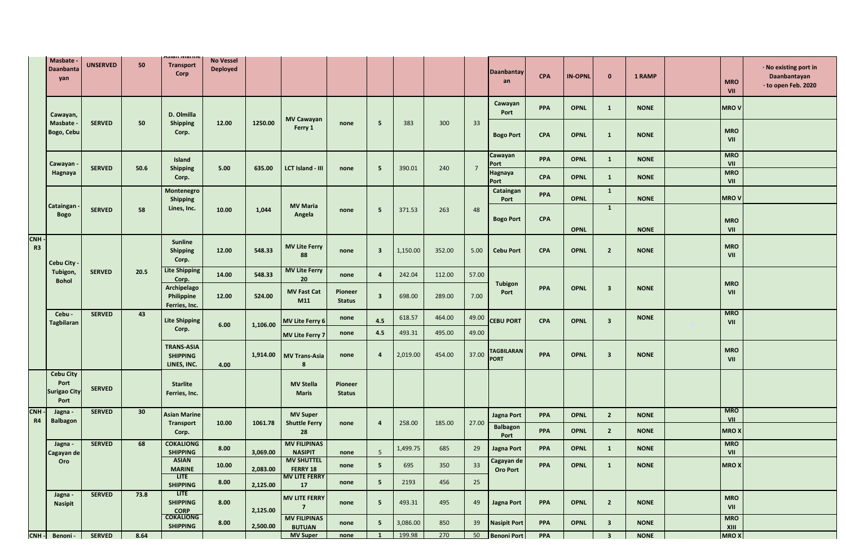|                              | <b>Masbate</b><br>Daanbanta<br>yan                      | <b>UNSERVED</b> | 50   | Məlafi ivlafilit<br><b>Transport</b><br>Corp               | <b>No Vessel</b><br><b>Deployed</b> |          |                                         |                          |                         |          |        |                | <b>Daanbantay</b><br>an          | <b>CPA</b> | <b>IN-OPNL</b> | $\Omega$                | 1 RAMP      | <b>MRO</b><br>VII  | · No existing port in<br>Daanbantayan<br>· to open Feb. 2020 |
|------------------------------|---------------------------------------------------------|-----------------|------|------------------------------------------------------------|-------------------------------------|----------|-----------------------------------------|--------------------------|-------------------------|----------|--------|----------------|----------------------------------|------------|----------------|-------------------------|-------------|--------------------|--------------------------------------------------------------|
|                              | Cawayan,                                                |                 |      | D. Olmilla                                                 |                                     |          | <b>MV Cawayan</b>                       |                          |                         |          |        |                | Cawayan<br>Port                  | <b>PPA</b> | <b>OPNL</b>    | $\mathbf{1}$            | <b>NONE</b> | <b>MROV</b>        |                                                              |
|                              | Masbate -<br>Bogo, Cebu                                 | <b>SERVED</b>   | 50   | <b>Shipping</b><br>Corp.                                   | 12.00                               | 1250.00  | Ferry 1                                 | none                     | 5                       | 383      | 300    | 33             | <b>Bogo Port</b>                 | <b>CPA</b> | <b>OPNL</b>    | $\mathbf{1}$            | <b>NONE</b> | <b>MRO</b><br>VII  |                                                              |
|                              | Cawayan                                                 |                 |      | Island                                                     |                                     |          |                                         |                          |                         |          |        |                | Cawayan<br>Port                  | <b>PPA</b> | <b>OPNL</b>    | $\mathbf{1}$            | <b>NONE</b> | <b>MRO</b><br>VII  |                                                              |
|                              | Hagnaya                                                 | <b>SERVED</b>   | 50.6 | <b>Shipping</b><br>Corp.                                   | 5.00                                | 635.00   | LCT Island - III                        | none                     | 5                       | 390.01   | 240    | $\overline{7}$ | Hagnaya<br>Port                  | <b>CPA</b> | <b>OPNL</b>    | $\mathbf{1}$            | <b>NONE</b> | <b>MRO</b><br>VII  |                                                              |
|                              |                                                         |                 |      | Montenegro                                                 |                                     |          |                                         |                          |                         |          |        |                | Cataingan<br>Port                | <b>PPA</b> | <b>OPNL</b>    | $\mathbf{1}$            | <b>NONE</b> | <b>MROV</b>        |                                                              |
|                              | Cataingan<br><b>Bogo</b>                                | <b>SERVED</b>   | 58   | Shipping<br>Lines, Inc.                                    | 10.00                               | 1,044    | <b>MV Maria</b><br>Angela               | none                     | - 5                     | 371.53   | 263    | 48             | <b>Bogo Port</b>                 | <b>CPA</b> |                | $\mathbf{1}$            |             | <b>MRO</b>         |                                                              |
|                              |                                                         |                 |      |                                                            |                                     |          |                                         |                          |                         |          |        |                |                                  |            | <b>OPNL</b>    |                         | <b>NONE</b> | VII                |                                                              |
| <b>CNH</b><br>R <sub>3</sub> | <b>Cebu City</b>                                        |                 |      | <b>Sunline</b><br><b>Shipping</b><br>Corp.                 | 12.00                               | 548.33   | <b>MV Lite Ferry</b><br>88              | none                     | $\overline{\mathbf{3}}$ | 1,150.00 | 352.00 | 5.00           | <b>Cebu Port</b>                 | <b>CPA</b> | <b>OPNL</b>    | $\overline{2}$          | <b>NONE</b> | <b>MRO</b><br>VII  |                                                              |
|                              | Tubigon,<br><b>Bohol</b>                                | <b>SERVED</b>   | 20.5 | <b>Lite Shipping</b><br>Corp.                              | 14.00                               | 548.33   | <b>MV Lite Ferry</b><br>20              | none                     | $\overline{4}$          | 242.04   | 112.00 | 57.00          |                                  |            |                |                         |             |                    |                                                              |
|                              |                                                         |                 |      | Archipelago<br>Philippine<br>Ferries, Inc.                 | 12.00                               | 524.00   | <b>MV Fast Cat</b><br>M11               | Pioneer<br><b>Status</b> | $\overline{\mathbf{3}}$ | 698.00   | 289.00 | 7.00           | Tubigon<br>Port                  | <b>PPA</b> | <b>OPNL</b>    | $\overline{\mathbf{3}}$ | <b>NONE</b> | <b>MRO</b><br>VII  |                                                              |
|                              | Cebu -<br><b>Tagbilaran</b>                             | <b>SERVED</b>   | 43   | <b>Lite Shipping</b>                                       |                                     |          | MV Lite Ferry 6                         | none                     | 4.5                     | 618.57   | 464.00 | 49.00          | <b>CEBU PORT</b>                 | <b>CPA</b> | <b>OPNL</b>    | $\overline{\mathbf{3}}$ | <b>NONE</b> | <b>MRO</b><br>VII  |                                                              |
|                              |                                                         |                 |      | Corp.                                                      | 6.00                                | 1,106.00 | <b>MV Lite Ferry 7</b>                  | none                     | 4.5                     | 493.31   | 495.00 | 49.00          |                                  |            |                |                         |             |                    |                                                              |
|                              |                                                         |                 |      | <b>TRANS-ASIA</b><br><b>SHIPPING</b><br>LINES, INC.        | 4.00                                | 1,914.00 | <b>MV Trans-Asia</b><br>8               | none                     | $\overline{a}$          | 2,019.00 | 454.00 | 37.00          | <b>TAGBILARAN</b><br><b>PORT</b> | <b>PPA</b> | <b>OPNL</b>    | $\overline{\mathbf{3}}$ | <b>NONE</b> | <b>MRO</b><br>VII  |                                                              |
|                              | <b>Cebu City</b><br>Port<br><b>Surigao City</b><br>Port | <b>SERVED</b>   |      | <b>Starlite</b><br>Ferries, Inc.                           |                                     |          | <b>MV Stella</b><br><b>Maris</b>        | Pioneer<br><b>Status</b> |                         |          |        |                |                                  |            |                |                         |             |                    |                                                              |
| <b>CNH</b><br><b>R4</b>      | Jagna -<br><b>Balbagon</b>                              | <b>SERVED</b>   | 30   | <b>Asian Marine</b><br><b>Transport</b>                    | 10.00                               | 1061.78  | <b>MV Super</b><br><b>Shuttle Ferry</b> | none                     | $\overline{a}$          | 258.00   | 185.00 | 27.00          | <b>Jagna Port</b>                | <b>PPA</b> | <b>OPNL</b>    | $\overline{2}$          | <b>NONE</b> | <b>MRO</b><br>VII  |                                                              |
|                              |                                                         |                 |      | Corp.                                                      |                                     |          | 28                                      |                          |                         |          |        |                | <b>Balbagon</b><br>Port          | PPA        | <b>OPNL</b>    | $\overline{2}$          | <b>NONE</b> | <b>MROX</b>        |                                                              |
|                              | Jagna -<br>Cagayan de                                   | <b>SERVED</b>   | 68   | <b>COKALIONG</b><br><b>SHIPPING</b>                        | 8.00                                | 3,069.00 | <b>MV FILIPINAS</b><br><b>NASIPIT</b>   | none                     | 5                       | 1,499.75 | 685    | 29             | Jagna Port                       | <b>PPA</b> | <b>OPNL</b>    | $\mathbf{1}$            | <b>NONE</b> | <b>MRO</b><br>VII  |                                                              |
|                              | Oro                                                     |                 |      | <b>ASIAN</b><br><b>MARINE</b>                              | 10.00                               | 2,083.00 | <b>MV SHUTTEL</b><br>FERRY 18           | none                     | 5                       | 695      | 350    | 33             | Cagayan de<br><b>Oro Port</b>    | <b>PPA</b> | <b>OPNL</b>    | $\mathbf{1}$            | <b>NONE</b> | <b>MROX</b>        |                                                              |
|                              |                                                         |                 |      | <b>LITE</b><br><b>SHIPPING</b>                             | 8.00                                | 2,125.00 | <b>MV LITE FERRY</b><br>17              | none                     | 5                       | 2193     | 456    | 25             |                                  |            |                |                         |             |                    |                                                              |
|                              | Jagna -<br><b>Nasipit</b>                               | <b>SERVED</b>   | 73.8 | <b>LITE</b><br><b>SHIPPING</b><br><b>CORP</b><br>COKALIONG | 8.00                                | 2,125.00 | <b>MV LITE FERRY</b><br>7 <sup>7</sup>  | none                     | 5                       | 493.31   | 495    | 49             | Jagna Port                       | <b>PPA</b> | <b>OPNL</b>    | $\overline{2}$          | <b>NONE</b> | <b>MRO</b><br>VII  |                                                              |
|                              |                                                         |                 |      | <b>SHIPPING</b>                                            | 8.00                                | 2,500.00 | <b>MV FILIPINAS</b><br><b>BUTUAN</b>    | none                     | 5 <sub>5</sub>          | 3,086.00 | 850    | 39             | <b>Nasipit Port</b>              | PPA        | <b>OPNL</b>    | $\overline{\mathbf{3}}$ | <b>NONE</b> | <b>MRO</b><br>XIII |                                                              |
|                              | CNH - Benoni -                                          | <b>SERVED</b>   | 8.64 |                                                            |                                     |          | <b>MV Super</b>                         | none                     | $\mathbf{1}$            | 199.98   | 270    |                | 50 Benoni Port                   | PPA        |                | $\overline{\mathbf{3}}$ | <b>NONE</b> | <b>MROX</b>        |                                                              |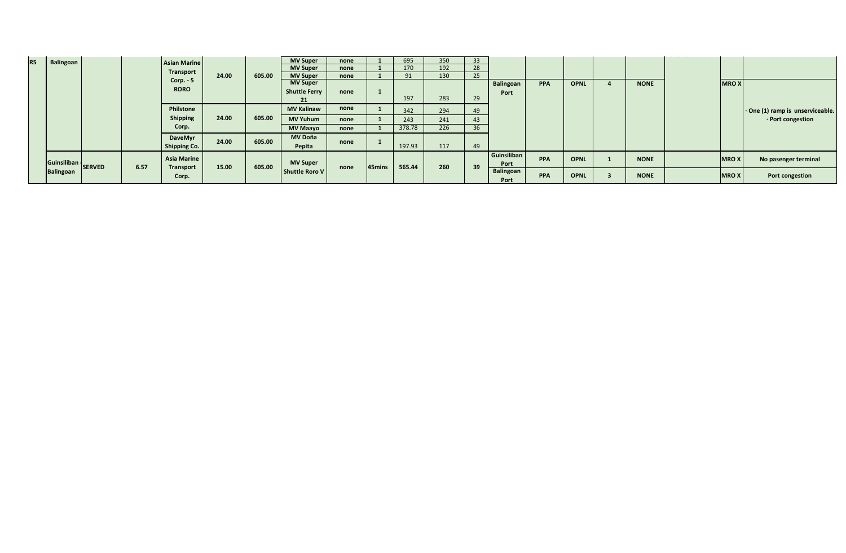| <b>R5</b> | Balingoan |                    |      | <b>Asian Marine</b>            |       |        | <b>MV Super</b>                    | none |        | 695    | 350 | 33 |                     |            |             |             |             |                                        |
|-----------|-----------|--------------------|------|--------------------------------|-------|--------|------------------------------------|------|--------|--------|-----|----|---------------------|------------|-------------|-------------|-------------|----------------------------------------|
|           |           |                    |      | <b>Transport</b>               |       |        | <b>MV Super</b>                    | none |        | 170    | 192 | 28 |                     |            |             |             |             |                                        |
|           |           |                    |      | Corp. $-5$                     | 24.00 | 605.00 | <b>MV Super</b><br><b>MV Super</b> | none |        | 91     | 130 | 25 |                     |            |             |             |             |                                        |
|           |           |                    |      | <b>RORO</b>                    |       |        | <b>Shuttle Ferry</b>               | none |        | 197    | 283 | 29 | Balingoan<br>Port   | <b>PPA</b> | <b>OPNL</b> | <b>NONE</b> | MRO X       |                                        |
|           |           |                    |      | Philstone                      |       |        | <b>MV Kalinaw</b>                  | none |        | 342    | 294 | 49 |                     |            |             |             |             | $\cdot$ One (1) ramp is unserviceable. |
|           |           |                    |      | Shipping                       | 24.00 | 605.00 | <b>MV Yuhum</b>                    | none |        | 243    | 241 | 43 |                     |            |             |             |             | · Port congestion                      |
|           |           |                    |      | Corp.                          |       |        | <b>MV Maayo</b>                    | none |        | 378.78 | 226 | 36 |                     |            |             |             |             |                                        |
|           |           |                    |      | <b>DaveMyr</b><br>Shipping Co. | 24.00 | 605.00 | <b>MV Doña</b><br>Pepita           | none |        | 197.93 | 117 | 49 |                     |            |             |             |             |                                        |
|           |           | Guinsiliban SERVED | 6.57 | Asia Marine                    | 15.00 | 605.00 | <b>MV Super</b>                    |      | 45mins | 565.44 | 260 | 39 | Guinsiliban<br>Port | <b>PPA</b> | <b>OPNL</b> | <b>NONE</b> | <b>MROX</b> | No pasenger terminal                   |
|           | Balingoan |                    |      | <b>Transport</b><br>Corp.      |       |        | Shuttle Roro V                     | none |        |        |     |    | Balingoan<br>Port   | <b>PPA</b> | <b>OPNL</b> | <b>NONE</b> | MRO X       | Port congestion                        |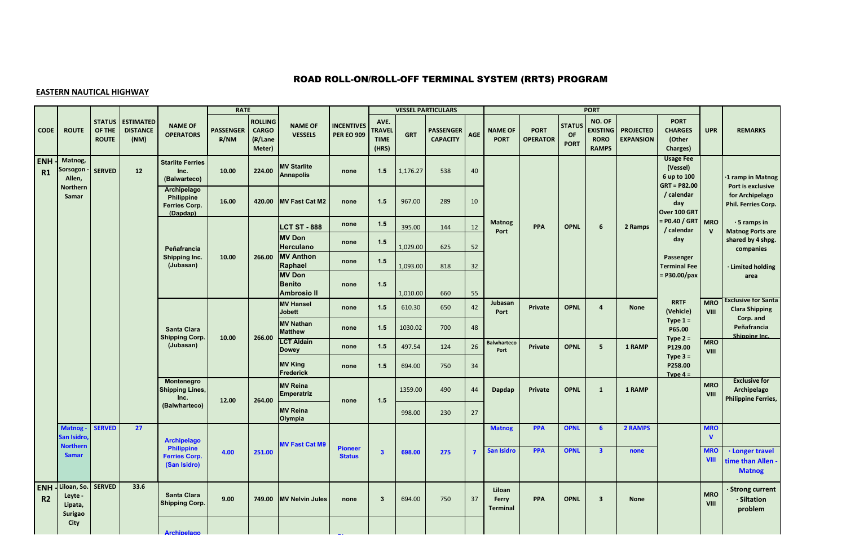# ROAD ROLL-ON/ROLL-OFF TERMINAL SYSTEM (RRTS) PROGRAM

### **EASTERN NAUTICAL HIGHWAY**

|                              |                                                     |                                         |                                             |                                                           | <b>RATE</b>              |                                                     |                                                      |                                        |                                               |            | <b>VESSEL PARTICULARS</b>           |                |                                    |                                |                                    | <b>PORT</b>                                              |                                      |                                                               |                            |                                                                   |
|------------------------------|-----------------------------------------------------|-----------------------------------------|---------------------------------------------|-----------------------------------------------------------|--------------------------|-----------------------------------------------------|------------------------------------------------------|----------------------------------------|-----------------------------------------------|------------|-------------------------------------|----------------|------------------------------------|--------------------------------|------------------------------------|----------------------------------------------------------|--------------------------------------|---------------------------------------------------------------|----------------------------|-------------------------------------------------------------------|
| <b>CODE</b>                  | <b>ROUTE</b>                                        | <b>STATUS</b><br>OF THE<br><b>ROUTE</b> | <b>ESTIMATED</b><br><b>DISTANCE</b><br>(NM) | <b>NAME OF</b><br><b>OPERATORS</b>                        | <b>PASSENGER</b><br>P/NM | <b>ROLLING</b><br><b>CARGO</b><br>(P/Lane<br>Meter) | <b>NAME OF</b><br><b>VESSELS</b>                     | <b>INCENTIVES</b><br><b>PER EO 909</b> | AVE.<br><b>TRAVEL</b><br><b>TIME</b><br>(HRS) | <b>GRT</b> | <b>PASSENGER</b><br><b>CAPACITY</b> | AGE            | <b>NAME OF</b><br><b>PORT</b>      | <b>PORT</b><br><b>OPERATOR</b> | <b>STATUS</b><br>OF<br><b>PORT</b> | NO. OF<br><b>EXISTING</b><br><b>RORO</b><br><b>RAMPS</b> | <b>PROJECTED</b><br><b>EXPANSION</b> | <b>PORT</b><br><b>CHARGES</b><br>(Other<br>Charges)           | <b>UPR</b>                 | <b>REMARKS</b>                                                    |
| <b>ENH</b><br>R1             | Matnog,<br>Sorsogon<br>Allen,                       | <b>SERVED</b>                           | 12                                          | <b>Starlite Ferries</b><br>Inc.<br>(Balwarteco)           | 10.00                    | 224.00                                              | <b>MV Starlite</b><br><b>Annapolis</b>               | none                                   | 1.5                                           | 1,176.27   | 538                                 | 40             |                                    |                                |                                    |                                                          |                                      | <b>Usage Fee</b><br>(Vessel)<br>6 up to 100<br>$GRT = P82.00$ |                            | ·1 ramp in Matnog<br>Port is exclusive                            |
|                              | <b>Northern</b><br>Samar                            |                                         |                                             | Archipelago<br>Philippine<br>Ferries Corp.<br>(Dapdap)    | 16.00                    | 420.00                                              | <b>MV Fast Cat M2</b>                                | none                                   | 1.5                                           | 967.00     | 289                                 | 10             |                                    |                                |                                    |                                                          |                                      | / calendar<br>day<br>Over 100 GRT                             |                            | for Archipelago<br>Phil. Ferries Corp.                            |
|                              |                                                     |                                         |                                             |                                                           |                          |                                                     | <b>LCT ST - 888</b>                                  | none                                   | 1.5                                           | 395.00     | 144                                 | 12             | <b>Matnog</b><br>Port              | PPA                            | <b>OPNL</b>                        | 6                                                        | 2 Ramps                              | $=$ P0.40 / GRT MRO<br>/ calendar                             | $\mathsf{v}$               | $\cdot$ 5 ramps in<br><b>Matnog Ports are</b>                     |
|                              |                                                     |                                         |                                             | Peñafrancia                                               |                          |                                                     | <b>MV Don</b><br>Herculano                           | none                                   | $1.5$                                         | 1,029.00   | 625                                 | 52             |                                    |                                |                                    |                                                          |                                      | day                                                           |                            | shared by 4 shpg.<br>companies                                    |
|                              |                                                     |                                         |                                             | <b>Shipping Inc.</b><br>(Jubasan)                         | 10.00                    | 266.00                                              | <b>MV Anthon</b><br>Raphael                          | none                                   | $1.5$                                         | 1,093.00   | 818                                 | 32             |                                    |                                |                                    |                                                          |                                      | Passenger<br><b>Terminal Fee</b>                              |                            | · Limited holding                                                 |
|                              |                                                     |                                         |                                             |                                                           |                          |                                                     | <b>MV Don</b><br><b>Benito</b><br><b>Ambrosio II</b> | none                                   | 1.5                                           | 1,010.00   | 660                                 | 55             |                                    |                                |                                    |                                                          |                                      | = P30.00/pax                                                  |                            | area                                                              |
|                              |                                                     |                                         |                                             |                                                           |                          |                                                     | <b>MV Hansel</b><br><b>Jobett</b>                    | none                                   | 1.5                                           | 610.30     | 650                                 | 42             | Jubasan<br>Port                    | <b>Private</b>                 | <b>OPNL</b>                        | $\overline{a}$                                           | None                                 | <b>RRTF</b><br>(Vehicle)                                      | <b>MRO</b><br>VIII         | <b>Exclusive for Santa</b><br><b>Clara Shipping</b>               |
|                              |                                                     |                                         |                                             | Santa Clara<br><b>Shipping Corp.</b>                      | 10.00                    |                                                     | <b>MV Nathan</b><br><b>Matthew</b>                   | none                                   | 1.5                                           | 1030.02    | 700                                 | 48             |                                    |                                |                                    |                                                          |                                      | Type $1 =$<br>P65.00                                          |                            | Corp. and<br>Peñafrancia<br>Shipping Inc.                         |
|                              |                                                     |                                         |                                             | (Jubasan)                                                 |                          | 266.00                                              | <b>LCT Aldain</b><br><b>Dowey</b>                    | none                                   | 1.5                                           | 497.54     | 124                                 | 26             | <b>Balwharteco</b><br>Port         | <b>Private</b>                 | <b>OPNL</b>                        | 5                                                        | 1 RAMP                               | Type $2 =$<br>P129.00                                         | <b>MRO</b><br>VIII         |                                                                   |
|                              |                                                     |                                         |                                             |                                                           |                          |                                                     | <b>MV King</b><br>Frederick                          | none                                   | 1.5                                           | 694.00     | 750                                 | 34             |                                    |                                |                                    |                                                          |                                      | Type $3 =$<br>P258.00<br>Type $4 =$                           |                            |                                                                   |
|                              |                                                     |                                         |                                             | Montenegro<br><b>Shipping Lines,</b><br>Inc.              | 12.00                    | 264.00                                              | <b>MV Reina</b><br><b>Emperatriz</b>                 | none                                   | 1.5                                           | 1359.00    | 490                                 | 44             | Dapdap                             | <b>Private</b>                 | <b>OPNL</b>                        | $\mathbf{1}$                                             | 1 RAMP                               |                                                               | <b>MRO</b><br>VIII         | <b>Exclusive for</b><br>Archipelago<br><b>Philippine Ferries,</b> |
|                              |                                                     |                                         |                                             | (Balwharteco)                                             |                          |                                                     | <b>MV Reina</b><br>Olympia                           |                                        |                                               | 998.00     | 230                                 | 27             |                                    |                                |                                    |                                                          |                                      |                                                               |                            |                                                                   |
|                              | Matnog-<br>San Isidro                               | <b>SERVED</b>                           | 27                                          | <b>Archipelago</b>                                        |                          |                                                     |                                                      |                                        |                                               |            |                                     |                | <b>Matnog</b>                      | <b>PPA</b>                     | <b>OPNL</b>                        | 6 <sup>1</sup>                                           | 2 RAMPS                              |                                                               | <b>MRO</b><br>$\mathbf{V}$ |                                                                   |
|                              | <b>Northern</b><br><b>Samar</b>                     |                                         |                                             | <b>Philippine</b><br><b>Ferries Corp.</b><br>(San Isidro) | 4.00                     | 251.00                                              | <b>MV Fast Cat M9</b>                                | <b>Pioneer</b><br><b>Status</b>        | $\mathbf{3}$                                  | 698.00     | 275                                 | $\overline{7}$ | San Isidro                         | <b>PPA</b>                     | <b>OPNL</b>                        | $\overline{\mathbf{3}}$                                  | none                                 |                                                               | <b>MRO</b><br><b>VIII</b>  | · Longer travel<br>time than Allen<br><b>Matnog</b>               |
| <b>ENH</b><br>R <sub>2</sub> | Liloan, So.<br>Leyte -<br>Lipata,<br><b>Surigao</b> | <b>SERVED</b>                           | 33.6                                        | Santa Clara<br><b>Shipping Corp.</b>                      | 9.00                     | 749.00                                              | <b>MV Nelvin Jules</b>                               | none                                   | $\mathbf{3}$                                  | 694.00     | 750                                 | 37             | Liloan<br><b>Ferry</b><br>Terminal | <b>PPA</b>                     | <b>OPNL</b>                        | $\overline{\mathbf{3}}$                                  | None                                 |                                                               | <b>MRO</b><br>VIII         | <b>Strong current</b><br>· Siltation<br>problem                   |
|                              | <b>City</b>                                         |                                         |                                             | <b>Archipelago</b>                                        |                          |                                                     |                                                      |                                        |                                               |            |                                     |                |                                    |                                |                                    |                                                          |                                      |                                                               |                            |                                                                   |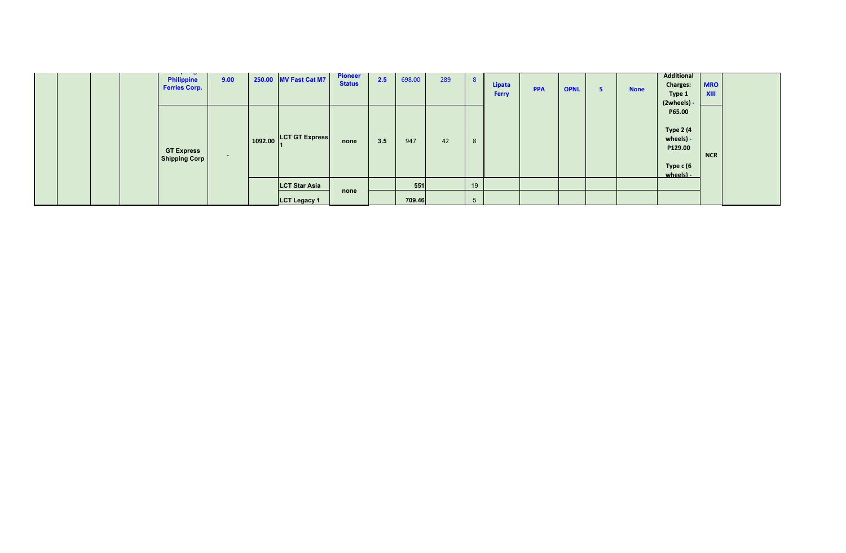|  |  | <b>The State State State</b><br><b>Philippine</b><br><b>Ferries Corp.</b> | 9.00                     | 250.00 MV Fast Cat M7  | <b>Pioneer</b><br><b>Status</b> | 2.5 | 698.00 | 289 | 8  | Lipata<br><b>Ferry</b> | <b>PPA</b> | <b>OPNL</b> | <b>None</b> | Additional<br><b>Charges:</b><br>Type 1<br>$(2wheels) -$                     | <b>MRO</b><br><b>XIII</b> |  |
|--|--|---------------------------------------------------------------------------|--------------------------|------------------------|---------------------------------|-----|--------|-----|----|------------------------|------------|-------------|-------------|------------------------------------------------------------------------------|---------------------------|--|
|  |  | <b>GT Express</b><br><b>Shipping Corp</b>                                 | $\overline{\phantom{a}}$ | 1092.00 LCT GT Express | none                            | 3.5 | 947    | 42  | 8  |                        |            |             |             | P65.00<br><b>Type 2 (4</b><br>wheels) -<br>P129.00<br>Type c (6<br>wheels) - | <b>NCR</b>                |  |
|  |  |                                                                           |                          | <b>LCT Star Asia</b>   |                                 |     | 551    |     | 19 |                        |            |             |             |                                                                              |                           |  |
|  |  |                                                                           |                          | <b>LCT Legacy 1</b>    | none                            |     | 709.46 |     | 5  |                        |            |             |             |                                                                              |                           |  |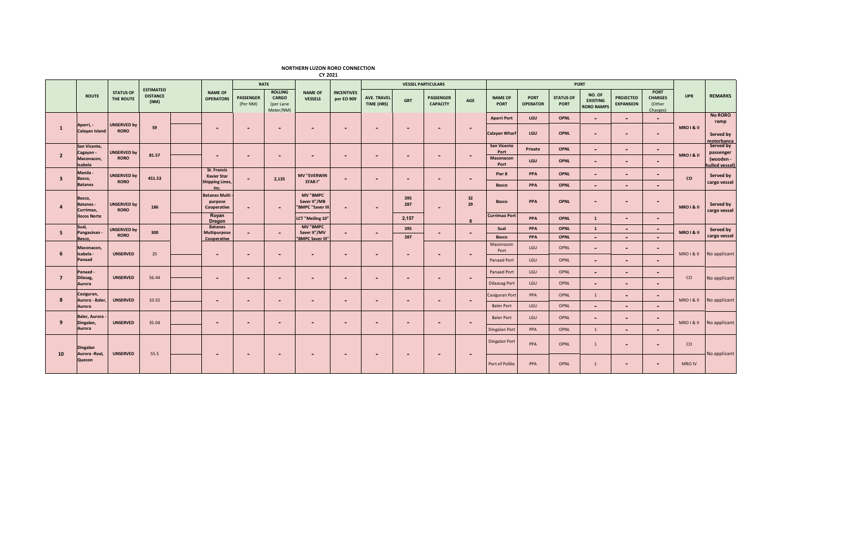#### **NORTHERN LUZON RORO CONNECTION**

|                         |                                        |                                   | <b>ESTIMATED</b>        |                                                |                              | RATE                                              |                                                     |                                 |                           |                          | <b>VESSEL PARTICULARS</b>           |                          |                               |                         |                                 | PORT                                           |                                      |                                                     |                       |                                          |
|-------------------------|----------------------------------------|-----------------------------------|-------------------------|------------------------------------------------|------------------------------|---------------------------------------------------|-----------------------------------------------------|---------------------------------|---------------------------|--------------------------|-------------------------------------|--------------------------|-------------------------------|-------------------------|---------------------------------|------------------------------------------------|--------------------------------------|-----------------------------------------------------|-----------------------|------------------------------------------|
|                         | <b>ROUTE</b>                           | <b>STATUS OF</b><br>THE ROUTE     | <b>DISTANCE</b><br>(NM) | <b>NAME OF</b><br><b>OPERATORS</b>             | <b>PASSENGER</b><br>(Per NM) | <b>ROLLING</b><br>CARGO<br>(per Lane<br>Meter/NM) | <b>NAME OF</b><br><b>VESSELS</b>                    | <b>INCENTIVES</b><br>per EO 909 | AVE. TRAVEL<br>TIME (HRS) | <b>GRT</b>               | <b>PASSENGER</b><br><b>CAPACITY</b> | AGE                      | <b>NAME OF</b><br><b>PORT</b> | PORT<br><b>OPERATOR</b> | <b>STATUS OF</b><br><b>PORT</b> | NO. OF<br><b>EXISTING</b><br><b>RORO RAMPS</b> | <b>PROJECTED</b><br><b>EXPANSION</b> | <b>PORT</b><br><b>CHARGES</b><br>(Other<br>Charges) | <b>UPR</b>            | <b>REMARKS</b>                           |
|                         |                                        |                                   |                         |                                                |                              |                                                   |                                                     |                                 |                           |                          |                                     |                          | <b>Aparri Port</b>            | LGU                     | <b>OPNL</b>                     | $\overline{\phantom{a}}$                       | $\overline{\phantom{a}}$             | $\blacksquare$                                      |                       | <b>No RORO</b><br>ramp                   |
| $\mathbf{1}$            | Aparri, -<br>Calayan Island            | <b>UNSERVED by</b><br><b>RORO</b> | 59                      | $\overline{\phantom{0}}$                       | $\overline{\phantom{0}}$     | $\overline{\phantom{a}}$                          | $\overline{a}$                                      |                                 | $\overline{\phantom{a}}$  | $\overline{\phantom{a}}$ | $\overline{\phantom{0}}$            | $\overline{\phantom{a}}$ | <b>Calayan Wharf</b>          | LGU                     | <b>OPNL</b>                     | $\overline{\phantom{0}}$                       | $\overline{\phantom{a}}$             | $\blacksquare$                                      | <b>MRO I &amp; II</b> | Served by                                |
|                         | San Vicente,                           |                                   |                         |                                                |                              |                                                   |                                                     |                                 |                           |                          |                                     |                          | <b>San Vicente</b>            | Private                 | <b>OPNL</b>                     | $\overline{\phantom{0}}$                       | $\blacksquare$                       | $\sim$                                              |                       | motorbanca<br>Served by                  |
| $\overline{2}$          | Cagayan -<br>Maconacon,<br>Isabela     | <b>UNSERVED by</b><br><b>RORO</b> | 81.57                   | $\overline{\phantom{0}}$                       | $\overline{\phantom{0}}$     | -                                                 | $\overline{\phantom{0}}$                            |                                 | $\overline{\phantom{0}}$  | $\overline{\phantom{a}}$ | -                                   | $\blacksquare$           | Port<br>Maconacon<br>Port     | LGU                     | <b>OPNL</b>                     | $\overline{\phantom{0}}$                       | $\overline{\phantom{0}}$             | $\overline{a}$                                      | <b>MRO1&amp;II</b>    | passenger<br>(wooden -<br>hulled vessel) |
|                         | Manila -                               | <b>UNSERVED by</b>                |                         | <b>St. Francis</b><br><b>Xavier Star</b>       |                              |                                                   | <b>MV "EVERWIN</b>                                  |                                 |                           |                          |                                     |                          | Pier 8                        | PPA                     | <b>OPNL</b>                     | $\overline{a}$                                 | $\sim$                               | $\sim$                                              |                       | Served by                                |
| $\overline{\mathbf{3}}$ | Basco,<br><b>Batanes</b>               | <b>RORO</b>                       | 451.53                  | <b>Shipping Lines,</b><br>Inc.                 | $\sim$                       | 2,135                                             | STAR I"                                             |                                 | $\overline{\phantom{a}}$  | $\overline{\phantom{a}}$ | $\overline{\phantom{0}}$            | $\overline{\phantom{a}}$ | Basco                         | PPA                     | <b>OPNL</b>                     | ٠                                              | $\blacksquare$                       |                                                     | co                    | cargo vessel                             |
| $\overline{a}$          | Basco,<br><b>Batanes-</b><br>Currimao, | <b>UNSERVED by</b><br><b>RORO</b> | 186                     | <b>Batanes Multi</b><br>purpose<br>Cooperative | $\overline{\phantom{a}}$     | $\overline{\phantom{0}}$                          | <b>MV "BMPC</b><br>Saver II"/MB<br>"BMPC "Saver III | $\overline{\phantom{0}}$        | $\overline{\phantom{0}}$  | 395<br>287               | $\overline{\phantom{0}}$            | 32<br>29                 | <b>Basco</b>                  | PPA                     | <b>OPNL</b>                     | $\overline{a}$                                 | $\overline{\phantom{a}}$             | $\sim$                                              | <b>MRO I &amp; II</b> | Served by<br>cargo vessel                |
|                         | <b>Ilocos Norte</b>                    |                                   |                         | Royan<br><b>Dragon</b>                         |                              |                                                   | LCT "Meiling 10"                                    |                                 |                           | 2,157                    |                                     | $\mathbf{6}$             | <b>Currimao Port</b>          | PPA                     | <b>OPNL</b>                     | $\mathbf{1}$                                   | $\sim$                               | $\blacksquare$                                      |                       |                                          |
| 5                       | Sual,<br>Pangasinan -                  | <b>UNSERVED by</b>                | 300                     | <b>Batanes</b><br>Multipurpose                 | $\sim$                       |                                                   | <b>MV "BMPC</b><br>Saver II"/MV                     |                                 | $\overline{\phantom{a}}$  | 395                      | $\overline{\phantom{0}}$            | $\sim$                   | Sual                          | PPA                     | <b>OPNL</b>                     | $\mathbf{1}$                                   | $\sim$                               | $\sim$                                              | <b>MRO I &amp; II</b> | Served by                                |
|                         | Basco.                                 | <b>RORO</b>                       |                         | Cooperative                                    |                              |                                                   | 'BMPC Saver III"                                    |                                 |                           | 287                      |                                     |                          | Basco                         | PPA                     | <b>OPNL</b>                     | $\overline{\phantom{0}}$                       | $\overline{\phantom{a}}$             | $\overline{a}$                                      |                       | cargo vessel                             |
| 6                       | Maconacon,<br>Isabela -                | <b>UNSERVED</b>                   | 25                      | $\overline{\phantom{a}}$                       | ٠                            |                                                   |                                                     |                                 | ٠                         | $\overline{\phantom{a}}$ | ٠                                   | $\overline{\phantom{a}}$ | Maconacon<br>Port             | LGU                     | OPNL                            | ٠                                              | $\blacksquare$                       | $\blacksquare$                                      | <b>MRO I &amp; II</b> | No applicant                             |
|                         | Panaad                                 |                                   |                         |                                                |                              |                                                   |                                                     |                                 |                           |                          |                                     |                          | <b>Panaad Port</b>            | LGU                     | OPNL                            | $\overline{\phantom{a}}$                       | $\overline{\phantom{a}}$             | $\overline{a}$                                      |                       |                                          |
| $\overline{7}$          | Panaad -<br>Dilasag,                   | <b>UNSERVED</b>                   | 56.44                   | $\overline{\phantom{0}}$                       | $\overline{\phantom{0}}$     |                                                   | $\overline{\phantom{0}}$                            |                                 | $\overline{\phantom{0}}$  | $\overline{a}$           | $\overline{\phantom{0}}$            | $\overline{a}$           | <b>Panaad Port</b>            | LGU                     | OPNL                            | $\overline{\phantom{a}}$                       | $\overline{\phantom{0}}$             | $\blacksquare$                                      | co                    | No applicant                             |
|                         | Aurora                                 |                                   |                         |                                                |                              |                                                   |                                                     |                                 |                           |                          |                                     |                          | <b>Dilaasag Port</b>          | LGU                     | OPNL                            | $\overline{\phantom{a}}$                       | $\overline{\phantom{a}}$             | $\overline{a}$                                      |                       |                                          |
|                         | Casiguran,                             |                                   |                         |                                                |                              |                                                   |                                                     |                                 |                           |                          |                                     |                          | Casiguran Port                | PPA                     | OPNL                            | 1                                              | $\overline{\phantom{a}}$             | $\sim$                                              |                       |                                          |
| 8                       | Aurora - Baler,<br>Aurora              | <b>UNSERVED</b>                   | 10.55                   | $\overline{\phantom{0}}$                       | $\overline{\phantom{a}}$     | $\overline{\phantom{0}}$                          | $\overline{\phantom{0}}$                            | $\overline{\phantom{a}}$        | $\overline{\phantom{a}}$  | $\overline{\phantom{0}}$ | $\overline{\phantom{0}}$            | $\overline{\phantom{a}}$ | <b>Baler Port</b>             | LGU                     | OPNL                            | $\overline{\phantom{0}}$                       | $\overline{\phantom{a}}$             | $\overline{a}$                                      | <b>MRO I &amp; II</b> | No applicant                             |
|                         | Baler, Aurora                          |                                   |                         |                                                |                              |                                                   |                                                     |                                 |                           |                          |                                     |                          | <b>Baler Port</b>             | LGU                     | OPNL                            | -                                              | $\overline{\phantom{0}}$             | $\sim$                                              |                       |                                          |
| 9                       | Dingalan,<br>Aurora                    | <b>UNSERVED</b>                   | 35.04                   | $\overline{\phantom{0}}$                       | ٠                            | $\overline{\phantom{0}}$                          | $\overline{\phantom{a}}$                            |                                 | ٠                         | ٠                        |                                     | $\sim$                   | Dingalan Port                 | PPA                     | OPNL                            | $\mathbf{1}$                                   | $\overline{\phantom{0}}$             | $\overline{a}$                                      | <b>MRO I &amp; II</b> | No applicant                             |
|                         | <b>Dingalan</b>                        |                                   |                         |                                                |                              |                                                   |                                                     |                                 |                           |                          |                                     |                          | Dingalan Port                 | PPA                     | OPNL                            | $\overline{1}$                                 | $\overline{\phantom{0}}$             | $\overline{\phantom{0}}$                            | co                    |                                          |
| 10                      | Aurora - Real,<br>Quezon               | <b>UNSERVED</b>                   | 55.5                    | $\overline{\phantom{0}}$                       | $\overline{\phantom{a}}$     | $\overline{\phantom{a}}$                          | $\overline{\phantom{0}}$                            | $\overline{\phantom{0}}$        | $\overline{\phantom{a}}$  | $\overline{\phantom{a}}$ | $\overline{\phantom{a}}$            | $\overline{\phantom{a}}$ | Port of Polilio               | PPA                     | OPNL                            | 1                                              | $\overline{\phantom{a}}$             | $\overline{a}$                                      | MRO IV                | No applicant                             |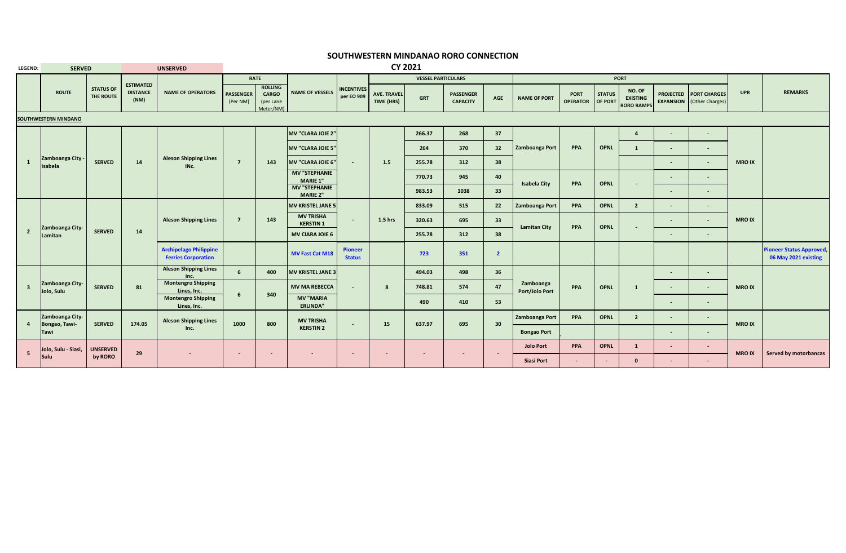### **SOUTHWESTERN MINDANAO RORO CONNECTION**

| LEGEND:                 | <b>SERVED</b>                    |                               |                         | <b>UNSERVED</b>                                             |                              |                                                          |                                         |                                 |                                  | <b>CY 2021</b>            |                                     |                 |                             |                         |               |                                                 |        |                                                                   |               |                                                        |
|-------------------------|----------------------------------|-------------------------------|-------------------------|-------------------------------------------------------------|------------------------------|----------------------------------------------------------|-----------------------------------------|---------------------------------|----------------------------------|---------------------------|-------------------------------------|-----------------|-----------------------------|-------------------------|---------------|-------------------------------------------------|--------|-------------------------------------------------------------------|---------------|--------------------------------------------------------|
|                         |                                  |                               | <b>ESTIMATED</b>        |                                                             |                              | <b>RATE</b>                                              |                                         |                                 |                                  | <b>VESSEL PARTICULARS</b> |                                     |                 |                             |                         |               | <b>PORT</b>                                     |        |                                                                   |               |                                                        |
|                         | <b>ROUTE</b>                     | <b>STATUS OF</b><br>THE ROUTE | <b>DISTANCE</b><br>(NM) | <b>NAME OF OPERATORS</b>                                    | <b>PASSENGER</b><br>(Per NM) | <b>ROLLING</b><br><b>CARGO</b><br>(per Lane<br>Meter/NM) | <b>NAME OF VESSELS</b>                  | <b>INCENTIVES</b><br>per EO 909 | <b>AVE. TRAVEL</b><br>TIME (HRS) | <b>GRT</b>                | <b>PASSENGER</b><br><b>CAPACITY</b> | AGE             | <b>NAME OF PORT</b>         | PORT<br><b>OPERATOR</b> | <b>STATUS</b> | NO. OF<br><b>EXISTING</b><br>OF PORT RORO RAMPS |        | <b>PROJECTED PORT CHARGES</b><br><b>EXPANSION</b> (Other Charges) | <b>UPR</b>    | <b>REMARKS</b>                                         |
|                         | SOUTHWESTERN MINDANO             |                               |                         |                                                             |                              |                                                          |                                         |                                 |                                  |                           |                                     |                 |                             |                         |               |                                                 |        |                                                                   |               |                                                        |
|                         |                                  |                               |                         |                                                             |                              |                                                          | MV "CLARA JOIE 2"                       |                                 |                                  | 266.37                    | 268                                 | 37              |                             |                         |               | $\overline{a}$                                  | $\sim$ | $\overline{\phantom{a}}$                                          |               |                                                        |
|                         |                                  |                               |                         |                                                             |                              |                                                          | MV "CLARA JOIE 5"                       |                                 |                                  | 264                       | 370                                 | 32              | Zamboanga Port              | PPA                     | <b>OPNL</b>   | $\mathbf{1}$                                    |        | $\sim$                                                            |               |                                                        |
| $\mathbf{1}$            | Zamboanga City -<br>Isabela      | <b>SERVED</b>                 | 14                      | <b>Aleson Shipping Lines</b><br>INc.                        | $\overline{7}$               | 143                                                      | MV "CLARA JOIE 6"                       | $\sim$                          | 1.5                              | 255.78                    | 312                                 | 38              |                             |                         |               |                                                 | $\sim$ | $\sim$                                                            | <b>MRO IX</b> |                                                        |
|                         |                                  |                               |                         |                                                             |                              |                                                          | <b>MV "STEPHANIE</b><br><b>MARIE 1"</b> |                                 |                                  | 770.73                    | 945                                 | 40              | <b>Isabela City</b>         | PPA                     | <b>OPNL</b>   |                                                 | $\sim$ | $\sim$                                                            |               |                                                        |
|                         |                                  |                               |                         |                                                             |                              |                                                          | <b>MV "STEPHANIE</b><br><b>MARIE 2"</b> |                                 |                                  | 983.53                    | 1038                                | 33              |                             |                         |               |                                                 | $\sim$ | $\sim$                                                            |               |                                                        |
|                         |                                  |                               |                         |                                                             |                              |                                                          | MV KRISTEL JANE 5                       |                                 |                                  | 833.09                    | 515                                 | 22              | Zamboanga Port              | PPA                     | OPNL          | $\overline{2}$                                  | $\sim$ | $\sim$                                                            |               |                                                        |
|                         |                                  |                               |                         | <b>Aleson Shipping Lines</b>                                | $\overline{7}$               | 143                                                      | <b>MV TRISHA</b><br><b>KERSTIN 1</b>    | $\sim$                          | 1.5 hrs                          | 320.63                    | 695                                 | 33 <sup>2</sup> | <b>Lamitan City</b>         | PPA                     | <b>OPNL</b>   |                                                 |        | $\sim$                                                            | <b>MRO IX</b> |                                                        |
| $\overline{2}$          | Zamboanga City-<br>Lamitan       | <b>SERVED</b>                 | 14                      |                                                             |                              |                                                          | <b>MV CIARA JOIE 6</b>                  |                                 |                                  | 255.78                    | 312                                 | 38              |                             |                         |               |                                                 |        | $\sim$                                                            |               |                                                        |
|                         |                                  |                               |                         | <b>Archipelago Philippine</b><br><b>Ferries Corporation</b> |                              |                                                          | <b>MV Fast Cat M18</b>                  | <b>Pioneer</b><br><b>Status</b> |                                  | 723                       | 351                                 | $\overline{2}$  |                             |                         |               |                                                 |        |                                                                   |               | <b>Pioneer Status Approved</b><br>06 May 2021 existing |
|                         |                                  |                               |                         | <b>Aleson Shipping Lines</b><br>inc.                        | 6                            | 400                                                      | MV KRISTEL JANE 3                       |                                 |                                  | 494.03                    | 498                                 | 36              |                             |                         |               |                                                 | $\sim$ | $\sim$                                                            |               |                                                        |
| $\overline{\mathbf{3}}$ | Zamboanga City-<br>Jolo, Sulu    | <b>SERVED</b>                 | 81                      | <b>Montengro Shipping</b><br>Lines, Inc.                    |                              |                                                          | <b>MV MA REBECCA</b>                    | $\overline{\phantom{a}}$        | 8                                | 748.81                    | 574                                 | 47              | Zamboanga<br>Port/Jolo Port | PPA                     | <b>OPNL</b>   | 1                                               | $\sim$ | $\sim$                                                            | <b>MRO IX</b> |                                                        |
|                         |                                  |                               |                         | <b>Montengro Shipping</b><br>Lines, Inc.                    | 6                            | 340                                                      | <b>MV "MARIA</b><br><b>ERLINDA"</b>     |                                 |                                  | 490                       | 410                                 | 53              |                             |                         |               |                                                 | $\sim$ | ٠                                                                 |               |                                                        |
| $\overline{4}$          | Zamboanga City-<br>Bongao, Tawi- | <b>SERVED</b>                 | 174.05                  | <b>Aleson Shipping Lines</b>                                | 1000                         | 800                                                      | <b>MV TRISHA</b>                        | $\sim$                          | 15                               | 637.97                    | 695                                 | 30              | Zamboanga Port              | PPA                     | <b>OPNL</b>   | $\overline{2}$                                  | $\sim$ | $\sim$                                                            | <b>MRO IX</b> |                                                        |
|                         | Tawi                             |                               |                         | Inc.                                                        |                              |                                                          | <b>KERSTIN 2</b>                        |                                 |                                  |                           |                                     |                 | <b>Bongao Port</b>          |                         |               |                                                 | $\sim$ | $\sim$                                                            |               |                                                        |
| 5 <sub>1</sub>          | Jolo, Sulu - Siasi,              | <b>UNSERVED</b>               | 29                      |                                                             | ٠                            |                                                          |                                         | $\overline{\phantom{a}}$        |                                  | $\sim$                    | $\sim$                              | $\sim$          | <b>Jolo Port</b>            | <b>PPA</b>              | <b>OPNL</b>   | <sup>1</sup>                                    | $\sim$ | $\overline{\phantom{a}}$                                          | <b>MRO IX</b> | <b>Served by motorbancas</b>                           |
|                         | Sulu                             | by RORO                       |                         |                                                             |                              |                                                          |                                         |                                 |                                  |                           |                                     |                 | <b>Siasi Port</b>           |                         | $\sim$        | $\mathbf{0}$                                    | $\sim$ | $\sim$                                                            |               |                                                        |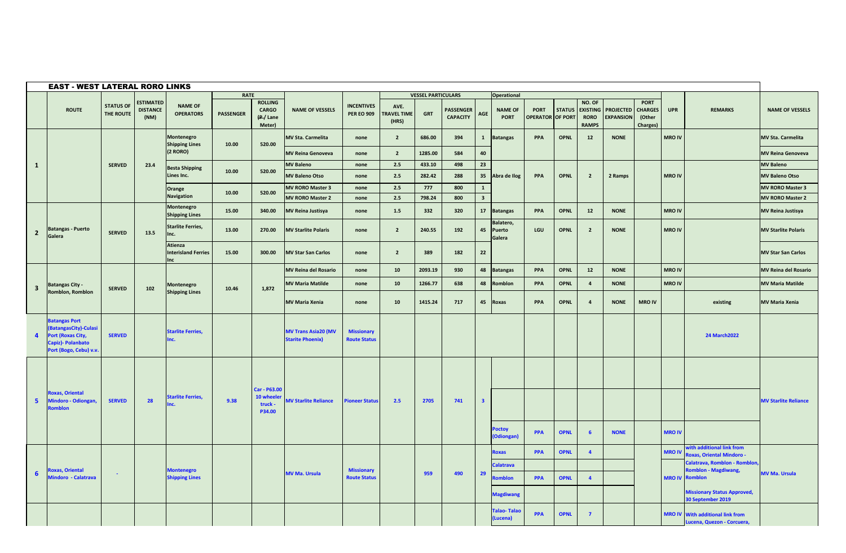|                | <b>EAST - WEST LATERAL RORO LINKS</b>                                                                                  |                               |                                             |                                                     |                  |                                                     |                                                       |                                          |                                     |                           |                                     |                         |                                |                                        |               |                                                          |                                      |                                                     |               |                                                                       |                             |
|----------------|------------------------------------------------------------------------------------------------------------------------|-------------------------------|---------------------------------------------|-----------------------------------------------------|------------------|-----------------------------------------------------|-------------------------------------------------------|------------------------------------------|-------------------------------------|---------------------------|-------------------------------------|-------------------------|--------------------------------|----------------------------------------|---------------|----------------------------------------------------------|--------------------------------------|-----------------------------------------------------|---------------|-----------------------------------------------------------------------|-----------------------------|
|                |                                                                                                                        |                               |                                             |                                                     | <b>RATE</b>      |                                                     |                                                       |                                          |                                     | <b>VESSEL PARTICULARS</b> |                                     |                         | <b>Operational</b>             |                                        |               |                                                          |                                      |                                                     |               |                                                                       |                             |
|                | <b>ROUTE</b>                                                                                                           | <b>STATUS OF</b><br>THE ROUTE | <b>ESTIMATED</b><br><b>DISTANCE</b><br>(NM) | <b>NAME OF</b><br><b>OPERATORS</b>                  | <b>PASSENGER</b> | <b>ROLLING</b><br><b>CARGO</b><br>(P/Lane<br>Meter) | <b>NAME OF VESSELS</b>                                | <b>INCENTIVES</b><br><b>PER EO 909</b>   | AVE.<br><b>TRAVEL TIME</b><br>(HRS) | <b>GRT</b>                | <b>PASSENGER</b><br><b>CAPACITY</b> | AGE                     | <b>NAME OF</b><br><b>PORT</b>  | <b>PORT</b><br><b>OPERATOR OF PORT</b> | <b>STATUS</b> | NO. OF<br><b>EXISTING</b><br><b>RORO</b><br><b>RAMPS</b> | <b>PROJECTED</b><br><b>EXPANSION</b> | <b>PORT</b><br><b>CHARGES</b><br>(Other<br>Charges) | <b>UPR</b>    | <b>REMARKS</b>                                                        | <b>NAME OF VESSELS</b>      |
|                |                                                                                                                        |                               |                                             | Montenegro<br><b>Shipping Lines</b>                 | 10.00            | 520.00                                              | <b>MV Sta. Carmelita</b>                              | none                                     | $\overline{2}$                      | 686.00                    | 394                                 | $\mathbf{1}$            | <b>Batangas</b>                | <b>PPA</b>                             | <b>OPNL</b>   | 12                                                       | <b>NONE</b>                          |                                                     | <b>MRO IV</b> |                                                                       | <b>MV Sta. Carmelita</b>    |
|                |                                                                                                                        |                               |                                             | (2 RORO)                                            |                  |                                                     | <b>MV Reina Genoveva</b>                              | none                                     | $\overline{2}$                      | 1285.00                   | 584                                 | 40                      |                                |                                        |               |                                                          |                                      |                                                     |               |                                                                       | <b>MV Reina Genoveva</b>    |
| $\mathbf{1}$   |                                                                                                                        | <b>SERVED</b>                 | 23.4                                        | <b>Besta Shipping</b>                               | 10.00            | 520.00                                              | <b>MV Baleno</b>                                      | none                                     | 2.5                                 | 433.10                    | 498                                 | 23                      |                                |                                        |               |                                                          |                                      |                                                     |               |                                                                       | <b>MV Baleno</b>            |
|                |                                                                                                                        |                               |                                             | Lines Inc.                                          |                  |                                                     | <b>MV Baleno Otso</b>                                 | none                                     | 2.5                                 | 282.42                    | 288                                 | 35                      | Abra de Ilog                   | PPA                                    | <b>OPNL</b>   | $\overline{2}$                                           | 2 Ramps                              |                                                     | <b>MRO IV</b> |                                                                       | <b>MV Baleno Otso</b>       |
|                |                                                                                                                        |                               |                                             | Orange                                              | 10.00            | 520.00                                              | <b>MV RORO Master 3</b>                               | none                                     | 2.5                                 | 777                       | 800                                 | 1                       |                                |                                        |               |                                                          |                                      |                                                     |               |                                                                       | <b>MV RORO Master 3</b>     |
|                |                                                                                                                        |                               |                                             | <b>Navigation</b>                                   |                  |                                                     | <b>MV RORO Master 2</b>                               | none                                     | 2.5                                 | 798.24                    | 800                                 | $\overline{\mathbf{3}}$ |                                |                                        |               |                                                          |                                      |                                                     |               |                                                                       | <b>MV RORO Master 2</b>     |
|                |                                                                                                                        |                               |                                             | Montenegro<br><b>Shipping Lines</b>                 | 15.00            | 340.00                                              | <b>MV Reina Justisya</b>                              | none                                     | 1.5                                 | 332                       | 320                                 | 17                      | <b>Batangas</b>                | <b>PPA</b>                             | <b>OPNL</b>   | 12                                                       | <b>NONE</b>                          |                                                     | <b>MRO IV</b> |                                                                       | <b>MV Reina Justisya</b>    |
| $\overline{2}$ | <b>Batangas - Puerto</b><br>Galera                                                                                     | <b>SERVED</b>                 | 13.5                                        | <b>Starlite Ferries,</b><br>Inc.                    | 13.00            | 270.00                                              | <b>MV Starlite Polaris</b>                            | none                                     | $\overline{2}$                      | 240.55                    | 192                                 | 45                      | Balatero,<br>Puerto<br>Galera  | LGU                                    | <b>OPNL</b>   | $\overline{2}$                                           | <b>NONE</b>                          |                                                     | <b>MRO IV</b> |                                                                       | <b>MV Starlite Polaris</b>  |
|                |                                                                                                                        |                               |                                             | <b>Atienza</b><br><b>Interisland Ferries</b><br>Inc | 15.00            | 300.00                                              | <b>MV Star San Carlos</b>                             | none                                     | $\overline{2}$                      | 389                       | 182                                 | 22                      |                                |                                        |               |                                                          |                                      |                                                     |               |                                                                       | <b>MV Star San Carlos</b>   |
|                |                                                                                                                        |                               |                                             |                                                     |                  |                                                     | <b>MV Reina del Rosario</b>                           | none                                     | 10                                  | 2093.19                   | 930                                 | 48                      | <b>Batangas</b>                | PPA                                    | <b>OPNL</b>   | 12                                                       | <b>NONE</b>                          |                                                     | <b>MRO IV</b> |                                                                       | <b>MV Reina del Rosario</b> |
| 3              | <b>Batangas City -</b>                                                                                                 | <b>SERVED</b>                 | 102                                         | Montenegro                                          | 10.46            | 1,872                                               | <b>MV Maria Matilde</b>                               | none                                     | 10                                  | 1266.77                   | 638                                 | 48                      | Romblon                        | PPA                                    | <b>OPNL</b>   | $\overline{a}$                                           | <b>NONE</b>                          |                                                     | <b>MRO IV</b> |                                                                       | <b>MV Maria Matilde</b>     |
|                | Romblon, Romblon                                                                                                       |                               |                                             | <b>Shipping Lines</b>                               |                  |                                                     | <b>MV Maria Xenia</b>                                 | none                                     | 10                                  | 1415.24                   | 717                                 | 45                      | Roxas                          | PPA                                    | <b>OPNL</b>   | $\overline{4}$                                           | <b>NONE</b>                          | <b>MRO IV</b>                                       |               | existing                                                              | <b>MV Maria Xenia</b>       |
| $\overline{4}$ | <b>Batangas Port</b><br><b>BatangasCity)-Culasi</b><br>ort (Roxas City,<br>Capiz)- Polanbato<br>Port (Bogo, Cebu) v.v. | <b>SERVED</b>                 |                                             | <b>Starlite Ferries,</b><br>nc.                     |                  |                                                     | <b>MV Trans Asia20 (MV</b><br><b>Starite Phoenix)</b> | <b>Missionary</b><br><b>Route Status</b> |                                     |                           |                                     |                         |                                |                                        |               |                                                          |                                      |                                                     |               | <b>24 March 2022</b>                                                  |                             |
| 5              | oxas, Oriental<br>Aindoro - Odiongan,                                                                                  | <b>SERVED</b>                 | 28                                          | <b>Starlite Ferries,</b>                            | 9.38             | Car - P63.00<br>10 wheele<br>truck -<br>P34.00      | <b>MV Starlite Reliance</b>                           | <b>Pioneer Status</b>                    | 2.5                                 | 2705                      | 741                                 | $\overline{\mathbf{3}}$ |                                |                                        |               |                                                          |                                      |                                                     |               |                                                                       | <b>MV Starlite Reliance</b> |
|                |                                                                                                                        |                               |                                             |                                                     |                  |                                                     |                                                       |                                          |                                     |                           |                                     |                         | <b>Poctoy</b><br>(Odiongan     | <b>PPA</b>                             | <b>OPNL</b>   | 6                                                        | <b>NONE</b>                          |                                                     | <b>MRO IV</b> |                                                                       |                             |
|                |                                                                                                                        |                               |                                             |                                                     |                  |                                                     |                                                       |                                          |                                     |                           |                                     |                         | <b>loxas</b>                   | <b>PPA</b>                             | <b>OPNL</b>   | $\overline{4}$                                           |                                      |                                                     | <b>MRO IV</b> | vith additional link from<br>oxas, Oriental Mindoro -                 |                             |
|                |                                                                                                                        |                               |                                             |                                                     |                  |                                                     |                                                       |                                          |                                     |                           |                                     |                         | Calatrava                      |                                        |               |                                                          |                                      |                                                     |               | Calatrava, Romblon - Romblon                                          |                             |
| 6              | <b>Roxas, Oriental</b><br><b>Mindoro - Calatrava</b>                                                                   | $\sim$                        |                                             | <b>Montenegro</b><br><b>Shipping Lines</b>          |                  |                                                     | <b>MV Ma. Ursula</b>                                  | <b>Missionary</b><br><b>Route Status</b> |                                     | 959                       | 490                                 | 29                      | mblon                          | <b>PPA</b>                             | <b>OPNL</b>   | $\overline{4}$                                           |                                      |                                                     |               | omblon - Magdiwang,<br><b>MRO IV Romblon</b>                          | <b>MV Ma. Ursula</b>        |
|                |                                                                                                                        |                               |                                             |                                                     |                  |                                                     |                                                       |                                          |                                     |                           |                                     |                         | <b>Magdiwang</b>               |                                        |               |                                                          |                                      |                                                     |               | <b>Missionary Status Approved,</b><br>30 September 2019               |                             |
|                |                                                                                                                        |                               |                                             |                                                     |                  |                                                     |                                                       |                                          |                                     |                           |                                     |                         | <b>Talao-Talao</b><br>(Lucena) | <b>PPA</b>                             | <b>OPNL</b>   | $\overline{7}$                                           |                                      |                                                     |               | <b>MRO IV</b> With additional link from<br>Lucena, Quezon - Corcuera, |                             |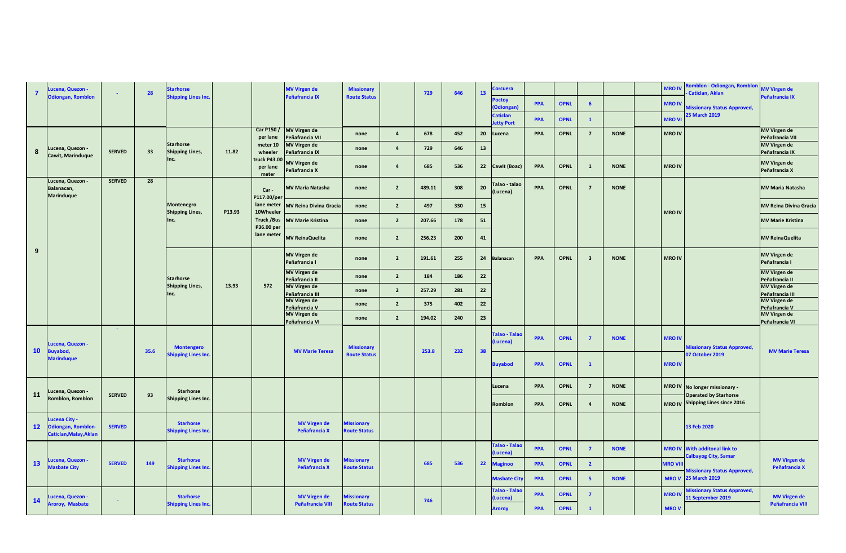| 7               | ucena, Quezon -                                  | $\sim$        | 28   | <b>Starhorse</b>                               |        |                                 | <b>MV Virgen de</b>                        | <b>Missionary</b>                        |                | 729    | 646 | 13   | <b>Corcuera</b>                    |            |             |                         |             | <b>MRO IV</b>  | omblon - Odiongan, Romblon<br>Caticlan, Aklan                       | <b>MV Virgen de</b>                     |
|-----------------|--------------------------------------------------|---------------|------|------------------------------------------------|--------|---------------------------------|--------------------------------------------|------------------------------------------|----------------|--------|-----|------|------------------------------------|------------|-------------|-------------------------|-------------|----------------|---------------------------------------------------------------------|-----------------------------------------|
|                 | <b>Odiongan, Romblon</b>                         |               |      | <b>Shipping Lines Inc</b>                      |        |                                 | Peñafrancia IX                             | <b>Route Status</b>                      |                |        |     |      | <b>Poctoy</b><br>(Odiongan)        | PPA        | <b>OPNL</b> | $6\overline{6}$         |             | <b>MRO IV</b>  | <b>Aissionary Status Approved,</b>                                  | Peñafrancia IX                          |
|                 |                                                  |               |      |                                                |        |                                 |                                            |                                          |                |        |     |      | <b>Caticlan</b><br>etty Port       | PPA        | <b>OPNL</b> | $\mathbf{1}$            |             | <b>MRO VI</b>  | 25 March 2019                                                       |                                         |
|                 |                                                  |               |      |                                                |        | per lane                        | Car P150 / MV Virgen de<br>Peñafrancia VII | none                                     | $\overline{4}$ | 678    | 452 | 20   | Lucena                             | PPA        | <b>OPNL</b> | $\overline{7}$          | <b>NONE</b> | <b>MRO IV</b>  |                                                                     | <b>MV Virgen de</b><br>Peñafrancia VII  |
| 8               | Lucena, Quezon -                                 | <b>SERVED</b> | 33   | <b>Starhorse</b><br><b>Shipping Lines,</b>     | 11.82  | meter 10<br>wheeler             | <b>MV Virgen de</b><br>Peñafrancia IX      | none                                     | $\overline{4}$ | 729    | 646 | 13   |                                    |            |             |                         |             |                |                                                                     | MV Virgen de<br>Peñafrancia IX          |
|                 | Cawit, Marinduque                                |               |      | Inc.                                           |        | truck P43.00<br>per lane        | <b>MV Virgen de</b><br>Peñafrancia X       | none                                     | $\overline{a}$ | 685    | 536 | 22   | Cawit (Boac)                       | PPA        | <b>OPNL</b> | $\mathbf{1}$            | <b>NONE</b> | <b>MRO IV</b>  |                                                                     | <b>MV Virgen de</b><br>Peñafrancia X    |
|                 | Lucena, Quezon -                                 | <b>SERVED</b> | 28   |                                                |        | meter                           |                                            |                                          | $\overline{2}$ | 489.11 | 308 |      | Talao - talao                      | PPA        | <b>OPNL</b> | $\overline{7}$          | <b>NONE</b> |                |                                                                     | <b>MV Maria Natasha</b>                 |
|                 | Balanacan,<br><b>Marinduque</b>                  |               |      |                                                |        | Car-<br>P117.00/per             | <b>MV Maria Natasha</b>                    | none                                     |                |        |     | 20   | (Lucena)                           |            |             |                         |             |                |                                                                     |                                         |
|                 |                                                  |               |      | Montenegro<br><b>Shipping Lines,</b>           | P13.93 | lane meter<br>10Wheeler         | <b>MV Reina Divina Gracia</b>              | none                                     | $\overline{2}$ | 497    | 330 | 15   |                                    |            |             |                         |             | <b>MRO IV</b>  |                                                                     | <b>MV Reina Divina Gracia</b>           |
|                 |                                                  |               |      | Inc.                                           |        | <b>Truck /Bus</b><br>P36.00 per | <b>MV Marie Kristina</b>                   | none                                     | $\overline{2}$ | 207.66 | 178 | 51   |                                    |            |             |                         |             |                |                                                                     | <b>MV Marie Kristina</b>                |
|                 |                                                  |               |      |                                                |        | lane meter                      | <b>MV ReinaQuelita</b>                     | none                                     | $\overline{2}$ | 256.23 | 200 | 41   |                                    |            |             |                         |             |                |                                                                     | <b>MV ReinaQuelita</b>                  |
| 9               |                                                  |               |      |                                                |        |                                 | <b>MV Virgen de</b><br>Peñafrancia I       | none                                     | $\overline{2}$ | 191.61 | 255 | 24   | <b>Balanacan</b>                   | PPA        | <b>OPNL</b> | $\overline{\mathbf{3}}$ | <b>NONE</b> | <b>MRO IV</b>  |                                                                     | <b>MV Virgen de</b><br>Peñafrancia I    |
|                 |                                                  |               |      | <b>Starhorse</b>                               |        |                                 | <b>MV Virgen de</b><br>Peñafrancia II      | none                                     | $\overline{2}$ | 184    | 186 | 22   |                                    |            |             |                         |             |                |                                                                     | <b>MV Virgen de</b><br>Peñafrancia II   |
|                 |                                                  |               |      | <b>Shipping Lines,</b><br>Inc.                 | 13.93  | 572                             | <b>MV Virgen de</b><br>Peñafrancia III     | none                                     | $\overline{2}$ | 257.29 | 281 | 22   |                                    |            |             |                         |             |                |                                                                     | <b>MV Virgen de</b><br>Peñafrancia III  |
|                 |                                                  |               |      |                                                |        |                                 | <b>MV Virgen de</b><br>Peñafrancia V       | none                                     | $\overline{2}$ | 375    | 402 | $22$ |                                    |            |             |                         |             |                |                                                                     | <b>MV Virgen de</b><br>Peñafrancia V    |
|                 |                                                  |               |      |                                                |        |                                 | <b>MV Virgen de</b><br>Peñafrancia VI      | none                                     | $\overline{2}$ | 194.02 | 240 | 23   |                                    |            |             |                         |             |                |                                                                     | <b>MV Virgen de</b><br>Peñafrancia VI   |
|                 |                                                  | $\sim$        |      |                                                |        |                                 |                                            |                                          |                |        |     |      | <b>Talao - Talao</b>               |            |             |                         |             |                |                                                                     |                                         |
| 10              | ucena, Quezon -<br>uyabod,                       |               | 35.6 | <b>Montengero</b>                              |        |                                 | <b>MV Marie Teresa</b>                     | <b>Missionary</b>                        |                | 253.8  | 232 | 38   | Lucena)                            | PPA        | <b>OPNL</b> | $\overline{7}$          | <b>NONE</b> | <b>MRO IV</b>  | <b>Missionary Status Approved,</b>                                  | <b>MV Marie Teresa</b>                  |
|                 | <b>Marinduque</b>                                |               |      | Shipping Lines Inc.                            |        |                                 |                                            | <b>Route Status</b>                      |                |        |     |      | <b>Buyabod</b>                     | PPA        | <b>OPNL</b> | $\mathbf{1}$            |             | <b>MRO IV</b>  | 07 October 2019                                                     |                                         |
|                 |                                                  |               |      |                                                |        |                                 |                                            |                                          |                |        |     |      |                                    |            |             |                         |             |                |                                                                     |                                         |
| 11              | Lucena, Quezon -<br>Romblon, Romblon             | <b>SERVED</b> | 93   | <b>Starhorse</b><br>Shipping Lines Inc.        |        |                                 |                                            |                                          |                |        |     |      | Lucena                             | PPA        | <b>OPNL</b> | $\overline{7}$          | <b>NONE</b> | <b>MRO IV</b>  | No longer missionary -<br><b>Operated by Starhorse</b>              |                                         |
|                 |                                                  |               |      |                                                |        |                                 |                                            |                                          |                |        |     |      | Romblon                            | PPA        | <b>OPNL</b> | $\overline{a}$          | <b>NONE</b> | <b>MRO IV</b>  | <b>Shipping Lines since 2016</b>                                    |                                         |
| 12 <sup>2</sup> | <b>ucena City -</b><br><b>Odiongan, Romblon-</b> | <b>SERVED</b> |      | <b>Starhorse</b><br><b>Shipping Lines Inc.</b> |        |                                 | <b>MV Virgen de</b><br>Peñafrancia X       | <b>Alssionary</b><br><b>loute Status</b> |                |        |     |      |                                    |            |             |                         |             |                | 13 Feb 2020                                                         |                                         |
|                 | Caticlan, Malay, Aklan                           |               |      |                                                |        |                                 |                                            |                                          |                |        |     |      | <b>Talao - Talao</b>               |            |             |                         |             |                |                                                                     |                                         |
|                 | ucena, Quezon -                                  |               |      | <b>Starhorse</b>                               |        |                                 | <b>MV Virgen de</b>                        | <b>Aissionary</b>                        |                |        |     |      | Lucena)                            | <b>PPA</b> | <b>OPNL</b> | $\overline{7}$          | <b>NONE</b> |                | <b>MRO IV</b> With additonal link to<br><b>Calbayog City, Samar</b> | <b>MV Virgen de</b>                     |
| 13              | <b>Masbate City</b>                              | <b>SERVED</b> | 149  | Shipping Lines Inc.                            |        |                                 | Peñafrancia X                              | loute Status                             |                | 685    | 536 | 22   | <b>Maginoo</b>                     | PPA        | <b>OPNL</b> | $\overline{\mathbf{2}}$ |             | <b>MRO VII</b> | <b>Missionary Status Approved,</b>                                  | Peñafrancia X                           |
|                 |                                                  |               |      |                                                |        |                                 |                                            |                                          |                |        |     |      | <b>Masbate Cit</b><br>Talao - Tala | PPA        | <b>OPNL</b> | $\overline{\mathbf{5}}$ | <b>NONE</b> | <b>MROV</b>    | <b>25 March 2019</b>                                                |                                         |
| 14              | ucena, Quezon -<br>Aroroy, Masbate               | $\sim$        |      | <b>Starhorse</b><br><b>Shipping Lines Inc.</b> |        |                                 | <b>MV Virgen de</b><br>Peñafrancia VIII    | <b>Aissionary</b><br><b>Loute Status</b> |                | 746    |     |      | Lucena)                            | PPA        | <b>OPNL</b> | $\overline{7}$          |             | <b>MRO IV</b>  | lissionary Status Approved,<br>1 September 2019                     | <b>MV Virgen de</b><br>Peñafrancia VIII |
|                 |                                                  |               |      |                                                |        |                                 |                                            |                                          |                |        |     |      | Aroroy                             | PPA        | <b>OPNL</b> | $\mathbf{1}$            |             | <b>MROV</b>    |                                                                     |                                         |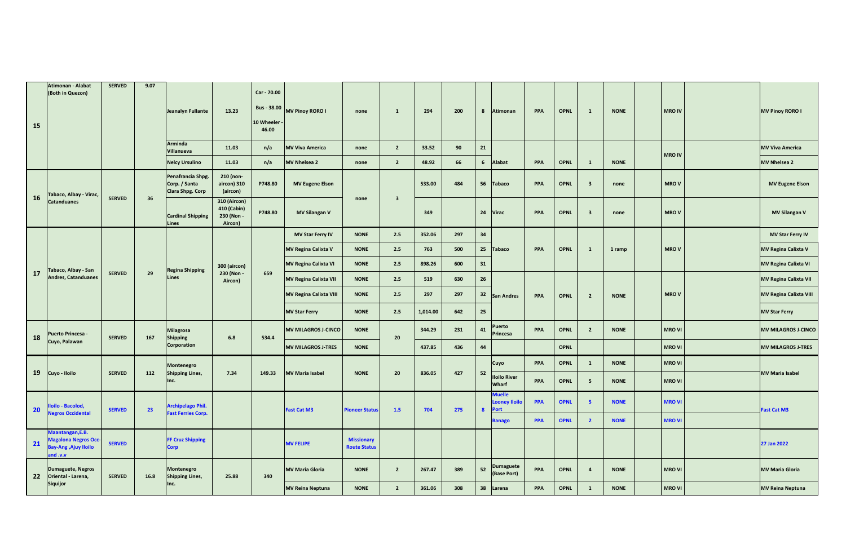| 15 | Atimonan - Alabat<br>(Both in Quezon)                                                  | <b>SERVED</b> | 9.07 | Jeanalyn Fullante<br><b>Arminda</b>                           | 13.23                                                | Car - 70.00<br>10 Wheeler<br>46.00 | Bus - 38.00 MV Pinoy RORO I   | none                                     | $\mathbf{1}$            | 294      | 200 | 8            | Atimonan                                      | PPA        | <b>OPNL</b> | $\mathbf{1}$            | <b>NONE</b> | <b>MRO IV</b> | <b>MV Pinoy RORO I</b>        |
|----|----------------------------------------------------------------------------------------|---------------|------|---------------------------------------------------------------|------------------------------------------------------|------------------------------------|-------------------------------|------------------------------------------|-------------------------|----------|-----|--------------|-----------------------------------------------|------------|-------------|-------------------------|-------------|---------------|-------------------------------|
|    |                                                                                        |               |      | Villanueva                                                    | 11.03                                                | n/a                                | <b>MV Viva America</b>        | none                                     | $2^{\circ}$             | 33.52    | 90  | ${\bf 21}$   |                                               |            |             |                         |             | <b>MRO IV</b> | <b>MV Viva America</b>        |
|    |                                                                                        |               |      | <b>Nelcy Ursulino</b>                                         | 11.03                                                | n/a                                | <b>MV Nhelsea 2</b>           | none                                     | $\overline{2}$          | 48.92    | 66  | 6            | Alabat                                        | PPA        | <b>OPNL</b> | $\mathbf{1}$            | <b>NONE</b> |               | <b>MV Nhelsea 2</b>           |
| 16 | Tabaco, Albay - Virac,                                                                 | <b>SERVED</b> | 36   | Penafrancia Shpg.<br>Corp. / Santa<br><b>Clara Shpg. Corp</b> | 210 (non-<br>aircon) 310<br>(aircon)                 | P748.80                            | <b>MV Eugene Elson</b>        |                                          |                         | 533.00   | 484 | 56           | <b>Tabaco</b>                                 | PPA        | <b>OPNL</b> | $\overline{\mathbf{3}}$ | none        | <b>MROV</b>   | <b>MV Eugene Elson</b>        |
|    | <b>Catanduanes</b>                                                                     |               |      | <b>Cardinal Shipping</b><br>Lines                             | 310 (Aircon)<br>410 (Cabin)<br>230 (Non -<br>Aircon) | P748.80                            | <b>MV Silangan V</b>          | none                                     | $\overline{\mathbf{3}}$ | 349      |     | 24           | Virac                                         | PPA        | <b>OPNL</b> | $\overline{\mathbf{3}}$ | none        | <b>MROV</b>   | <b>MV Silangan V</b>          |
|    |                                                                                        |               |      |                                                               |                                                      |                                    | <b>MV Star Ferry IV</b>       | <b>NONE</b>                              | 2.5                     | 352.06   | 297 | 34           |                                               |            |             |                         |             |               | <b>MV Star Ferry IV</b>       |
|    |                                                                                        |               |      |                                                               |                                                      |                                    | <b>MV Regina Calixta V</b>    | <b>NONE</b>                              | 2.5                     | 763      | 500 | 25           | <b>Tabaco</b>                                 | PPA        | <b>OPNL</b> | $\mathbf{1}$            | 1 ramp      | <b>MROV</b>   | <b>MV Regina Calixta V</b>    |
|    | Tabaco, Albay - San                                                                    |               |      | <b>Regina Shipping</b>                                        | 300 (aircon)                                         |                                    | <b>MV Regina Calixta VI</b>   | <b>NONE</b>                              | 2.5                     | 898.26   | 600 | 31           |                                               |            |             |                         |             |               | <b>MV Regina Calixta VI</b>   |
| 17 | <b>Andres, Catanduanes</b>                                                             | <b>SERVED</b> | 29   | Lines                                                         | 230 (Non -<br>Aircon)                                | 659                                | <b>MV Regina Calixta VII</b>  | <b>NONE</b>                              | 2.5                     | 519      | 630 | 26           |                                               |            |             |                         |             |               | <b>MV Regina Calixta VII</b>  |
|    |                                                                                        |               |      |                                                               |                                                      |                                    | <b>MV Regina Calixta VIII</b> | <b>NONE</b>                              | 2.5                     | 297      | 297 | 32           | <b>San Andres</b>                             | PPA        | <b>OPNL</b> | $\overline{2}$          | <b>NONE</b> | <b>MROV</b>   | <b>MV Regina Calixta VIII</b> |
|    |                                                                                        |               |      |                                                               |                                                      |                                    | <b>MV Star Ferry</b>          | <b>NONE</b>                              | 2.5                     | 1,014.00 | 642 | 25           |                                               |            |             |                         |             |               | <b>MV Star Ferry</b>          |
| 18 | Puerto Princesa -                                                                      | <b>SERVED</b> | 167  | <b>Milagrosa</b><br><b>Shipping</b>                           | $6.8\,$                                              | 534.4                              | <b>MV MILAGROS J-CINCO</b>    | <b>NONE</b>                              | 20                      | 344.29   | 231 | 41           | Puerto<br>Princesa                            | PPA        | <b>OPNL</b> | $\overline{\mathbf{2}}$ | <b>NONE</b> | <b>MRO VI</b> | <b>MV MILAGROS J-CINCO</b>    |
|    | Cuyo, Palawan                                                                          |               |      | Corporation                                                   |                                                      |                                    | <b>MV MILAGROS J-TRES</b>     | <b>NONE</b>                              |                         | 437.85   | 436 | 44           |                                               |            | <b>OPNL</b> |                         |             | <b>MRO VI</b> | <b>MV MILAGROS J-TRES</b>     |
|    |                                                                                        |               |      | Montenegro                                                    |                                                      |                                    |                               |                                          |                         |          |     |              | Cuyo                                          | PPA        | <b>OPNL</b> | $\mathbf{1}$            | <b>NONE</b> | <b>MRO VI</b> |                               |
| 19 | Cuyo - Iloilo                                                                          | <b>SERVED</b> | 112  | Shipping Lines,<br>Inc.                                       | 7.34                                                 | 149.33                             | <b>MV Maria Isabel</b>        | <b>NONE</b>                              | 20                      | 836.05   | 427 | 52           | <b>Iloilo River</b><br>Wharf                  | PPA        | <b>OPNL</b> | 5                       | <b>NONE</b> | <b>MRO VI</b> | <b>MV Maria Isabel</b>        |
| 20 | loilo - Bacolod,<br>egros Occidental                                                   | <b>SERVED</b> | 23   | <b>Archipelago Phil.</b><br><b>Fast Ferries Corp.</b>         |                                                      |                                    | <b>Fast Cat M3</b>            | <b>Pioneer Status</b>                    | 1.5                     | 704      | 275 | $\mathbf{8}$ | <b>Muelle</b><br>ooney Iloilo.<br><b>Port</b> | <b>PPA</b> | <b>OPNL</b> | $\sqrt{5}$              | <b>NONE</b> | <b>MRO VI</b> | Fast Cat M3                   |
|    |                                                                                        |               |      |                                                               |                                                      |                                    |                               |                                          |                         |          |     |              | <b>Banago</b>                                 | <b>PPA</b> | <b>OPNL</b> | $\overline{2}$          | <b>NONE</b> | <b>MROVI</b>  |                               |
| 21 | Maantangan, E.B.<br><b>Aagalona Negros Occ-</b><br>Ajuy Iloilo (Ajuy Iloilo<br>v.v. bn | <b>SERVED</b> |      | <b>FF Cruz Shipping</b><br><b>Corp</b>                        |                                                      |                                    | <b>MV FELIPE</b>              | <b>Missionary</b><br><b>Route Status</b> |                         |          |     |              |                                               |            |             |                         |             |               | 27 Jan 2022                   |
| 22 | <b>Dumaguete, Negros</b><br>Oriental - Larena,                                         | <b>SERVED</b> | 16.8 | Montenegro<br><b>Shipping Lines,</b>                          | 25.88                                                | 340                                | <b>MV Maria Gloria</b>        | <b>NONE</b>                              | $2^{\circ}$             | 267.47   | 389 | 52           | <b>Dumaguete</b><br>(Base Port)               | PPA        | <b>OPNL</b> | $\overline{a}$          | <b>NONE</b> | <b>MRO VI</b> | <b>MV Maria Gloria</b>        |
|    | <b>Siquijor</b>                                                                        |               |      | Inc.                                                          |                                                      |                                    | <b>MV Reina Neptuna</b>       | <b>NONE</b>                              | $2^{\circ}$             | 361.06   | 308 | 38           | Larena                                        | PPA        | <b>OPNL</b> | $\mathbf{1}$            | <b>NONE</b> | <b>MRO VI</b> | <b>MV Reina Neptuna</b>       |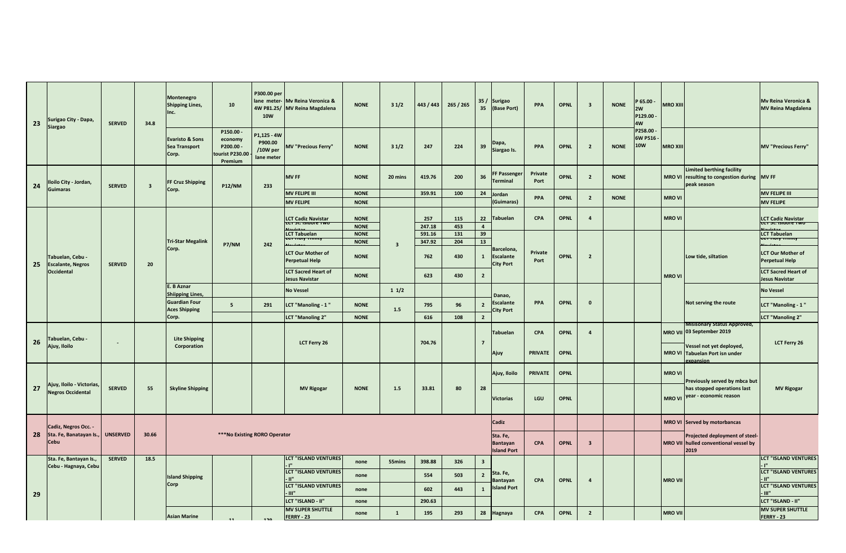| 23 | Surigao City - Dapa,<br><b>Siargao</b>                | <b>SERVED</b>   | 34.8                    | <b>Montenegro</b><br><b>Shipping Lines,</b><br>Inc.         | 10                                                            | P300.00 per<br>lane meter-<br><b>10W</b>         | Mv Reina Veronica &<br>4W P81.25/ MV Reina Magdalena | <b>NONE</b>                | 31/2                    | 443 / 443        | 265/265    | 35/<br>35               | Surigao<br>(Base Port)                             | <b>PPA</b>      | <b>OPNL</b> | $\overline{\mathbf{3}}$ | <b>NONE</b> | 965.00<br>2W<br>P129.00<br>4W    | <b>MRO XIII</b> |                                                                                        | Mv Reina Veronica &<br><b>MV Reina Magdalena</b>          |
|----|-------------------------------------------------------|-----------------|-------------------------|-------------------------------------------------------------|---------------------------------------------------------------|--------------------------------------------------|------------------------------------------------------|----------------------------|-------------------------|------------------|------------|-------------------------|----------------------------------------------------|-----------------|-------------|-------------------------|-------------|----------------------------------|-----------------|----------------------------------------------------------------------------------------|-----------------------------------------------------------|
|    |                                                       |                 |                         | <b>Evaristo &amp; Sons</b><br><b>Sea Transport</b><br>Corp. | P150.00<br>economy<br>P200.00 -<br>tourist P230.00<br>Premium | P1,125 - 4W<br>P900.00<br>/10W per<br>lane meter | <b>MV "Precious Ferry"</b>                           | <b>NONE</b>                | 31/2                    | 247              | 224        | 39                      | Dapa,<br>Siargao Is.                               | PPA             | <b>OPNL</b> | $\overline{2}$          | <b>NONE</b> | P258.00<br>6W P516<br><b>10W</b> | <b>MRO XIII</b> |                                                                                        | <b>MV "Precious Ferry"</b>                                |
| 24 | Iloilo City - Jordan,<br><b>Guimaras</b>              | <b>SERVED</b>   | $\overline{\mathbf{3}}$ | FF Cruz Shipping<br>Corp.                                   | <b>P12/NM</b>                                                 | 233                                              | <b>MV FF</b>                                         | <b>NONE</b>                | 20 mins                 | 419.76           | 200        | 36                      | <b>Passenger</b><br>erminal                        | Private<br>Port | <b>OPNL</b> | $\overline{2}$          | <b>NONE</b> |                                  | <b>MRO VI</b>   | Limited berthing facility<br>resulting to congestion during MV FF<br>peak season       |                                                           |
|    |                                                       |                 |                         |                                                             |                                                               |                                                  | <b>MV FELIPE III</b>                                 | <b>NONE</b>                |                         | 359.91           | 100        | 24                      | lordan                                             | PPA             | <b>OPNL</b> | $\overline{2}$          | <b>NONE</b> |                                  | <b>MRO VI</b>   |                                                                                        | <b>MV FELIPE III</b>                                      |
|    |                                                       |                 |                         |                                                             |                                                               |                                                  | <b>MV FELIPE</b>                                     | <b>NONE</b>                |                         |                  |            |                         | (Guimaras)                                         |                 |             |                         |             |                                  |                 |                                                                                        | <b>MV FELIPE</b>                                          |
|    |                                                       |                 |                         |                                                             |                                                               |                                                  | <b>LCT Cadiz Navistar</b><br>LCT 31. ISIUDIE TWO     | <b>NONE</b>                |                         | 257              | 115        | 22                      | <b>Tabuelan</b>                                    | <b>CPA</b>      | <b>OPNL</b> | $\overline{4}$          |             |                                  | <b>MRO VI</b>   |                                                                                        | <b>LCT Cadiz Navistar</b><br><del>LCT JL ISIUDIE TW</del> |
|    |                                                       |                 |                         |                                                             |                                                               |                                                  |                                                      | <b>NONE</b><br><b>NONE</b> |                         | 247.18<br>591.16 | 453<br>131 | $\overline{4}$          |                                                    |                 |             |                         |             |                                  |                 |                                                                                        |                                                           |
|    |                                                       |                 |                         | <b>Tri-Star Megalink</b>                                    |                                                               |                                                  | <b>LCT Tabuelan</b><br><b>ECT HOTY THIRTY</b>        | <b>NONE</b>                |                         | 347.92           | 204        | 39<br>13                |                                                    |                 |             |                         |             |                                  |                 |                                                                                        | <b>LCT Tabuelan</b>                                       |
| 25 | Tabuelan, Cebu -<br><b>Escalante, Negros</b>          | <b>SERVED</b>   | 20                      | Corp.                                                       | P7/NM                                                         | 242                                              | <b>LCT Our Mother of</b><br><b>Perpetual Help</b>    | <b>NONE</b>                | $\overline{\mathbf{3}}$ | 762              | 430        | $\mathbf{1}$            | Barcelona,<br><b>Escalante</b><br><b>City Port</b> | Private<br>Port | <b>OPNL</b> | $\overline{2}$          |             |                                  |                 | Low tide, siltation                                                                    | <b>LCT Our Mother of</b><br><b>Perpetual Help</b>         |
|    | Occidental                                            |                 |                         |                                                             |                                                               |                                                  | <b>LCT Sacred Heart of</b><br><b>Jesus Navistar</b>  | <b>NONE</b>                |                         | 623              | 430        | $\overline{2}$          |                                                    |                 |             |                         |             |                                  | <b>MRO VI</b>   |                                                                                        | <b>LCT Sacred Heart of</b><br><b>Jesus Navistar</b>       |
|    |                                                       |                 |                         | E. B Aznar<br><b>Shiipping Lines,</b>                       |                                                               |                                                  | <b>No Vessel</b>                                     |                            | 11/2                    |                  |            |                         | Danao.                                             |                 |             |                         |             |                                  |                 |                                                                                        | <b>No Vessel</b>                                          |
|    |                                                       |                 |                         | <b>Guardian Four</b><br><b>Aces Shipping</b>                | $5\overline{5}$                                               | 291                                              | LCT "Manoling - 1"                                   | <b>NONE</b>                | $1.5\,$                 | 795              | 96         | $\overline{2}$          | Escalante<br>City Port                             | PPA             | <b>OPNL</b> | $\mathbf{0}$            |             |                                  |                 | Not serving the route                                                                  | LCT "Manoling - 1"                                        |
|    |                                                       |                 |                         | Corp.                                                       |                                                               |                                                  | <b>LCT "Manoling 2"</b>                              | <b>NONE</b>                |                         | 616              | 108        | $\overline{2}$          |                                                    |                 |             |                         |             |                                  |                 |                                                                                        | <b>LCT "Manoling 2"</b>                                   |
|    | Tabuelan, Cebu -                                      |                 |                         | <b>Lite Shipping</b>                                        |                                                               |                                                  |                                                      |                            |                         |                  |            |                         | <b>Tabuelan</b>                                    | CPA             | <b>OPNL</b> | $\overline{a}$          |             |                                  |                 | Misisonary Status Approved,<br>MRO VII 03 September 2019                               |                                                           |
| 26 | Ajuy, Iloilo                                          | ۰.              |                         | Corporation                                                 |                                                               |                                                  | LCT Ferry 26                                         |                            |                         | 704.76           |            | $\overline{7}$          | Ajuy                                               | <b>PRIVATE</b>  | <b>OPNL</b> |                         |             |                                  | <b>MRO VI</b>   | Vessel not yet deployed,<br>Tabuelan Port isn under<br>expansion                       | <b>LCT Ferry 26</b>                                       |
|    |                                                       |                 |                         |                                                             |                                                               |                                                  |                                                      |                            |                         |                  |            |                         | Ajuy, Iloilo                                       | <b>PRIVATE</b>  | <b>OPNL</b> |                         |             |                                  | <b>MRO VI</b>   |                                                                                        |                                                           |
| 27 | Ajuy, Iloilo - Victorias,<br><b>Negros Occidental</b> | <b>SERVED</b>   | 55                      | <b>Skyline Shipping</b>                                     |                                                               |                                                  | <b>MV Rigogar</b>                                    | <b>NONE</b>                | 1.5                     | 33.81            | 80         | 28                      |                                                    |                 |             |                         |             |                                  |                 | Previously served by mbca but<br>has stopped operations last<br>year - economic reason | <b>MV Rigogar</b>                                         |
|    |                                                       |                 |                         |                                                             |                                                               |                                                  |                                                      |                            |                         |                  |            |                         | <b>Victorias</b>                                   | LGU             | <b>OPNL</b> |                         |             |                                  | <b>MRO VI</b>   |                                                                                        |                                                           |
|    | Cadiz, Negros Occ. -                                  |                 |                         |                                                             |                                                               |                                                  |                                                      |                            |                         |                  |            |                         | Cadiz                                              |                 |             |                         |             |                                  |                 | MRO VI Served by motorbancas                                                           |                                                           |
| 28 | Sta. Fe, Banatayan Is.,<br>Cebu                       | <b>UNSERVED</b> | 30.66                   |                                                             | *** No Existing RORO Operator                                 |                                                  |                                                      |                            |                         |                  |            |                         | Sta. Fe,<br><b>Bantayan</b><br><b>Island Port</b>  | <b>CPA</b>      | <b>OPNL</b> | $\overline{\mathbf{3}}$ |             |                                  |                 | Projected deployment of steel-<br>MRO VII hulled conventional vessel by<br>2019        |                                                           |
|    | Sta. Fe, Bantayan Is.,                                | <b>SERVED</b>   | 18.5                    |                                                             |                                                               |                                                  | <b>LCT "ISLAND VENTURES</b>                          | none                       | 55mins                  | 398.88           | 326        | $\overline{\mathbf{3}}$ |                                                    |                 |             |                         |             |                                  |                 |                                                                                        | <b>LCT "ISLAND VENTURES</b>                               |
|    | Cebu - Hagnaya, Cebu                                  |                 |                         | <b>Island Shipping</b>                                      |                                                               |                                                  | <b>LCT "ISLAND VENTURES</b><br>- 11"                 | none                       |                         | 554              | 503        | $\overline{2}$          | Sta. Fe,                                           |                 |             |                         |             |                                  |                 |                                                                                        | <b>LCT "ISLAND VENTURES</b><br>- 11"                      |
|    |                                                       |                 |                         | Corp                                                        |                                                               |                                                  | <b>LCT "ISLAND VENTURES</b><br>l- m"                 | none                       |                         | 602              | 443        | $\mathbf{1}$            | <b>Bantayan</b><br>sland Port                      | <b>CPA</b>      | <b>OPNL</b> | $\overline{4}$          |             |                                  | <b>MRO VII</b>  |                                                                                        | <b>LCT "ISLAND VENTURES</b><br>- 111"                     |
| 29 |                                                       |                 |                         |                                                             |                                                               |                                                  | LCT "ISLAND - II"                                    | none                       |                         | 290.63           |            |                         |                                                    |                 |             |                         |             |                                  |                 |                                                                                        | LCT "ISLAND - II"                                         |
|    |                                                       |                 |                         | <b>Asian Marine</b>                                         |                                                               |                                                  | <b>MV SUPER SHUTTLE</b><br>FERRY - 23                | none                       | $\mathbf 1$             | 195              | 293        | 28                      | Hagnaya                                            | <b>CPA</b>      | <b>OPNL</b> | $\overline{2}$          |             |                                  | <b>MRO VII</b>  |                                                                                        | <b>MV SUPER SHUTTLE</b><br><b>FERRY - 23</b>              |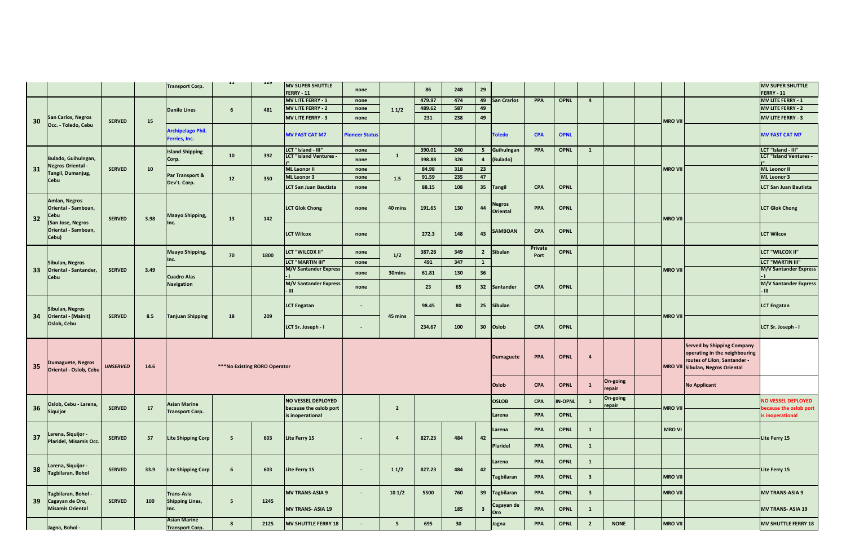|    |                                                                   |                 |      | <b>Transport Corp.</b>                        | $\mathbf{1}\mathbf{1}$        | 149  | <b>MV SUPER SHUTTLE</b><br>FERRY - 11 | none                  |                | 86     | 248 | 29                      |                           |            |                |                         |                    |                |                                                                                                                                        | <b>MV SUPER SHUTTLE</b><br><b>FERRY - 11</b> |
|----|-------------------------------------------------------------------|-----------------|------|-----------------------------------------------|-------------------------------|------|---------------------------------------|-----------------------|----------------|--------|-----|-------------------------|---------------------------|------------|----------------|-------------------------|--------------------|----------------|----------------------------------------------------------------------------------------------------------------------------------------|----------------------------------------------|
|    |                                                                   |                 |      |                                               |                               |      | MV LITE FERRY - 1                     | none                  |                | 479.97 | 474 | 49                      | <b>San Crarlos</b>        | PPA        | <b>OPNL</b>    | $\overline{4}$          |                    |                |                                                                                                                                        | MV LITE FERRY - 1                            |
|    |                                                                   |                 |      | <b>Danilo Lines</b>                           | $6\overline{6}$               | 481  | <b>MV LITE FERRY - 2</b>              | none                  | 11/2           | 489.62 | 587 | 49                      |                           |            |                |                         |                    |                |                                                                                                                                        | MV LITE FERRY - 2                            |
| 30 | San Carlos, Negros                                                | <b>SERVED</b>   | 15   |                                               |                               |      | <b>MV LITE FERRY - 3</b>              | none                  |                | 231    | 238 | 49                      |                           |            |                |                         |                    | <b>MRO VII</b> |                                                                                                                                        | MV LITE FERRY - 3                            |
|    | Occ. - Toledo, Cebu                                               |                 |      | <b>Archipelago Phil.</b><br>erries, Inc.      |                               |      | <b>MV FAST CAT M7</b>                 | <b>Pioneer Status</b> |                |        |     |                         | <b>Toledo</b>             | <b>CPA</b> | <b>OPNL</b>    |                         |                    |                |                                                                                                                                        | <b>MV FAST CAT M7</b>                        |
|    |                                                                   |                 |      | <b>Island Shipping</b>                        |                               |      | LCT "Island - III"                    | none                  |                | 390.01 | 240 |                         | 5 Guihulngan              | PPA        | <b>OPNL</b>    | $\mathbf{1}$            |                    |                |                                                                                                                                        | LCT "Island - III"                           |
|    | Bulado, Guihulngan,                                               |                 |      | Corp.                                         | ${\bf 10}$                    | 392  | <b>LCT "Island Ventures -</b>         | none                  | $\mathbf 1$    | 398.88 | 326 | $\overline{4}$          | (Bulado)                  |            |                |                         |                    |                |                                                                                                                                        | <b>LCT "Island Ventures -</b>                |
| 31 | Negros Oriental -                                                 | <b>SERVED</b>   | 10   |                                               |                               |      | <b>ML Leonor II</b>                   | none                  |                | 84.98  | 318 | 23                      |                           |            |                |                         |                    | <b>MRO VI</b>  |                                                                                                                                        | <b>ML Leonor II</b>                          |
|    | Tangil, Dumanjug,<br>Cebu                                         |                 |      | Par Transport &                               | 12                            | 350  | <b>ML Leonor 3</b>                    | none                  | $1.5\,$        | 91.59  | 235 | 47                      |                           |            |                |                         |                    |                |                                                                                                                                        | <b>ML Leonor 3</b>                           |
|    |                                                                   |                 |      | Dev't. Corp.                                  |                               |      | <b>LCT San Juan Bautista</b>          | none                  |                | 88.15  | 108 | 35                      | <b>Tangil</b>             | <b>CPA</b> | <b>OPNL</b>    |                         |                    |                |                                                                                                                                        | <b>LCT San Juan Bautista</b>                 |
| 32 | Amlan, Negros<br>Oriental - Samboan,<br>Cebu<br>(San Jose, Negros | <b>SERVED</b>   | 3.98 | Maayo Shipping,<br>Inc.                       | 13                            | 142  | <b>LCT Glok Chong</b>                 | none                  | 40 mins        | 191.65 | 130 | 44                      | legros<br><b>Oriental</b> | PPA        | <b>OPNL</b>    |                         |                    | <b>MRO VII</b> |                                                                                                                                        | <b>LCT Glok Chong</b>                        |
|    | Oriental - Samboan,<br>Cebu)                                      |                 |      |                                               |                               |      | <b>LCT Wilcox</b>                     | none                  |                | 272.3  | 148 | 43                      | <b>AMBOAN</b>             | <b>CPA</b> | <b>OPNL</b>    |                         |                    |                |                                                                                                                                        | <b>LCT Wilcox</b>                            |
|    |                                                                   |                 |      | <b>Maayo Shipping,</b>                        |                               |      | LCT "WILCOX II"                       | none                  |                | 387.28 | 349 | $\overline{2}$          | <b>Sibulan</b>            | Private    | <b>OPNL</b>    |                         |                    |                |                                                                                                                                        | LCT "WILCOX II"                              |
|    |                                                                   |                 |      | Inc.                                          | 70                            | 1800 | <b>LCT "MARTIN III"</b>               | none                  | 1/2            | 491    | 347 | $\mathbf{1}$            |                           | Port       |                |                         |                    |                |                                                                                                                                        | LCT "MARTIN III"                             |
| 33 | Sibulan, Negros<br>Oriental - Santander,                          | <b>SERVED</b>   | 3.49 |                                               |                               |      | <b>M/V Santander Express</b>          |                       |                |        |     |                         |                           |            |                |                         |                    | <b>MRO VII</b> |                                                                                                                                        | <b>M/V Santander Express</b>                 |
|    | Cebu                                                              |                 |      | <b>Cuadro Alas</b>                            |                               |      |                                       | none                  | 30mins         | 61.81  | 130 | 36                      |                           |            |                |                         |                    |                |                                                                                                                                        |                                              |
|    |                                                                   |                 |      | <b>Navigation</b>                             |                               |      | M/V Santander Express<br>- 111        | none                  |                | 23     | 65  | 32                      | <b>Santander</b>          | <b>CPA</b> | <b>OPNL</b>    |                         |                    |                |                                                                                                                                        | <b>M/V Santander Express</b>                 |
| 34 | Sibulan, Negros<br><b>Oriental - (Mainit)</b>                     | <b>SERVED</b>   | 8.5  | <b>Tanjuan Shipping</b>                       | 18                            | 209  | <b>LCT Engatan</b>                    | $\sim$                | 45 mins        | 98.45  | 80  | 25                      | Sibulan                   |            |                |                         |                    | <b>MRO VII</b> |                                                                                                                                        | <b>LCT Engatan</b>                           |
|    | Oslob, Cebu                                                       |                 |      |                                               |                               |      | LCT Sr. Joseph - I                    | $\sim$                |                | 234.67 | 100 | 30                      | Oslob                     | <b>CPA</b> | <b>OPNL</b>    |                         |                    |                |                                                                                                                                        | LCT Sr. Joseph - I                           |
| 35 | <b>Dumaguete, Negros</b><br>Oriental - Oslob, Cebu                | <b>UNSERVED</b> | 14.6 |                                               | *** No Existing RORO Operator |      |                                       |                       |                |        |     |                         | <b>Dumaguete</b>          | PPA        | <b>OPNL</b>    | $\mathbf{A}$            |                    |                | <b>Served by Shipping Company</b><br>operating in the neighbouring<br>routes of Lilon, Santander -<br>MRO VII Sibulan, Negros Oriental |                                              |
|    |                                                                   |                 |      |                                               |                               |      |                                       |                       |                |        |     |                         | Oslob                     | <b>CPA</b> | <b>OPNL</b>    | $\mathbf{1}$            | On-going<br>repair |                | <b>No Applicant</b>                                                                                                                    |                                              |
|    |                                                                   |                 |      |                                               |                               |      | <b>NO VESSEL DEPLOYED</b>             |                       |                |        |     |                         | <b>OSLOB</b>              | <b>CPA</b> | <b>IN-OPNL</b> | $\mathbf{1}$            | On-going           |                |                                                                                                                                        | <b>NO VESSEL DEPLOYED</b>                    |
| 36 | Oslob, Cebu - Larena,                                             | <b>SERVED</b>   | 17   | <b>Asian Marine</b><br><b>Transport Corp.</b> |                               |      | because the oslob port                |                       | $\overline{2}$ |        |     |                         |                           |            |                |                         | epair              | <b>MRO VII</b> |                                                                                                                                        | ecause the oslob port                        |
|    | Siquijor                                                          |                 |      |                                               |                               |      | is inoperational                      |                       |                |        |     |                         | Larena                    | PPA        | <b>OPNL</b>    |                         |                    |                |                                                                                                                                        | s inoperational                              |
|    | Larena, Siquijor -                                                |                 |      |                                               |                               |      |                                       |                       |                |        |     |                         | Larena                    | <b>PPA</b> | <b>OPNL</b>    | $\mathbf{1}$            |                    | <b>MROVI</b>   |                                                                                                                                        |                                              |
| 37 | Plaridel, Misamis Occ.                                            | <b>SERVED</b>   | 57   | <b>Lite Shipping Corp</b>                     | 5                             | 603  | Lite Ferry 15                         | $\sim$                | $\overline{a}$ | 827.23 | 484 | 42                      | Plaridel                  | PPA        | <b>OPNL</b>    | $\mathbf 1$             |                    |                |                                                                                                                                        | Lite Ferry 15                                |
|    |                                                                   |                 |      |                                               |                               |      |                                       |                       |                |        |     |                         | arena                     | PPA        | <b>OPNL</b>    | $\mathbf{1}$            |                    |                |                                                                                                                                        |                                              |
| 38 | Larena, Siquijor -                                                | <b>SERVED</b>   | 33.9 | <b>Lite Shipping Corp</b>                     | $\boldsymbol{6}$              | 603  | Lite Ferry 15                         | $\sim$                | 11/2           | 827.23 | 484 | 42                      |                           |            |                |                         |                    |                |                                                                                                                                        | Lite Ferry 15                                |
|    | Tagbilaran, Bohol                                                 |                 |      |                                               |                               |      |                                       |                       |                |        |     |                         | <b>Tagbilaran</b>         | PPA        | <b>OPNL</b>    | $\overline{\mathbf{3}}$ |                    | <b>MRO VII</b> |                                                                                                                                        |                                              |
| 39 | Fagbilaran, Bohol -<br>Cagayan de Oro,                            | <b>SERVED</b>   | 100  | Trans-Asia<br>Shipping Lines,                 | 5 <sub>5</sub>                | 1245 | <b>MV TRANS-ASIA 9</b>                |                       | 101/2          | 5500   | 760 | 39                      | agbilaran                 | PPA        | <b>OPNL</b>    | $\overline{\mathbf{3}}$ |                    | <b>MRO VII</b> |                                                                                                                                        | <b>MV TRANS-ASIA 9</b>                       |
|    | <b>Misamis Oriental</b>                                           |                 |      | Inc.                                          |                               |      | <b>MV TRANS- ASIA 19</b>              |                       |                |        | 185 | $\overline{\mathbf{3}}$ | Cagayan de<br>(Cro        | PPA        | <b>OPNL</b>    | $\mathbf{1}$            |                    |                |                                                                                                                                        | <b>MV TRANS- ASIA 19</b>                     |
|    | Jagna, Bohol -                                                    |                 |      | <b>Asian Marine</b><br><b>Transport Corp.</b> | 8                             | 2125 | <b>MV SHUTTLE FERRY 18</b>            |                       | 5              | 695    | 30  |                         | Jagna                     | PPA        | <b>OPNL</b>    | $\overline{2}$          | <b>NONE</b>        | <b>MRO VII</b> |                                                                                                                                        | <b>MV SHUTTLE FERRY 18</b>                   |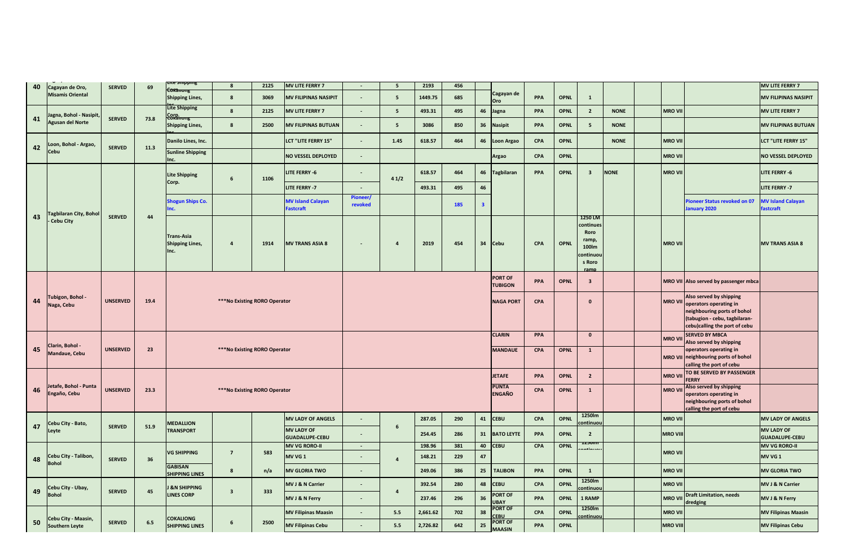| 40  |                                            | <b>SERVED</b>   | 69   | the smpping                                  | $\boldsymbol{8}$              | 2125 | <b>MV LITE FERRY 7</b>                       | $\sim$              | 5 <sup>5</sup> | 2193     | 456 |                         |                                  |            |             |                                                                               |             |                 |                                                                                                                                                            | <b>MV LITE FERRY 7</b>                     |
|-----|--------------------------------------------|-----------------|------|----------------------------------------------|-------------------------------|------|----------------------------------------------|---------------------|----------------|----------|-----|-------------------------|----------------------------------|------------|-------------|-------------------------------------------------------------------------------|-------------|-----------------|------------------------------------------------------------------------------------------------------------------------------------------------------------|--------------------------------------------|
|     | Cagayan de Oro,<br><b>Misamis Oriental</b> |                 |      | Cokanony<br><b>Shipping Lines,</b>           | 8                             | 3069 | <b>MV FILIPINAS NASIPIT</b>                  |                     | 5 <sup>5</sup> | 1449.75  | 685 |                         | Cagayan de<br>Oro                | PPA        | <b>OPNL</b> | $\mathbf{1}$                                                                  |             |                 |                                                                                                                                                            | <b>MV FILIPINAS NASIPIT</b>                |
|     | Jagna, Bohol - Nasipit                     |                 |      | <b>Lite Shipping</b>                         | 8                             | 2125 | <b>MV LITE FERRY 7</b>                       | $\blacksquare$      | 5 <sub>5</sub> | 493.31   | 495 | 46                      | Jagna                            | PPA        | <b>OPNL</b> | $\overline{2}$                                                                | <b>NONE</b> | <b>MRO VII</b>  |                                                                                                                                                            | <b>MV LITE FERRY 7</b>                     |
| 41  | <b>Agusan del Norte</b>                    | <b>SERVED</b>   | 73.8 | <b>E8Rationg</b><br><b>Shipping Lines,</b>   | 8                             | 2500 | <b>MV FILIPINAS BUTUAN</b>                   | $\blacksquare$      | 5 <sub>5</sub> | 3086     | 850 | 36                      | <b>Nasipit</b>                   | PPA        | <b>OPNL</b> | 5                                                                             | <b>NONE</b> |                 |                                                                                                                                                            | <b>MV FILIPINAS BUTUAN</b>                 |
|     | .oon, Bohol - Argao,                       |                 |      | Danilo Lines, Inc.                           |                               |      | <b>LCT "LITE FERRY 15"</b>                   | ÷,                  | 1.45           | 618.57   | 464 | 46                      | oon Argao                        | <b>CPA</b> | <b>OPNL</b> |                                                                               | <b>NONE</b> | <b>MRO VII</b>  |                                                                                                                                                            | <b>LCT "LITE FERRY 15"</b>                 |
| 42  | Cebu                                       | <b>SERVED</b>   | 11.3 | <b>Sunline Shipping</b><br>Inc.              |                               |      | <b>NO VESSEL DEPLOYED</b>                    | ÷,                  |                |          |     |                         | Argao                            | CPA        | <b>OPNL</b> |                                                                               |             | <b>MRO VII</b>  |                                                                                                                                                            | <b>NO VESSEL DEPLOYED</b>                  |
|     |                                            |                 |      | <b>Lite Shipping</b>                         | $\boldsymbol{6}$              | 1106 | LITE FERRY -6                                | $\blacksquare$      | 41/2           | 618.57   | 464 | 46                      | agbilaran                        | PPA        | <b>OPNL</b> | $\overline{\mathbf{3}}$                                                       | <b>NONE</b> | <b>MRO VII</b>  |                                                                                                                                                            | LITE FERRY -6                              |
|     |                                            |                 |      | Corp.                                        |                               |      | LITE FERRY -7                                | $\blacksquare$      |                | 493.31   | 495 | 46                      |                                  |            |             |                                                                               |             |                 |                                                                                                                                                            | LITE FERRY -7                              |
|     |                                            |                 |      | <b>Shogun Ships Co.</b>                      |                               |      | <b>MV Island Calayan</b><br><b>Fastcraft</b> | Pioneer/<br>revoked |                |          | 185 | $\overline{\mathbf{3}}$ |                                  |            |             |                                                                               |             |                 | ioneer Status revoked on 07<br>anuary 2020                                                                                                                 | <b>MV Island Calayan</b><br>fastcraft      |
| 43  | agbilaran City, Bohol<br>Cebu City         | <b>SERVED</b>   | 44   | Trans-Asia<br><b>Shipping Lines,</b><br>Inc. | $\overline{a}$                | 1914 | <b>MV TRANS ASIA 8</b>                       | $\blacksquare$      | $\overline{a}$ | 2019     | 454 | 34                      | <b>Cebu</b>                      | <b>CPA</b> | <b>OPNL</b> | 1250 LM<br>continues<br>Roro<br>ramp.<br>100lm<br>continuou<br>s Roro<br>ramp |             | <b>MRO VII</b>  |                                                                                                                                                            | <b>MV TRANS ASIA 8</b>                     |
|     |                                            |                 |      |                                              |                               |      |                                              |                     |                |          |     |                         | <b>PORT OF</b><br><b>TUBIGON</b> | PPA        | <b>OPNL</b> | $\overline{\mathbf{3}}$                                                       |             |                 | MRO VII Also served by passenger mbca                                                                                                                      |                                            |
| 44  | - rubigon, Bohol<br>Naga, Cebu             | <b>UNSERVED</b> | 19.4 |                                              | *** No Existing RORO Operator |      |                                              |                     |                |          |     |                         | <b>NAGA PORT</b>                 | CPA        |             | $\mathbf{0}$                                                                  |             |                 | Also served by shipping<br>MRO VII operators operating in<br>neighbouring ports of bohol<br>(tabugion - cebu, tagbilaran-<br>cebu)calling the port of cebu |                                            |
|     |                                            |                 |      |                                              |                               |      |                                              |                     |                |          |     |                         | <b>CLARIN</b>                    | PPA        |             | $\mathbf{0}$                                                                  |             | <b>MRO VI</b>   | <b>SERVED BY MBCA</b><br>Also served by shipping                                                                                                           |                                            |
| 45  | Clarin, Bohol -<br>Mandaue, Cebu           | <b>UNSERVED</b> | 23   |                                              | *** No Existing RORO Operator |      |                                              |                     |                |          |     |                         | <b>MANDAUE</b>                   | CPA        | <b>OPNL</b> | $\mathbf{1}$                                                                  |             |                 | operators operating in<br>MRO VII neighbouring ports of bohol<br>calling the port of cebu                                                                  |                                            |
|     |                                            |                 |      |                                              |                               |      |                                              |                     |                |          |     |                         | <b>JETAFE</b>                    | <b>PPA</b> | <b>OPNL</b> | $\overline{2}$                                                                |             | <b>MRO VI</b>   | TO BE SERVED BY PASSENGER<br><b>FERRY</b>                                                                                                                  |                                            |
| 46  | etafe, Bohol - Punta<br>Engaño, Cebu       | <b>UNSERVED</b> | 23.3 |                                              | ***No Existing RORO Operator  |      |                                              |                     |                |          |     |                         | <b>PUNTA</b><br><b>ENGAÑO</b>    | CPA        | <b>OPNL</b> | $\mathbf{1}$                                                                  |             | <b>MRO VI</b>   | Also served by shipping<br>operators operating in<br>neighbouring ports of bohol<br>calling the port of cebu                                               |                                            |
|     | Cebu City - Bato,                          |                 |      | <b>MEDALLION</b>                             |                               |      | <b>MV LADY OF ANGELS</b>                     |                     |                | 287.05   | 290 | 41                      | <b>CEBU</b>                      | <b>CPA</b> | <b>OPNL</b> | 1250lm<br>:ontinuol                                                           |             | <b>MRO VII</b>  |                                                                                                                                                            | <b>MV LADY OF ANGELS</b>                   |
| 47  | eyte.                                      | <b>SERVED</b>   | 51.9 | <b>TRANSPORT</b>                             |                               |      | <b>MV LADY OF</b><br><b>GUADALUPE-CEBU</b>   | $\blacksquare$      | 6              | 254.45   | 286 | 31                      | <b>BATO LEYTE</b>                | PPA        | <b>OPNL</b> | $\overline{2}$                                                                |             | <b>MRO VIII</b> |                                                                                                                                                            | <b>MV LADY OF</b><br><b>GUADALUPE-CEBU</b> |
|     |                                            |                 |      | <b>VG SHIPPING</b>                           | $\overline{7}$                | 583  | <b>MV VG RORO-II</b>                         | $\sim$              |                | 198.96   | 381 | 40                      | <b>CEBU</b>                      | <b>CPA</b> | <b>OPNL</b> |                                                                               |             | <b>MRO VII</b>  |                                                                                                                                                            | <b>MV VG RORO-II</b>                       |
| 48  | ebu City - Talibon,<br><b>Boho</b>         | <b>SERVED</b>   | 36   |                                              |                               |      | MV VG 1                                      | $\blacksquare$      | $\overline{a}$ | 148.21   | 229 | 47                      |                                  |            |             |                                                                               |             |                 |                                                                                                                                                            | MV VG 1                                    |
|     |                                            |                 |      | <b>GABISAN</b><br><b>SHIPPING LINES</b>      | 8                             | n/a  | <b>MV GLORIA TWO</b>                         |                     |                | 249.06   | 386 | 25                      | <b>TALIBON</b>                   | PPA        | <b>OPNL</b> | $\mathbf{1}$                                                                  |             | <b>MRO VII</b>  |                                                                                                                                                            | <b>MV GLORIA TWO</b>                       |
| 49  | Cebu City - Ubay,                          | <b>SERVED</b>   | 45   | <b>&amp;N SHIPPING</b>                       | $\overline{\mathbf{3}}$       | 333  | <b>MV J &amp; N Carrier</b>                  | $\blacksquare$      | $\overline{a}$ | 392.54   | 280 | 48                      | <b>CEBU</b>                      | <b>CPA</b> | <b>OPNL</b> | 1250lm<br>ontinuou:                                                           |             | <b>MRO VII</b>  |                                                                                                                                                            | <b>MV J &amp; N Carrier</b>                |
|     | <b>Bohol</b>                               |                 |      | <b>LINES CORP</b>                            |                               |      | MV J & N Ferry                               | $\blacksquare$      |                | 237.46   | 296 | 36                      | <b>ORT OF</b><br><b>BAY</b>      | PPA        | <b>OPNL</b> | 1 RAMP                                                                        |             | <b>MRO VI</b>   | <b>Draft Limitation, needs</b><br>dredging                                                                                                                 | MV J & N Ferry                             |
|     | Cebu City - Maasin,                        |                 |      | <b>COKALIONG</b>                             |                               |      | <b>MV Filipinas Maasin</b>                   |                     | 5.5            | 2,661.62 | 702 | 38                      | <b>PORT OF</b><br><b>EBU</b>     | CPA        | <b>OPNL</b> | 1250lm<br>ontinuou                                                            |             | <b>MRO VI</b>   |                                                                                                                                                            | <b>MV Filipinas Maasin</b>                 |
| -50 | Southern Leyte                             | <b>SERVED</b>   | 6.5  | <b>SHIPPING LINES</b>                        | 6                             | 2500 | <b>MV Filipinas Cebu</b>                     | $\blacksquare$      | 5.5            | 2,726.82 | 642 | 25                      | <b>PORT OF</b><br><b>MAASIN</b>  | PPA        | <b>OPNL</b> |                                                                               |             | <b>MRO VIII</b> |                                                                                                                                                            | <b>MV Filipinas Cebu</b>                   |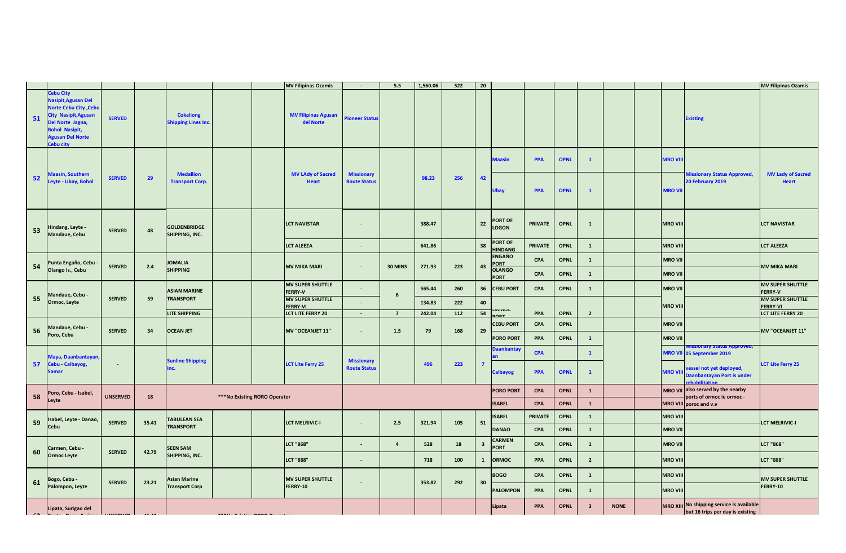|    |                                                                                                                                                                     |                 |       |                                               |                              | <b>MV Filipinas Ozamis</b>                 |                                          | 5.5            | 1,560.06 | 522 | 20                      |                                |                |             |                         |             |                 |                                                                               | <b>MV Filipinas Ozamis</b>                 |
|----|---------------------------------------------------------------------------------------------------------------------------------------------------------------------|-----------------|-------|-----------------------------------------------|------------------------------|--------------------------------------------|------------------------------------------|----------------|----------|-----|-------------------------|--------------------------------|----------------|-------------|-------------------------|-------------|-----------------|-------------------------------------------------------------------------------|--------------------------------------------|
| 51 | ebu City<br>Nasipit, Agusan Del<br><b>Norte Cebu City, Cebu</b><br>ity Nasipit, Agusan<br>el Norte Jagna,<br>Bohol Nasipit,<br><b>Agusan Del Norte</b><br>Cebu city | <b>SERVED</b>   |       | <b>Cokaliong</b><br><b>Shipping Lines Inc</b> |                              | <b>MV Filipinas Agusan</b><br>del Norte    | <b>Pioneer Status</b>                    |                |          |     |                         |                                |                |             |                         |             |                 | <b>Existing</b>                                                               |                                            |
|    |                                                                                                                                                                     |                 |       |                                               |                              |                                            |                                          |                |          |     |                         | <b>Maasin</b>                  | <b>PPA</b>     | <b>OPNL</b> | $\mathbf{1}$            |             | <b>MRO VIII</b> |                                                                               |                                            |
| 52 | laasin, Southern<br>eyte - Ubay, Bohol                                                                                                                              | <b>SERVED</b>   | 29    | <b>Medallion</b><br><b>Transport Corp.</b>    |                              | <b>MV LAdy of Sacred</b><br><b>Heart</b>   | <b>Missionary</b><br><b>Route Status</b> |                | 98.23    | 256 | 42                      | <b>Jbay</b>                    | <b>PPA</b>     | <b>OPNL</b> | $\mathbf{1}$            |             | <b>MRO VII</b>  | <b>Missionary Status Approved,</b><br>20 February 2019                        | <b>MV Lady of Sacred</b><br><b>Heart</b>   |
| 53 | Hindang, Leyte -<br>Mandaue, Cebu                                                                                                                                   | <b>SERVED</b>   | 48    | <b>GOLDENBRIDGE</b><br>SHIPPING, INC.         |                              | <b>LCT NAVISTAR</b>                        | $\blacksquare$                           |                | 388.47   |     | $\bf 22$                | <b>PORT OF</b><br><b>LOGON</b> | <b>PRIVATE</b> | <b>OPNL</b> | $\mathbf{1}$            |             | <b>MRO VII</b>  |                                                                               | <b>LCT NAVISTAR</b>                        |
|    |                                                                                                                                                                     |                 |       |                                               |                              | <b>LCT ALEEZA</b>                          | $\blacksquare$                           |                | 641.86   |     | 38                      | ORT OF<br><b>HINDANG</b>       | <b>PRIVATE</b> | <b>OPNL</b> | $\mathbf{1}$            |             | <b>MRO VII</b>  |                                                                               | <b>LCT ALEEZA</b>                          |
| 54 | Punta Engaño, Cebu                                                                                                                                                  | <b>SERVED</b>   | 2.4   | <b>JOMALIA</b>                                |                              | <b>MV MIKA MARI</b>                        | $\blacksquare$                           | 30 MINS        | 271.93   | 223 | 43                      | <b>ENGAÑO</b><br><b>PORT</b>   | <b>CPA</b>     | <b>OPNL</b> | $\mathbf{1}$            |             | <b>MRO VII</b>  |                                                                               | <b>MV MIKA MARI</b>                        |
|    | Olango Is., Cebu                                                                                                                                                    |                 |       | <b>SHIPPING</b>                               |                              |                                            |                                          |                |          |     |                         | <b>OLANGO</b><br><b>ORT</b>    | CPA            | <b>OPNL</b> | $\mathbf{1}$            |             | <b>MRO VII</b>  |                                                                               |                                            |
|    |                                                                                                                                                                     |                 |       | <b>ASIAN MARINE</b>                           |                              | <b>MV SUPER SHUTTLE</b><br><b>FERRY-V</b>  |                                          |                | 565.44   | 260 | 36                      | <b>CEBU PORT</b>               | <b>CPA</b>     | <b>OPNL</b> | $\mathbf{1}$            |             | <b>MRO VII</b>  |                                                                               | <b>MV SUPER SHUTTLE</b><br><b>FERRY-V</b>  |
| 55 | Mandaue, Cebu -<br>Ormoc, Leyte                                                                                                                                     | <b>SERVED</b>   | 59    | <b>TRANSPORT</b>                              |                              | <b>MV SUPER SHUTTLE</b><br><b>FERRY-VI</b> | $\overline{\phantom{a}}$                 | 6              | 134.83   | 222 | 40                      |                                |                |             |                         |             | <b>MRO VIII</b> |                                                                               | <b>MV SUPER SHUTTLE</b><br><b>FERRY-VI</b> |
|    |                                                                                                                                                                     |                 |       | LITE SHIPPING                                 |                              | LCT LITE FERRY 20                          | $\sim$                                   | $\overline{7}$ | 242.04   | 112 | 54                      | רוואורר                        | PPA            | <b>OPNL</b> | $\overline{2}$          |             |                 |                                                                               | <b>LCT LITE FERRY 20</b>                   |
| 56 | Mandaue, Cebu -                                                                                                                                                     | <b>SERVED</b>   | 34    | <b>OCEAN JET</b>                              |                              | MV "OCEANJET 11"                           | $\blacksquare$                           | 1.5            | 79       | 168 | 29                      | <b>EBU PORT</b>                | CPA            | <b>OPNL</b> |                         |             | <b>MRO VII</b>  |                                                                               | <b>MV "OCEANJET 11"</b>                    |
|    | Poro, Cebu                                                                                                                                                          |                 |       |                                               |                              |                                            |                                          |                |          |     |                         | <b>PORO PORT</b>               | PPA            | <b>OPNL</b> | $\mathbf{1}$            |             | <b>MRO VII</b>  |                                                                               |                                            |
|    | laya, Daanbantayan                                                                                                                                                  |                 |       | <b>Sunline Shipping</b>                       |                              |                                            | <b>Missionary</b>                        |                |          |     |                         | aanbantay                      | <b>CPA</b>     |             | $\mathbf{1}$            |             |                 | ary status Approved,<br><b>MRO VII</b> 05 September 2019                      |                                            |
| 57 | <b>Cebu - Calbayog,</b>                                                                                                                                             | $\blacksquare$  |       | Inc.                                          |                              | <b>LCT Lite Ferry 25</b>                   | <b>Route Status</b>                      |                | 496      | 223 | $\overline{7}$          | <b>Calbayog</b>                | PPA            | <b>OPNL</b> | $\mathbf{1}$            |             | <b>MRO VIII</b> | ressel not yet deployed,<br>Daanbantayan Port is under                        | <b>LCT Lite Ferry 25</b>                   |
| 58 | oro, Cebu - Isabel,                                                                                                                                                 | <b>UNSERVED</b> | 18    |                                               | ***No Existing RORO Operator |                                            |                                          |                |          |     |                         | <b>PORO PORT</b>               | CPA            | <b>OPNL</b> | $\mathbf{1}$            |             |                 | MRO VII also served by the nearby<br>ports of ormoc ie ormoc -                |                                            |
|    | eyte.                                                                                                                                                               |                 |       |                                               |                              |                                            |                                          |                |          |     |                         | <b>ISABEL</b>                  | <b>CPA</b>     | <b>OPNL</b> | $\mathbf{1}$            |             |                 | MRO VIII poroc and v.v                                                        |                                            |
| 59 | sabel, Leyte - Danao,                                                                                                                                               | <b>SERVED</b>   | 35.41 | <b>TABULEAN SEA</b>                           |                              | <b>LCT MELRIVIC-I</b>                      | $\sim$                                   | 2.5            | 321.94   | 105 | 51                      | <b>ISABEL</b>                  | <b>PRIVATE</b> | <b>OPNL</b> | $\mathbf{1}$            |             | <b>MRO VIII</b> |                                                                               | LCT MELRIVIC-I                             |
|    | Cebu                                                                                                                                                                |                 |       | <b>TRANSPORT</b>                              |                              |                                            |                                          |                |          |     |                         | <b>DANAO</b>                   | CPA            | <b>OPNL</b> | $\mathbf{1}$            |             | <b>MRO VII</b>  |                                                                               |                                            |
| 60 | Carmen, Cebu -                                                                                                                                                      | <b>SERVED</b>   | 42.79 | <b>SEEN SAM</b>                               |                              | <b>LCT "868"</b>                           |                                          | $\overline{a}$ | 528      | 18  | $\overline{\mathbf{3}}$ | <b>CARMEN</b><br><b>PORT</b>   | CPA            | <b>OPNL</b> | $\mathbf{1}$            |             | <b>MRO VII</b>  |                                                                               | <b>LCT "868"</b>                           |
|    | <b>Ormoc Leyte</b>                                                                                                                                                  |                 |       | SHIPPING, INC.                                |                              | <b>LCT "888"</b>                           | $\blacksquare$                           |                | 718      | 100 | $\mathbf{1}$            | <b>ORMOC</b>                   | PPA            | <b>OPNL</b> | $\overline{2}$          |             | <b>MRO VIII</b> |                                                                               | <b>LCT "888"</b>                           |
|    | Bogo, Cebu -                                                                                                                                                        |                 |       | <b>Asian Marine</b>                           |                              | <b>MV SUPER SHUTTLE</b>                    |                                          |                |          |     |                         | <b>BOGO</b>                    | CPA            | <b>OPNL</b> | $\mathbf{1}$            |             | <b>MRO VIII</b> |                                                                               | <b>MV SUPER SHUTTLE</b>                    |
| 61 | Palompon, Leyte                                                                                                                                                     | <b>SERVED</b>   | 23.21 | <b>Transport Corp</b>                         |                              | FERRY-10                                   | $\overline{\phantom{a}}$                 |                | 353.82   | 292 | 30                      | <b>PALOMPON</b>                | PPA            | <b>OPNL</b> | $\mathbf{1}$            |             | <b>MRO VIII</b> |                                                                               | FERRY-10                                   |
|    | Lipata, Surigao del                                                                                                                                                 |                 |       |                                               |                              |                                            |                                          |                |          |     |                         | Lipata                         | PPA            | <b>OPNL</b> | $\overline{\mathbf{3}}$ | <b>NONE</b> |                 | MRO XIII No shipping service is available<br>but 16 trips per day is existing |                                            |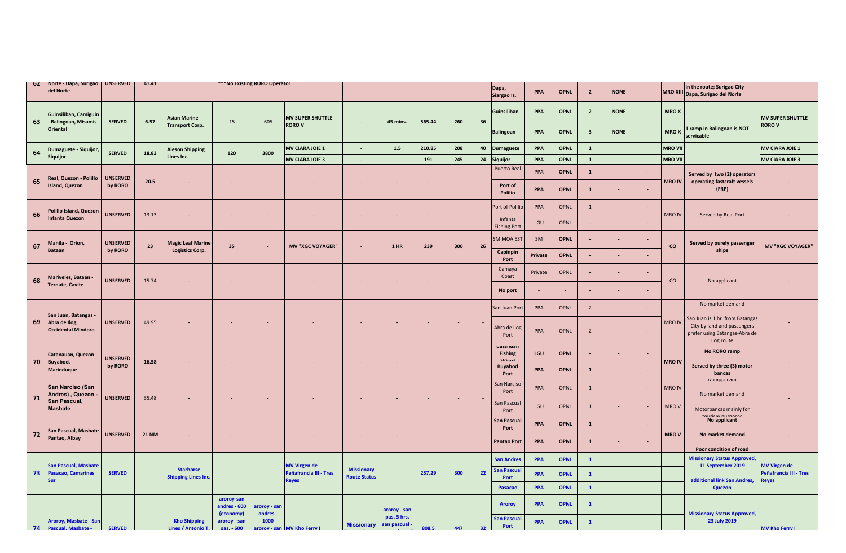| <b>b</b> Z | Norte - Dapa, Surigao<br>del Norte                                 | <b>UNSERVED</b>            | 41.41        |                                                |                            | ***No Existing RORO Operator |                             |                                          |                             |        |     |    | Dapa,<br>Siargao Is.           | <b>PPA</b> | <b>OPNL</b> | $\overline{2}$           | <b>NONE</b> |                          | <b>MRO XIII</b> | in the route; Surigao City -<br>Dapa, Surigao del Norte                                                       |                         |
|------------|--------------------------------------------------------------------|----------------------------|--------------|------------------------------------------------|----------------------------|------------------------------|-----------------------------|------------------------------------------|-----------------------------|--------|-----|----|--------------------------------|------------|-------------|--------------------------|-------------|--------------------------|-----------------|---------------------------------------------------------------------------------------------------------------|-------------------------|
|            | Guinsiliban, Camiguin                                              |                            |              | <b>Asian Marine</b>                            |                            |                              | <b>MV SUPER SHUTTLE</b>     |                                          |                             |        |     |    | Guinsiliban                    | PPA        | <b>OPNL</b> | $\overline{2}$           | <b>NONE</b> |                          | <b>MROX</b>     |                                                                                                               | <b>MV SUPER SHUTTLE</b> |
| 63         | <b>Balingoan, Misamis</b><br><b>Oriental</b>                       | <b>SERVED</b>              | 6.57         | <b>Transport Corp.</b>                         | 15                         | 605                          | <b>ROROV</b>                | $\overline{\phantom{a}}$                 | 45 mins.                    | 565.44 | 260 | 36 | <b>Balingoan</b>               | <b>PPA</b> | <b>OPNL</b> | $\overline{\mathbf{3}}$  | <b>NONE</b> |                          | <b>MROX</b>     | ramp in Balingoan is NOT<br>servicable                                                                        | <b>RORO V</b>           |
|            | Dumaguete - Siquijor,                                              |                            |              | Aleson Shipping                                |                            |                              | <b>MV CIARA JOIE 1</b>      | $\sim$                                   | $1.5\,$                     | 210.85 | 208 | 40 | <b>Dumaguete</b>               | PPA        | <b>OPNL</b> | $\mathbf{1}$             |             |                          | <b>MRO VII</b>  |                                                                                                               | <b>MV CIARA JOIE 1</b>  |
| 64         | Siquijor                                                           | <b>SERVED</b>              | 18.83        | Lines Inc.                                     | 120                        | 3800                         | <b>MV CIARA JOIE 3</b>      | $\sim$                                   |                             | 191    | 245 | 24 | <b>Siquijor</b>                | PPA        | <b>OPNL</b> | $\mathbf{1}$             |             |                          | <b>MRO VII</b>  |                                                                                                               | <b>MV CIARA JOIE 3</b>  |
| 65         | eal, Quezon - Polillo                                              | <b>UNSERVED</b>            | 20.5         |                                                |                            |                              |                             |                                          | $\sim$                      |        |     |    | <b>Puerto Real</b>             | PPA        | <b>OPNL</b> | $\mathbf{1}$             | $\sim$      | $\overline{\phantom{a}}$ | <b>MRO IV</b>   | Served by two (2) operators<br>operating fastcraft vessels                                                    |                         |
|            | <b>Island, Quezon</b>                                              | by RORO                    |              |                                                |                            |                              |                             |                                          |                             |        |     |    | Port of<br><b>Polilio</b>      | <b>PPA</b> | <b>OPNL</b> | $\mathbf{1}$             |             | $\sim$                   |                 | (FRP)                                                                                                         |                         |
| 66         | Polillo Island, Quezon                                             | <b>UNSERVED</b>            | 13.13        | $\blacksquare$                                 | ٠                          | $\blacksquare$               |                             |                                          | $\omega$                    |        | ٠   |    | Port of Polilic                | PPA        | <b>OPNL</b> | 1                        |             |                          | MRO IV          | Served by Real Port                                                                                           |                         |
|            | Infanta Quezon                                                     |                            |              |                                                |                            |                              |                             |                                          |                             |        |     |    | Infanta<br><b>Fishing Port</b> | LGU        | OPNL        | $\sim$                   |             | ÷.                       |                 |                                                                                                               |                         |
| 67         | Manila - Orion,<br><b>Bataan</b>                                   | <b>UNSERVED</b><br>by RORO | 23           | <b>Magic Leaf Marine</b><br>Logistics Corp.    | 35                         | $\sim$                       | <b>MV "XGC VOYAGER"</b>     |                                          | $1$ HR                      | 239    | 300 | 26 | SM MOA EST<br>Capinpin         | SM         | <b>OPNL</b> | $\sim$                   |             |                          | $\mathsf{co}\,$ | Served by purely passenger<br>ships                                                                           | <b>MV "XGC VOYAGER"</b> |
|            |                                                                    |                            |              |                                                |                            |                              |                             |                                          |                             |        |     |    | Port                           | Private    | <b>OPNL</b> |                          |             |                          |                 |                                                                                                               |                         |
| 68         | Mariveles, Bataan -                                                | <b>UNSERVED</b>            | 15.74        | ٠                                              | $\sim$                     | $\sim$                       |                             |                                          | $\sim$                      | $\sim$ | ٠   |    | Camaya<br>Coast                | Private    | <b>OPNL</b> | $\overline{\phantom{a}}$ |             |                          | CO              | No applicant                                                                                                  |                         |
|            | <b>Fernate, Cavite</b>                                             |                            |              |                                                |                            |                              |                             |                                          |                             |        |     |    | No port                        | $\sim$     |             |                          |             |                          |                 |                                                                                                               |                         |
|            |                                                                    |                            |              |                                                |                            |                              |                             |                                          |                             |        |     |    | San Juan Port                  | PPA        | <b>OPNL</b> | $\overline{2}$           |             | $\overline{\phantom{a}}$ |                 | No market demand                                                                                              |                         |
| 69         | San Juan, Batangas -<br>Abra de Ilog,<br><b>Occidental Mindoro</b> | <b>UNSERVED</b>            | 49.95        |                                                |                            |                              |                             |                                          |                             |        |     |    | Abra de Ilog<br>Port           | PPA        | OPNL        | $\overline{2}$           |             | $\sim$                   | <b>MRO IV</b>   | San Juan is 1 hr. from Batangas<br>City by land and passengers<br>prefer using Batangas-Abra de<br>Ilog route |                         |
|            | Catanauan, Quezon -                                                |                            |              |                                                |                            |                              |                             |                                          |                             |        |     |    | atanua<br><b>Fishing</b>       | <b>LGU</b> | <b>OPNL</b> |                          |             |                          |                 | No RORO ramp                                                                                                  |                         |
| 70         | Buyabod,<br><b>Marinduque</b>                                      | <b>UNSERVED</b><br>by RORO | 16.58        |                                                |                            |                              |                             |                                          | $\sim$                      |        |     |    | <b>Buyabod</b><br>Port         | PPA        | <b>OPNL</b> | $\mathbf{1}$             |             |                          | <b>MRO IV</b>   | Served by three (3) motor<br>bancas                                                                           |                         |
|            | San Narciso (San<br>Andres), Quezon                                |                            |              |                                                |                            |                              |                             |                                          |                             |        |     |    | San Narciso<br>Port            | PPA        | OPNL        | $\mathbf{1}$             | $\sim$      | $\overline{\phantom{a}}$ | <b>MRO IV</b>   | no abbiitai<br>No market demand                                                                               |                         |
| 71         | San Pascual,<br><b>Masbate</b>                                     | <b>UNSERVED</b>            | 35.48        |                                                | $\sim$                     | $\sim$                       |                             |                                          | $\sim$                      |        | ٠   |    | San Pascual<br>Port            | LGU        | OPNL        | $\mathbf 1$              |             |                          | MRO V           | Motorbancas mainly for                                                                                        |                         |
|            |                                                                    |                            |              |                                                |                            |                              |                             |                                          |                             |        |     |    | <b>San Pascual</b>             | <b>PPA</b> | <b>OPNL</b> | $\mathbf{1}$             |             |                          |                 | No applicant                                                                                                  |                         |
| 72         | San Pascual, Masbate<br>Pantao, Albay                              | <b>UNSERVED</b>            | <b>21 NM</b> | ٠                                              | $\overline{\phantom{a}}$   | ٠                            |                             |                                          | $\sim$                      |        | ٠   |    | Port<br><b>Pantao Port</b>     | PPA        | <b>OPNL</b> | $\mathbf{1}$             |             | $\overline{\phantom{a}}$ | <b>MROV</b>     | No market demand                                                                                              |                         |
|            |                                                                    |                            |              |                                                |                            |                              |                             |                                          |                             |        |     |    |                                |            |             |                          |             |                          |                 | Poor condition of road                                                                                        |                         |
|            | <b>San Pascual, Masbate</b>                                        |                            |              |                                                |                            |                              | <b>MV Virgen de</b>         |                                          |                             |        |     |    | <b>San Andres</b>              | <b>PPA</b> | <b>OPNL</b> | $\mathbf{1}$             |             |                          |                 | <b>Missionary Status Approved,</b><br>11 September 2019                                                       | <b>MV Virgen de</b>     |
| 73         | Pasacao, Camarines<br>Sur                                          | <b>SERVED</b>              |              | <b>Starhorse</b><br><b>Shipping Lines Inc.</b> |                            |                              | Peñafrancia III - Tres      | <b>Missionary</b><br><b>Route Status</b> |                             | 257.29 | 300 | 22 | ian Pascua<br>Port             | <b>PPA</b> | <b>OPNL</b> | $\mathbf{1}$             |             |                          |                 | additional link San Andres,                                                                                   | Peñafrancia III - Tres  |
|            |                                                                    |                            |              |                                                |                            |                              | <b>Reyes</b>                |                                          |                             |        |     |    | Pasacao                        | <b>PPA</b> | <b>OPNL</b> | $\mathbf{1}$             |             |                          |                 | <b>Quezon</b>                                                                                                 | leyes                   |
|            |                                                                    |                            |              |                                                | aroroy-san                 |                              |                             |                                          |                             |        |     |    | <b>Aroroy</b>                  | PPA        | <b>OPNL</b> | $\mathbf{1}$             |             |                          |                 |                                                                                                               |                         |
|            |                                                                    |                            |              |                                                | andres - 600<br>(economy)  | aroroy - san<br>andres       |                             |                                          | aroroy - san<br>pas. 5 hrs. |        |     |    |                                |            |             |                          |             |                          |                 | <b>Missionary Status Approved,</b>                                                                            |                         |
|            | Aroroy, Masbate - San<br>74 Pascual, Masbate -                     | <b>SERVED</b>              |              | <b>Kho Shipping</b><br>Lines / Antonio T.      | aroroy - san<br>pas. - 600 | 1000                         | aroroy - san MV Kho Ferry I | <b>Missionary</b>                        | san pascual                 | 808.5  | 447 | 32 | <b>San Pascual</b><br>Port     | <b>PPA</b> | <b>OPNL</b> | $\mathbf{1}$             |             |                          |                 | 23 July 2019                                                                                                  | <b>MV Kho Ferry I</b>   |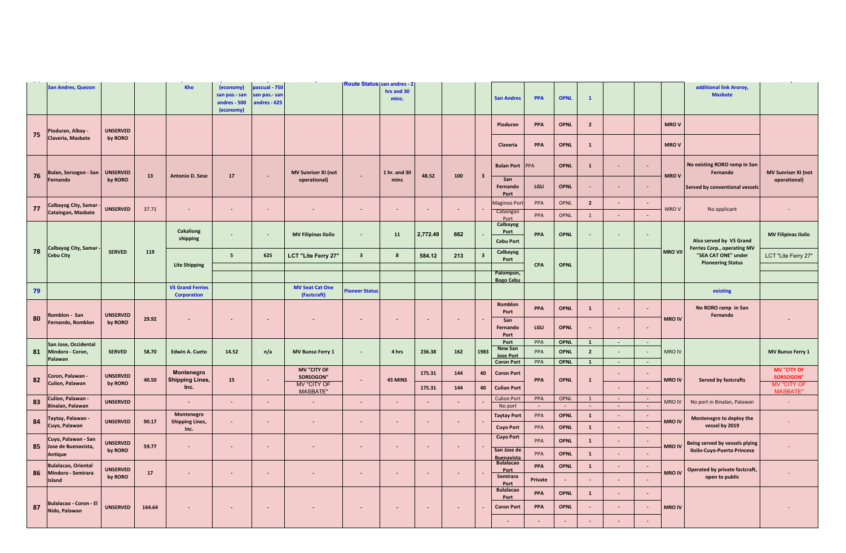|    | <b>San Andres, Quezon</b>                        |                 |        | Kho                                           | (economy)<br>san pas.- san<br>andres - 500<br>(economy) | pascual - 750<br>san pas.- sar<br>andres - 625 |                                       | <b>Route Status san andres - 2</b> | hrs and 30<br>mins. |                          |     |                         | <b>San Andres</b>                     | PPA     | <b>OPNL</b>    | $\mathbf{1}$                |                             |                          |                | additional link Aroroy,<br><b>Masbate</b>                                      |                                        |
|----|--------------------------------------------------|-----------------|--------|-----------------------------------------------|---------------------------------------------------------|------------------------------------------------|---------------------------------------|------------------------------------|---------------------|--------------------------|-----|-------------------------|---------------------------------------|---------|----------------|-----------------------------|-----------------------------|--------------------------|----------------|--------------------------------------------------------------------------------|----------------------------------------|
| 75 | Pioduran, Albay -                                | <b>UNSERVED</b> |        |                                               |                                                         |                                                |                                       |                                    |                     |                          |     |                         | Pioduran                              | PPA     | <b>OPNL</b>    | $\overline{2}$              |                             |                          | <b>MROV</b>    |                                                                                |                                        |
|    | Claveria, Masbate                                | by RORO         |        |                                               |                                                         |                                                |                                       |                                    |                     |                          |     |                         | Claveria                              | PPA     | <b>OPNL</b>    | $\mathbf{1}$                |                             |                          | <b>MROV</b>    |                                                                                |                                        |
| 76 | Bulan, Sorsogon - San                            | <b>UNSERVED</b> | 13     | <b>Antonio D. Sese</b>                        | 17                                                      |                                                | <b>MV Sunriser XI (not</b>            |                                    | 1 hr. and 30        | 48.52                    | 100 | $\overline{\mathbf{3}}$ | <b>Bulan Port</b>                     | PPA     | <b>OPNL</b>    | $\mathbf{1}$                | $\overline{\phantom{a}}$    | $\sim$                   | <b>MROV</b>    | No existing RORO ramp in San<br>Fernando                                       | <b>MV Sunriser XI (not</b>             |
|    | Fernando                                         | by RORO         |        |                                               |                                                         |                                                | operational)                          |                                    | mins                |                          |     |                         | San<br>Fernando<br>Port               | LGU     | <b>OPNL</b>    | $\blacksquare$              | $\sim$                      | $\blacksquare$           |                | Served by conventional vessels                                                 | operational)                           |
| 77 | Calbayog City, Samar<br>Cataingan, Masbate       | <b>UNSERVED</b> | 37.71  |                                               | $\blacksquare$                                          |                                                |                                       |                                    |                     | $\overline{\phantom{a}}$ |     |                         | Maginoo Port<br>Cataingan             | PPA     | OPNL           | $\overline{2}$              | $\overline{\phantom{a}}$    | $\overline{\phantom{a}}$ | MRO V          | No applicant                                                                   |                                        |
|    |                                                  |                 |        |                                               |                                                         |                                                |                                       |                                    |                     |                          |     |                         | Port                                  | PPA     | OPNL           | $\mathbf{1}$                | $\sim$                      | $\mathcal{L}$            |                |                                                                                |                                        |
|    |                                                  |                 |        | Cokaliong<br>shipping                         |                                                         |                                                | <b>MV Filipinas Iloilo</b>            | $\blacksquare$                     | 11                  | 2,772.49                 | 662 |                         | Calbayog<br>Port<br><b>Cebu Port</b>  | PPA     | <b>OPNL</b>    | $\overline{\phantom{a}}$    |                             | $\overline{\phantom{a}}$ |                | Also served by VS Grand                                                        | <b>MV Filipinas Iloilo</b>             |
| 78 | Calbayog City, Samar<br><b>Cebu City</b>         | <b>SERVED</b>   | 119    | <b>Lite Shipping</b>                          | $5\overline{5}$                                         | 625                                            | LCT "Lite Ferry 27"                   | $\overline{\mathbf{3}}$            | $\boldsymbol{8}$    | 584.12                   | 213 | $\overline{\mathbf{3}}$ | Calbayog<br>Port                      | CPA     | <b>OPNL</b>    |                             |                             |                          | <b>MRO VII</b> | Ferries Corp., operating MV<br>"SEA CAT ONE" under<br><b>Pioneering Status</b> | LCT "Lite Ferry 27"                    |
|    |                                                  |                 |        |                                               |                                                         |                                                |                                       |                                    |                     |                          |     |                         | Palompon,                             |         |                |                             |                             |                          |                |                                                                                |                                        |
|    |                                                  |                 |        |                                               |                                                         |                                                |                                       |                                    |                     |                          |     |                         | <b>Bogo Cebu</b>                      |         |                |                             |                             |                          |                |                                                                                |                                        |
| 79 |                                                  |                 |        | <b>VS Grand Ferries</b><br><b>Corporation</b> |                                                         |                                                | <b>MV Seat Cat One</b><br>(Fastcraft) | <b>Pioneer Status</b>              |                     |                          |     |                         |                                       |         |                |                             |                             |                          |                | existing                                                                       |                                        |
|    |                                                  |                 |        |                                               |                                                         |                                                |                                       |                                    |                     |                          |     |                         | <b>Romblon</b>                        | PPA     | <b>OPNL</b>    | $\mathbf{1}$                | $\blacksquare$              | $\blacksquare$           |                | No RORO ramp in San                                                            |                                        |
|    | Romblon - San                                    | <b>UNSERVED</b> |        |                                               |                                                         |                                                |                                       |                                    |                     |                          |     |                         | Port                                  |         |                |                             |                             |                          |                | Fernando                                                                       |                                        |
| 80 | Fernando, Romblon                                | by RORO         | 29.92  |                                               |                                                         |                                                |                                       |                                    |                     |                          |     |                         | San<br>Fernando                       | LGU     | <b>OPNL</b>    | $\sim$                      | $\sim$                      | $\blacksquare$           | <b>MRO IV</b>  |                                                                                |                                        |
|    |                                                  |                 |        |                                               |                                                         |                                                |                                       |                                    |                     |                          |     |                         | Port<br>Port                          | PPA     | <b>OPNL</b>    | $\mathbf{1}$                | $\sim$                      | $\sim$                   |                |                                                                                |                                        |
| 81 | San Jose, Occidental<br>Mindoro - Coron,         | <b>SERVED</b>   | 58.70  | <b>Edwin A. Cueto</b>                         | 14.52                                                   | n/a                                            | <b>MV Bunso Ferry 1</b>               | $\sim$                             | 4 hrs               | 236.38                   | 162 | 1983                    | <b>New San</b>                        | PPA     | <b>OPNL</b>    | $\overline{2}$              | $\overline{\phantom{a}}$    |                          | <b>MRO IV</b>  |                                                                                | <b>MV Bunso Ferry 1</b>                |
|    | Palawan                                          |                 |        |                                               |                                                         |                                                |                                       |                                    |                     |                          |     |                         | <b>Jose Port</b><br><b>Coron Port</b> | PPA     | <b>OPNL</b>    | $\mathbf{1}$                | $\sim$                      | $\sim$                   |                |                                                                                |                                        |
|    |                                                  | <b>UNSERVED</b> |        | Montenegro                                    |                                                         |                                                | <b>MV "CITY OF</b>                    |                                    |                     | 175.31                   | 144 | 40                      | <b>Coron Port</b>                     |         |                |                             | $\sim$                      |                          |                |                                                                                | <b>MV "CITY OF</b>                     |
| 82 | Coron, Palawan -<br>Culion, Palawan              | by RORO         | 40.50  | <b>Shipping Lines,</b><br>Inc.                | 15                                                      |                                                | SORSOGON'<br><b>MV "CITY OF</b>       | $\blacksquare$                     | 45 MINS             | 175.31                   | 144 | 40                      | <b>Culion Port</b>                    | PPA     | <b>OPNL</b>    | $\mathbf 1$                 |                             | $\overline{\phantom{a}}$ | <b>MROIV</b>   | <b>Served by fastcrafts</b>                                                    | <b>SORSOGON"</b><br><b>MV "CITY OF</b> |
|    |                                                  |                 |        |                                               |                                                         |                                                | <b>MASBATE"</b>                       |                                    |                     |                          |     |                         |                                       | PPA     |                | $\mathbf{1}$                | $\sim$                      | $\sim$                   |                |                                                                                | <b>MASBATE"</b>                        |
| 83 | Culion, Palawan -<br><b>Sinalan, Palawan</b>     | <b>UNSERVED</b> |        |                                               | ÷                                                       |                                                | $\overline{\phantom{a}}$              |                                    |                     | ÷.                       |     |                         | <b>Culion Port</b><br>No port         | $\sim$  | OPNL<br>$\sim$ | $\sim$                      | $\sim$                      | $\sim$                   | <b>MRO IV</b>  | No port in Binalan, Palawan                                                    |                                        |
|    | Taytay, Palawan -                                |                 |        | Montenegro                                    |                                                         |                                                |                                       |                                    |                     |                          |     |                         | <b>Taytay Port</b>                    | PPA     | <b>OPNL</b>    | $\mathbf{1}$                | $\mathcal{L}_{\mathcal{A}}$ | $\sim$                   |                | Montenegro to deploy the                                                       |                                        |
| 84 | Cuyo, Palawan                                    | <b>UNSERVED</b> | 90.17  | <b>Shipping Lines,</b><br>Inc.                | $\sim$                                                  |                                                |                                       | $\sim$                             | $\sim$              | $\sim$                   |     |                         | <b>Cuyo Port</b>                      | PPA     | <b>OPNL</b>    | $\mathbf{1}$                | $\sim$                      | $\blacksquare$           | <b>MRO IV</b>  | vessel by 2019                                                                 |                                        |
| 85 | Cuyo, Palawan - San<br>Jose de Buenavista,       | <b>UNSERVED</b> | 59.77  |                                               | $\blacksquare$                                          |                                                |                                       | $\sim$                             | $\sim$              | $\overline{\phantom{a}}$ |     |                         | <b>Cuyo Port</b>                      | PPA     | <b>OPNL</b>    | $\mathbf{1}$                | $\sim$                      | $\overline{\phantom{a}}$ | <b>MRO IV</b>  | Being served by vessels plying                                                 |                                        |
|    | <b>Antique</b>                                   | by RORO         |        |                                               |                                                         |                                                |                                       |                                    |                     |                          |     |                         | San Jose de<br><b>Buenavista</b>      | PPA     | <b>OPNL</b>    | $\mathbf 1$                 | ×.                          | ÷.                       |                | Iloilo-Cuyo-Puerto Princesa                                                    |                                        |
| 86 | <b>Bulalacao, Oriental</b><br>Mindoro - Semirara | <b>UNSERVED</b> | 17     | ÷.                                            | $\blacksquare$                                          |                                                |                                       | $\blacksquare$                     | $\sim$              | $\overline{\phantom{a}}$ |     |                         | <b>Bulalacao</b><br>Port              | PPA     | <b>OPNL</b>    | $\mathbf{1}$                | $\mathcal{L}_{\mathcal{A}}$ | ÷,                       | <b>MRO IV</b>  | Operated by private fastcraft,                                                 |                                        |
|    | Island                                           | by RORO         |        |                                               |                                                         |                                                |                                       |                                    |                     |                          |     |                         | Semirara<br>Port                      | Private | $\sim$         | $\mathcal{L}_{\mathcal{A}}$ | ÷.                          | $\blacksquare$           |                | open to public                                                                 |                                        |
|    |                                                  |                 |        |                                               |                                                         |                                                |                                       |                                    |                     |                          |     |                         | <b>Bulalacao</b><br>Port              | PPA     | <b>OPNL</b>    | $\mathbf{1}$                |                             |                          |                |                                                                                |                                        |
| 87 | Bulalacao - Coron - El<br>Nido, Palawan          | <b>UNSERVED</b> | 164.64 |                                               | ٠                                                       |                                                |                                       | $\blacksquare$                     |                     | $\sim$                   |     |                         | <b>Coron Port</b>                     | PPA     | <b>OPNL</b>    | $\sim$                      | $\blacksquare$              |                          | <b>MRO IV</b>  |                                                                                |                                        |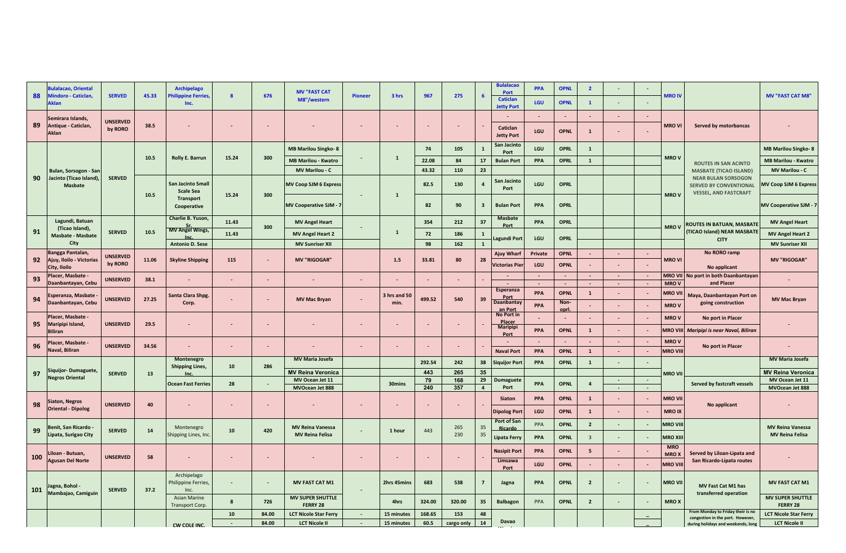|     | <b>Sulalacao, Oriental</b>                         |                            |       | <b>Archipelago</b>                         |              |                          | <b>MV "FAST CAT</b>                       |                |                          |           |                          |                         | <b>Bulalacao</b><br>Port             | <b>PPA</b>       | <b>OPNL</b>           | $\overline{2}$           |                  |                  |                       |                                                                                             |                                     |
|-----|----------------------------------------------------|----------------------------|-------|--------------------------------------------|--------------|--------------------------|-------------------------------------------|----------------|--------------------------|-----------|--------------------------|-------------------------|--------------------------------------|------------------|-----------------------|--------------------------|------------------|------------------|-----------------------|---------------------------------------------------------------------------------------------|-------------------------------------|
| 88  | Mindoro - Caticlan                                 | <b>SERVED</b>              | 45.33 | hilippine Ferries<br>Inc.                  | $\mathbf{8}$ | 676                      | M8"/western                               | <b>Pioneer</b> | 3 hrs                    | 967       | 275                      | 6                       | <b>Caticlan</b><br><b>Jetty Port</b> | LGU              | <b>OPNL</b>           | $\mathbf{1}$             | $\sim$           |                  | <b>MRO IV</b>         |                                                                                             | <b>MV "FAST CAT M8"</b>             |
|     | Semirara Islands,                                  |                            |       |                                            |              |                          |                                           |                |                          |           |                          |                         |                                      | $\blacksquare$   | $\omega$              | ×.                       | $\sim$           |                  |                       |                                                                                             |                                     |
| 89  | Antique - Caticlan,<br>Aklan                       | <b>UNSERVED</b><br>by RORO | 38.5  |                                            |              |                          |                                           |                |                          |           |                          |                         | Caticlan<br><b>Jetty Port</b>        | LGU              | <b>OPNL</b>           | $\mathbf{1}$             |                  |                  | <b>MRO VI</b>         | Served by motorbancas                                                                       |                                     |
|     |                                                    |                            |       |                                            |              |                          | <b>MB Marilou Singko-8</b>                |                |                          | 74        | 105                      | $\mathbf{1}$            | San Jacinto<br>Port                  | LGU              | <b>OPRL</b>           | $\mathbf{1}$             |                  |                  |                       |                                                                                             | <b>MB Marilou Singko- 8</b>         |
|     |                                                    |                            | 10.5  | Rolly E. Barrun                            | 15.24        | 300                      | <b>MB Marilou - Kwatro</b>                |                | $\mathbf{1}$             | 22.08     | 84                       | 17                      | <b>Bulan Port</b>                    | PPA              | <b>OPRL</b>           | $\mathbf 1$              |                  |                  | <b>MROV</b>           | <b>ROUTES IN SAN ACINTO</b>                                                                 | <b>MB Marilou - Kwatro</b>          |
|     | Bulan, Sorsogon - San                              |                            |       |                                            |              |                          | <b>MV Marilou - C</b>                     |                |                          | 43.32     | 110                      | 23                      |                                      |                  |                       |                          |                  |                  |                       | <b>MASBATE (TICAO ISLAND)</b>                                                               | <b>MV Marilou - C</b>               |
| 90  | Jacinto (Ticao Island),<br><b>Masbate</b>          | <b>SERVED</b>              | 10.5  | San Jacinto Small<br><b>Scale Sea</b>      | 15.24        | 300                      | <b>MV Coop SJM 6 Express</b>              |                | $\mathbf{1}$             | 82.5      | 130                      | $\overline{a}$          | San Jacinto<br>Port                  | LGU              | <b>OPRL</b>           |                          |                  |                  | <b>MROV</b>           | <b>NEAR BULAN SORSOGON</b><br><b>SERVED BY CONVENTIONAL</b><br><b>VESSEL, AND FASTCRAFT</b> | <b>MV Coop SJM 6 Express</b>        |
|     |                                                    |                            |       | <b>Transport</b><br>Cooperative            |              |                          | <b>MV Cooperative SJM - 7</b>             |                |                          | 82        | 90                       | $\overline{\mathbf{3}}$ | <b>Bulan Port</b>                    | PPA              | <b>OPRL</b>           |                          |                  |                  |                       |                                                                                             | <b>MV Cooperative SJM -</b>         |
|     | Lagundi, Batuan                                    |                            |       | Charlie B. Yuson,                          | 11.43        |                          | <b>MV Angel Heart</b>                     |                |                          | 354       | 212                      | 37                      | <b>Masbate</b><br>Port               | PPA              | <b>OPRL</b>           |                          |                  |                  | <b>MROV</b>           | <b>ROUTES IN BATUAN, MASBATE</b>                                                            | <b>MV Angel Heart</b>               |
| 91  | (Ticao Island),<br><b>Masbate - Masbate</b>        | <b>SERVED</b>              | 10.5  | MV Angel Wings,                            | 11.43        | 300                      | <b>MV Angel Heart 2</b>                   |                | $\mathbf{1}$             | 72        | 186                      | $\mathbf{1}$            |                                      |                  |                       |                          |                  |                  |                       | <b>TICAO Island) NEAR MASBATE</b>                                                           | <b>MV Angel Heart 2</b>             |
|     | City                                               |                            |       | <b>Antonio D. Sese</b>                     |              |                          | <b>MV Sunriser XII</b>                    |                |                          | 98        | 162                      | $\mathbf{1}$            | agundi Port                          | LGU              | <b>OPRL</b>           |                          |                  |                  |                       | <b>CITY</b>                                                                                 | <b>MV Sunriser XII</b>              |
|     | Bangga Pantalan,                                   | <b>UNSERVED</b>            |       |                                            |              |                          |                                           |                |                          |           |                          |                         | Ajuy Whart                           | Private          | <b>OPNL</b>           | $\sim$                   | $\sim$           | $\sim$           |                       | No RORO ramp                                                                                |                                     |
| 92  | Ajuy, Iloilo - Victorias<br>City, Iloilo           | by RORO                    | 11.06 | <b>Skyline Shipping</b>                    | 115          | $\blacksquare$           | <b>MV "RIGOGAR"</b>                       |                | 1.5                      | 33.81     | 80                       | 28                      | Victorias Pier                       | LGU              | <b>OPNL</b>           | ÷.                       | $\sim$           | $\sim$           | MRO VI                | No applicant                                                                                | <b>MV "RIGOGAR"</b>                 |
| 93  | Placer, Masbate -                                  | <b>UNSERVED</b>            | 38.1  |                                            |              | $\overline{\phantom{a}}$ |                                           | ÷.             |                          |           | $\sim$                   |                         |                                      | $\sim$<br>$\sim$ | $\sim$                | ۰.<br>$\sim$             | $\sim$           |                  | <b>MRO VII</b>        | No port in both Daanbantayan<br>and Placer                                                  |                                     |
|     | Daanbantayan, Cebu                                 |                            |       |                                            |              |                          |                                           |                |                          |           |                          |                         | <b>Esperanza</b>                     | PPA              | $\sim$<br><b>OPNL</b> | $\mathbf{1}$             | $\sim$<br>÷.     | $\sim$           | <b>MROV</b><br>MRO VI |                                                                                             |                                     |
| 94  | <b>Esperanza, Masbate</b><br>Daanbantayan, Cebu    | <b>UNSERVED</b>            | 27.25 | Santa Clara Shpg.<br>Corp.                 |              | $\overline{\phantom{a}}$ | <b>MV Mac Bryan</b>                       | $\blacksquare$ | 3 hrs and 50<br>min.     | 499.52    | 540                      | 39                      | <b>Port</b><br>Daanbantay            |                  | Non-                  |                          |                  |                  |                       | Maya, Daanbantayan Port on<br>going construction                                            | <b>MV Mac Bryan</b>                 |
|     |                                                    |                            |       |                                            |              |                          |                                           |                |                          |           |                          |                         | an Port<br>No Port in                | PPA              | <u>opri.</u>          | $\overline{\phantom{a}}$ | $\blacksquare$   |                  | <b>MROV</b>           |                                                                                             |                                     |
| 95  | Placer, Masbate -<br>Maripipi Island,              | <b>UNSERVED</b>            | 29.5  |                                            |              | ٠                        |                                           | $\sim$         | $\overline{\phantom{a}}$ | ٠         | $\sim$                   |                         | Placer<br>Maripipi                   | $\sim$           | $\blacksquare$        | $\sim$                   | $\blacksquare$   |                  | <b>MROV</b>           | No port in Placer                                                                           |                                     |
|     | <b>Riliran</b>                                     |                            |       |                                            |              |                          |                                           |                |                          |           |                          |                         | Port                                 | PPA              | <b>OPNL</b>           | $\mathbf{1}$             | $\blacksquare$   |                  | MRO VI                | Maripipi is near Naval, Biliran                                                             |                                     |
| 96  | lacer, Masbate -                                   | <b>UNSERVED</b>            | 34.56 | ٠.                                         | $\sim$       |                          |                                           | $\sim$         |                          |           | $\sim$                   |                         |                                      | $\blacksquare$   | $\sim$                | $\sim$                   | $\blacksquare$   |                  | <b>MROV</b>           |                                                                                             |                                     |
|     | Naval, Biliran                                     |                            |       |                                            |              |                          |                                           |                |                          |           |                          |                         | <b>Naval Port</b>                    | PPA              | <b>OPNL</b>           | $\overline{1}$           | $\blacksquare$   |                  | <b>MRO VII</b>        | No port in Placer                                                                           |                                     |
|     |                                                    |                            |       | Montenegro<br><b>Shipping Lines,</b>       | 10           | 286                      | <b>MV Maria Josefa</b>                    |                |                          | 292.54    | 242                      | 38                      | <b>Siquijor Port</b>                 | PPA              | <b>OPNL</b>           | $\mathbf{1}$             | $\omega$         | $\sim$           |                       |                                                                                             | <b>MV Maria Josefa</b>              |
| 97  | Siquijor- Dumaguete,<br><b>Negros Oriental</b>     | <b>SERVED</b>              | 13    |                                            |              |                          | <b>MV Reina Veronica</b>                  |                |                          | 443       | 265                      | 35                      |                                      |                  |                       |                          |                  |                  | <b>MRO VII</b>        |                                                                                             | <b>MV Reina Veronica</b>            |
|     |                                                    |                            |       | <b>Ocean Fast Ferries</b>                  | 28           | $\overline{\phantom{a}}$ | MV Ocean Jet 11<br><b>MVOcean Jet 888</b> |                | 30mins                   | 79<br>240 | 168<br>357               | 29<br>$\overline{a}$    | <b>Dumaguete</b><br>Port             | PPA              | <b>OPNL</b>           | $\overline{a}$           | $\sim$<br>$\sim$ | $\sim$<br>$\sim$ |                       | Served by fastcraft vessels                                                                 | MV Ocean Jet 11<br>MVOcean Jet 888  |
|     |                                                    |                            |       |                                            |              |                          |                                           |                |                          |           |                          |                         | Siaton                               | PPA              | <b>OPNL</b>           | $\mathbf{1}$             | ÷,               |                  | <b>MRO VII</b>        |                                                                                             |                                     |
| 98  | <b>Siaton, Negros</b><br><b>Oriental - Dipolog</b> | <b>UNSERVED</b>            | 40    |                                            |              | $\overline{\phantom{a}}$ |                                           | $\blacksquare$ | $\blacksquare$           |           | $\sim$                   |                         |                                      |                  |                       |                          |                  |                  |                       | No applicant                                                                                |                                     |
|     |                                                    |                            |       |                                            |              |                          |                                           |                |                          |           |                          |                         | <b>Dipolog Port</b><br>Port of San   | LGU              | <b>OPNL</b>           | $\mathbf{1}$             | $\blacksquare$   |                  | <b>MRO IX</b>         |                                                                                             |                                     |
| 99  | <b>Benit, San Ricardo</b>                          | <b>SERVED</b>              | 14    | Montenegro                                 | 10           | 420                      | <b>MV Reina Vanessa</b>                   |                | 1 hour                   | 443       | 265                      | 35                      | Ricardo                              | PPA              | <b>OPNL</b>           | $\overline{\mathbf{2}}$  | $\sim$           |                  | MRO VIII              |                                                                                             | <b>MV Reina Vanessa</b>             |
|     | Lipata, Surigao City                               |                            |       | Shipping Lines, Inc                        |              |                          | <b>MV Reina Felisa</b>                    |                |                          |           | 230                      | 35                      | Lipata Ferry                         | PPA              | <b>OPNL</b>           | $\overline{\mathbf{3}}$  |                  |                  | <b>MRO XII</b>        |                                                                                             | <b>MV Reina Felisa</b>              |
|     |                                                    |                            |       |                                            |              |                          |                                           |                |                          |           |                          |                         | <b>Nasipit Port</b>                  | PPA              | <b>OPNL</b>           | 5                        | $\blacksquare$   |                  | <b>MRO</b>            |                                                                                             |                                     |
| 100 | .iloan - Butuan,<br><b>Agusan Del Norte</b>        | <b>UNSERVED</b>            | 58    |                                            |              | $\sim$                   |                                           | ٠              | $\overline{\phantom{a}}$ | $\sim$    | $\overline{\phantom{a}}$ |                         | Limsawa                              |                  |                       |                          |                  |                  | <b>MROX</b>           | Served by Liloan-Lipata and<br>San Ricardo-Lipata routes                                    |                                     |
|     |                                                    |                            |       |                                            |              |                          |                                           |                |                          |           |                          |                         | Port                                 | LGU              | <b>OPNL</b>           |                          |                  |                  | <b>MRO VII</b>        |                                                                                             |                                     |
| 101 | agna, Bohol -                                      | <b>SERVED</b>              | 37.2  | Archipelago<br>Philippine Ferries,<br>Inc. |              | $\overline{\phantom{a}}$ | <b>MV FAST CAT M1</b>                     | $\sim$         | 2hrs 45mins              | 683       | 538                      | $\overline{7}$          | Jagna                                | PPA              | <b>OPNL</b>           | $\overline{2}$           | $\blacksquare$   |                  | <b>MRO VII</b>        | MV Fast Cat M1 has                                                                          | <b>MV FAST CAT M1</b>               |
|     | Mambajao, Camiguin                                 |                            |       | <b>Asian Marine</b><br>Transport Corp.     | 8            | 726                      | <b>MV SUPER SHUTTLE</b><br>FERRY 28       |                | 4hrs                     | 324.00    | 320.00                   | 35                      | <b>Balbagon</b>                      | PPA              | <b>OPNL</b>           | $\overline{\mathbf{2}}$  |                  |                  | <b>MROX</b>           | transferred operation                                                                       | <b>MV SUPER SHUTTLE</b><br>FERRY 28 |
|     |                                                    |                            |       |                                            | 10           | 84.00                    | <b>LCT Nicole Star Ferry</b>              | $\sim$         | 15 minutes               | 168.65    | 153                      | 48                      |                                      |                  |                       |                          |                  |                  |                       | From Monday to Friday their is no<br>congestion in the port. However,                       | <b>LCT Nicole Star Ferry</b>        |
|     |                                                    |                            |       | CW COLE INC.                               |              | 84.00                    | <b>LCT Nicole II</b>                      | $\sim$         | 15 minutes               | 60.5      | cargo only               | ${\bf 14}$              | Davao                                |                  |                       |                          |                  |                  |                       | during holidays and weekends, long                                                          | <b>LCT Nicole II</b>                |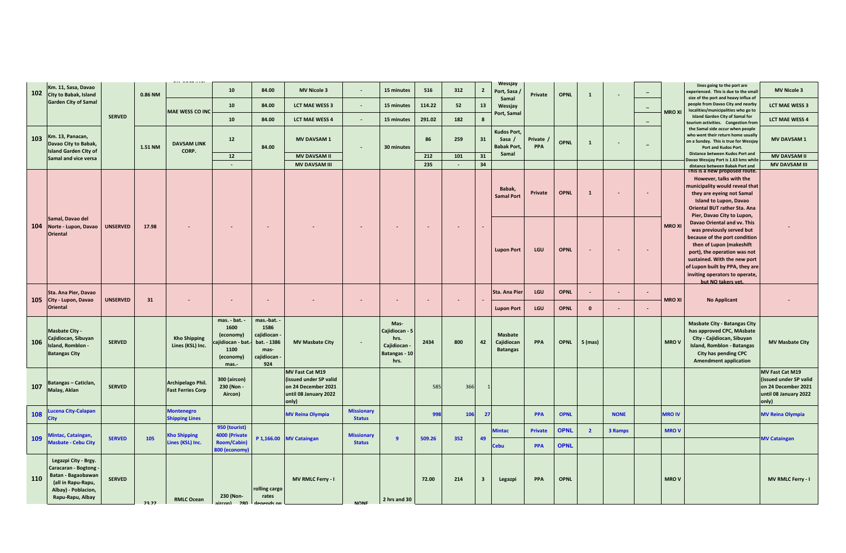| 102 | Km. 11, Sasa, Davao<br>City to Babak, Island                                                                                              |                 | 0.86 NM |                                               | 10                                                                                 | 84.00                                                                       | <b>MV Nicole 3</b>                                                                                 |                                    | 15 minutes                                                            | 516                      | 312    | $\overline{2}$          | Wessjay<br>Port, Sasa                              | Private        | <b>OPNL</b> | $\mathbf{1}$   | $\sim$         |                          |               | lines going to the port are<br>experienced. This is due to the small                                                                                                                                                                                                             | <b>MV Nicole 3</b>                                                                                 |
|-----|-------------------------------------------------------------------------------------------------------------------------------------------|-----------------|---------|-----------------------------------------------|------------------------------------------------------------------------------------|-----------------------------------------------------------------------------|----------------------------------------------------------------------------------------------------|------------------------------------|-----------------------------------------------------------------------|--------------------------|--------|-------------------------|----------------------------------------------------|----------------|-------------|----------------|----------------|--------------------------|---------------|----------------------------------------------------------------------------------------------------------------------------------------------------------------------------------------------------------------------------------------------------------------------------------|----------------------------------------------------------------------------------------------------|
|     | <b>Garden City of Samal</b>                                                                                                               |                 |         |                                               | $10$                                                                               | 84.00                                                                       | <b>LCT MAE WESS 3</b>                                                                              |                                    | 15 minutes                                                            | 114.22                   | 52     | 13                      | Samal<br>Wessjay                                   |                |             |                |                | $\overline{\phantom{a}}$ |               | size of the port and heavy influx of<br>people from Davao City and nearby<br>localities/municipalities who go to                                                                                                                                                                 | <b>LCT MAE WESS 3</b>                                                                              |
|     |                                                                                                                                           | <b>SERVED</b>   |         | <b>MAE WESS CO INC</b>                        | $10$                                                                               | 84.00                                                                       | <b>LCT MAE WESS 4</b>                                                                              | $\sim$                             | 15 minutes                                                            | 291.02                   | 182    | $\boldsymbol{8}$        | Port, Samal                                        |                |             |                |                | $\overline{\phantom{a}}$ | <b>MRO XI</b> | <b>Island Garden City of Samal for</b><br>ourism activities. Congestion fron                                                                                                                                                                                                     | <b>LCT MAE WESS 4</b>                                                                              |
| 103 | Km. 13, Panacan,<br>Davao City to Babak,<br><b>Island Garden City of</b>                                                                  |                 | 1.51 NM | <b>DAVSAM LINK</b><br>CORP.                   | $12$                                                                               | 84.00                                                                       | <b>MV DAVSAM1</b>                                                                                  | $\overline{\phantom{a}}$           | 30 minutes                                                            | 86                       | 259    | 31                      | <b>Kudos Port,</b><br>Sasa /<br><b>Babak Port,</b> | Private<br>PPA | <b>OPNL</b> | $\mathbf{1}$   | $\sim$         |                          |               | the Samal side occur when people<br>who went their return home usually<br>on a Sunday. This is true for Wessjay<br>Port and Kudos Port.                                                                                                                                          | <b>MV DAVSAM1</b>                                                                                  |
|     | Samal and vice versa                                                                                                                      |                 |         |                                               | 12                                                                                 |                                                                             | <b>MV DAVSAM II</b>                                                                                |                                    |                                                                       | 212                      | 101    | 31                      | Samal                                              |                |             |                |                |                          |               | Distance between Kudos Port and<br>Davao Wessjay Port is 1.63 kms whil                                                                                                                                                                                                           | <b>MV DAVSAM II</b>                                                                                |
|     |                                                                                                                                           |                 |         |                                               | $\sim$                                                                             |                                                                             | <b>MV DAVSAM III</b>                                                                               |                                    |                                                                       | 235                      | $\sim$ | 34                      |                                                    |                |             |                |                |                          |               | distance between Babak Port and<br>This is a new proposed route.                                                                                                                                                                                                                 | <b>MV DAVSAM III</b>                                                                               |
|     |                                                                                                                                           |                 |         |                                               |                                                                                    |                                                                             |                                                                                                    |                                    |                                                                       |                          |        |                         | Babak,<br><b>Samal Port</b>                        | Private        | <b>OPNL</b> | $\mathbf{1}$   |                |                          |               | However, talks with the<br>municipality would reveal that<br>they are eyeing not Samal<br>Island to Lupon, Davao<br>Oriental BUT rather Sta. Ana<br>Pier, Davao City to Lupon,                                                                                                   |                                                                                                    |
| 104 | Samal, Davao del<br>Norte - Lupon, Davao<br><b>Oriental</b>                                                                               | <b>UNSERVED</b> | 17.98   |                                               | $\blacksquare$                                                                     |                                                                             |                                                                                                    | $\overline{\phantom{a}}$           |                                                                       | $\overline{\phantom{a}}$ |        |                         | <b>Lupon Port</b>                                  | LGU            | <b>OPNL</b> |                |                |                          | <b>MRO XI</b> | Davao Oriental and vv. This<br>was previously served but<br>because of the port condition<br>then of Lupon (makeshift<br>port), the operation was not<br>sustained. With the new port<br>of Lupon built by PPA, they are<br>inviting operators to operate,<br>but NO takers vet. |                                                                                                    |
|     | Sta. Ana Pier, Davao                                                                                                                      |                 |         |                                               |                                                                                    |                                                                             |                                                                                                    |                                    |                                                                       |                          |        |                         | <b>Sta. Ana Pier</b>                               | LGU            | <b>OPNL</b> | $\sim$         | $\sim$         |                          |               |                                                                                                                                                                                                                                                                                  |                                                                                                    |
|     | 105 City - Lupon, Davao<br><b>Oriental</b>                                                                                                | <b>UNSERVED</b> | 31      | $\sim$                                        | ٠                                                                                  |                                                                             |                                                                                                    | ۰                                  | $\sim$                                                                | $\sim$                   |        |                         | <b>Lupon Port</b>                                  | LGU            | <b>OPNL</b> | $\mathbf{0}$   | $\blacksquare$ |                          | <b>MRO XI</b> | <b>No Applicant</b>                                                                                                                                                                                                                                                              |                                                                                                    |
| 106 | <b>Masbate City -</b><br>Cajidiocan, Sibuyan<br>sland, Romblon -<br><b>Batangas City</b>                                                  | <b>SERVED</b>   |         | <b>Kho Shipping</b><br>Lines (KSL) Inc.       | mas. - bat.<br>1600<br>(economy)<br>cajidiocan - bat<br>1100<br>(economy)<br>mas.- | mas.-bat.<br>1586<br>cajidiocan<br>bat. - 1386<br>mas-<br>cajidiocan<br>924 | <b>MV Masbate City</b>                                                                             |                                    | Mas-<br>Cajidiocan - 5<br>hrs.<br>Cajidiocan<br>Batangas - 10<br>hrs. | 2434                     | 800    | 42                      | <b>Masbate</b><br>Cajidiocan<br><b>Batangas</b>    | PPA            | <b>OPNL</b> | 5 (mas)        |                |                          | <b>MROV</b>   | <b>Masbate City - Batangas City</b><br>has approved CPC, MAsbate<br>Clty - Cajidiocan, Sibuyan<br><b>Island, Romblon - Batangas</b><br>City has pending CPC<br><b>Amendment application</b>                                                                                      | <b>MV Masbate City</b>                                                                             |
| 107 | Batangas - Caticlan,<br>Malay, Aklan                                                                                                      | <b>SERVED</b>   |         | Archipelago Phil.<br><b>Fast Ferries Corp</b> | 300 (aircon)<br>230 (Non<br>Aircon)                                                |                                                                             | MV Fast Cat M19<br>(issued under SP valid<br>on 24 December 2021<br>until 08 January 2022<br>only) |                                    |                                                                       | 585                      | 366    |                         |                                                    |                |             |                |                |                          |               |                                                                                                                                                                                                                                                                                  | MV Fast Cat M19<br>(issued under SP valid<br>on 24 December 2021<br>until 08 January 2022<br>only) |
| 108 | ucena City-Calapan<br>City                                                                                                                |                 |         | <b>Montenegro</b><br><b>Shipping Lines</b>    |                                                                                    |                                                                             | <b>MV Reina Olympia</b>                                                                            | <b>Missionary</b><br><b>Status</b> |                                                                       | 998                      | 106    | 27                      |                                                    | PPA            | <b>OPNL</b> |                | <b>NONE</b>    |                          | <b>MRO IV</b> |                                                                                                                                                                                                                                                                                  | <b>MV Reina Olympia</b>                                                                            |
|     | lintac, Cataingan,                                                                                                                        |                 |         | <b>Kho Shipping</b>                           | 950 (tourist)<br>4000 (Private                                                     |                                                                             |                                                                                                    | <b>Missionary</b>                  |                                                                       |                          |        |                         | lintac                                             | <b>Private</b> | <b>OPNL</b> | $\overline{2}$ | 3 Ramps        |                          | <b>MROV</b>   |                                                                                                                                                                                                                                                                                  |                                                                                                    |
| 109 | Masbate - Cebu City                                                                                                                       | <b>SERVED</b>   | 105     | Lines (KSL) Inc.                              | <b>Room/Cabin)</b><br>800 (economy)                                                |                                                                             | P 1,166.00 MV Cataingan                                                                            | <b>Status</b>                      | 9                                                                     | 509.26                   | 352    | 49                      | ebu:                                               | PPA            | <b>OPNL</b> |                |                |                          |               |                                                                                                                                                                                                                                                                                  | <b>MV Cataingan</b>                                                                                |
| 110 | Legazpi City - Brgy.<br><b>Caracaran - Bogtong</b><br>Batan - Bagaobawan<br>(all in Rapu-Rapu,<br>Albay) - Poblacion,<br>Rapu-Rapu, Albay | <b>SERVED</b>   | 23.22   | <b>RMLC Ocean</b>                             | 230 (Non-<br>280<br>aircon)                                                        | rolling cargo<br>rates<br>denends or                                        | MV RMLC Ferry - I                                                                                  | <b>NONE</b>                        | 2 hrs and 30                                                          | 72.00                    | 214    | $\overline{\mathbf{3}}$ | Legazpi                                            | PPA            | <b>OPNL</b> |                |                |                          | <b>MROV</b>   |                                                                                                                                                                                                                                                                                  | MV RMLC Ferry - I                                                                                  |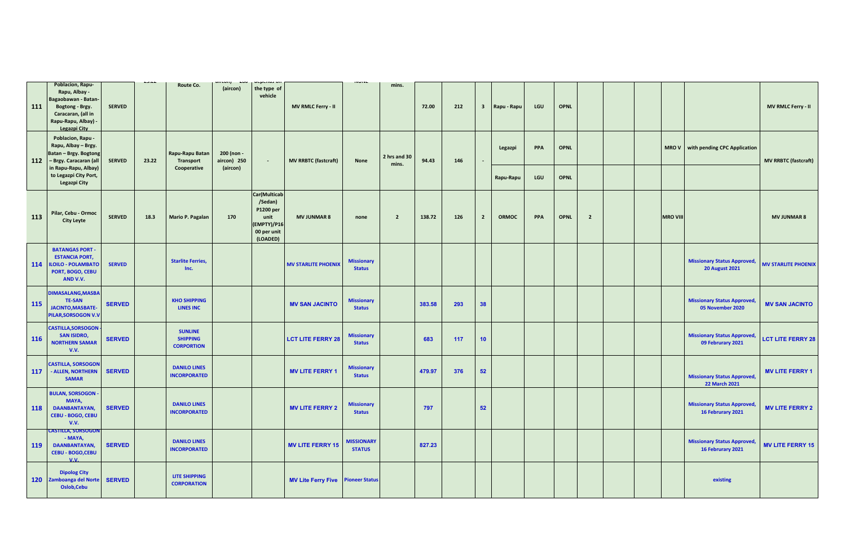|            |                                                                                                                                          |               | 1.3.1.4 |                                                        | <b>LUV</b>                            | <b>MChanna</b> All                                                                           |                                          | <b>INVINE</b>                      |                       |        |     |                         |              |            |             |                |  |                 |                                                             |                             |
|------------|------------------------------------------------------------------------------------------------------------------------------------------|---------------|---------|--------------------------------------------------------|---------------------------------------|----------------------------------------------------------------------------------------------|------------------------------------------|------------------------------------|-----------------------|--------|-----|-------------------------|--------------|------------|-------------|----------------|--|-----------------|-------------------------------------------------------------|-----------------------------|
| 111        | Poblacion, Rapu-<br>Rapu, Albay -<br>Bagaobawan - Batan-<br>Bogtong - Brgy.<br>Caracaran, (all in<br>Rapu-Rapu, Albay) -<br>Legazpi City | <b>SERVED</b> |         | Route Co.                                              | (aircon)                              | the type of<br>vehicle                                                                       | MV RMLC Ferry - II                       |                                    | mins.                 | 72.00  | 212 | $\overline{\mathbf{3}}$ | Rapu - Rapu  | LGU        | <b>OPNL</b> |                |  |                 |                                                             | <b>MV RMLC Ferry - II</b>   |
| 112        | Poblacion, Rapu -<br>Rapu, Albay - Brgy.<br>Batan - Brgy. Bogtong<br>- Brgy. Caracaran (all<br>in Rapu-Rapu, Albay)                      | <b>SERVED</b> | 23.22   | Rapu-Rapu Batan<br>Transport<br>Cooperative            | 200 (non -<br>aircon) 250<br>(aircon) | $\sim$                                                                                       | <b>MV RRBTC (fastcraft)</b>              | None                               | 2 hrs and 30<br>mins. | 94.43  | 146 | ×.                      | Legazpi      | PPA        | <b>OPNL</b> |                |  | <b>MROV</b>     | with pending CPC Application                                | <b>MV RRBTC (fastcraft)</b> |
|            | to Legazpi City Port,<br>Legazpi City                                                                                                    |               |         |                                                        |                                       |                                                                                              |                                          |                                    |                       |        |     |                         | Rapu-Rapu    | LGU        | <b>OPNL</b> |                |  |                 |                                                             |                             |
| 113        | Pilar, Cebu - Ormoc<br><b>City Leyte</b>                                                                                                 | <b>SERVED</b> | 18.3    | Mario P. Pagalan                                       | 170                                   | Car(Multicab<br>/Sedan)<br>P1200 per<br>unit<br><b>EMPTY)/P16</b><br>00 per unit<br>(LOADED) | <b>MV JUNMAR 8</b>                       | none                               | $\overline{2}$        | 138.72 | 126 | $\overline{2}$          | <b>ORMOC</b> | <b>PPA</b> | <b>OPNL</b> | $\overline{2}$ |  | <b>MRO VIII</b> |                                                             | <b>MV JUNMAR 8</b>          |
|            | <b>BATANGAS PORT -</b><br><b>ESTANCIA PORT,</b><br>114 ILOILO - POLAMBATO<br>PORT, BOGO, CEBU<br>AND V.V.                                | <b>SERVED</b> |         | <b>Starlite Ferries,</b><br>Inc.                       |                                       |                                                                                              | <b>MV STARLITE PHOENIX</b>               | <b>Missionary</b><br><b>Status</b> |                       |        |     |                         |              |            |             |                |  |                 | <b>Missionary Status Approved,</b><br><b>20 August 2021</b> | <b>MV STARLITE PHOENIX</b>  |
| 115        | <b>DIMASALANG, MASBA</b><br><b>TE-SAN</b><br><b>JACINTO, MASBATE-</b><br>PILAR, SORSOGON V.V                                             | <b>SERVED</b> |         | <b>KHO SHIPPING</b><br><b>LINES INC</b>                |                                       |                                                                                              | <b>MV SAN JACINTO</b>                    | <b>Missionary</b><br><b>Status</b> |                       | 383.58 | 293 | 38                      |              |            |             |                |  |                 | <b>Missionary Status Approved,</b><br>05 November 2020      | <b>MV SAN JACINTO</b>       |
| <b>116</b> | <b>CASTILLA, SORSOGON</b><br><b>SAN ISIDRO,</b><br><b>NORTHERN SAMAR</b><br>V.V.                                                         | <b>SERVED</b> |         | <b>SUNLINE</b><br><b>SHIPPING</b><br><b>CORPORTION</b> |                                       |                                                                                              | <b>LCT LITE FERRY 28</b>                 | <b>Missionary</b><br><b>Status</b> |                       | 683    | 117 | 10                      |              |            |             |                |  |                 | <b>Missionary Status Approved,</b><br>09 Februrary 2021     | <b>LCT LITE FERRY 28</b>    |
| 117        | <b>CASTILLA, SORSOGON</b><br><b>ALLEN, NORTHERN</b><br><b>SAMAR</b>                                                                      | <b>SERVED</b> |         | <b>DANILO LINES</b><br><b>INCORPORATED</b>             |                                       |                                                                                              | <b>MV LITE FERRY 1</b>                   | <b>Missionary</b><br><b>Status</b> |                       | 479.97 | 376 | 52                      |              |            |             |                |  |                 | <b>Missionary Status Approved,</b><br>22 March 2021         | <b>MV LITE FERRY 1</b>      |
| <b>118</b> | <b>BULAN, SORSOGON</b><br>MAYA,<br>DAANBANTAYAN,<br><b>CEBU - BOGO, CEBU</b><br>V.V.                                                     | <b>SERVED</b> |         | <b>DANILO LINES</b><br><b>INCORPORATED</b>             |                                       |                                                                                              | <b>MV LITE FERRY 2</b>                   | <b>Missionary</b><br><b>Status</b> |                       | 797    |     | 52                      |              |            |             |                |  |                 | <b>Missionary Status Approved,</b><br>16 Februrary 2021     | <b>MV LITE FERRY 2</b>      |
| 119        | <b>CASTILLA, SORSOGON</b><br>- MAYA,<br><b>DAANBANTAYAN,</b><br><b>CEBU - BOGO, CEBU</b><br>V.V.                                         | <b>SERVED</b> |         | <b>DANILO LINES</b><br><b>INCORPORATED</b>             |                                       |                                                                                              | <b>MV LITE FERRY 15</b>                  | <b>MISSIONARY</b><br><b>STATUS</b> |                       | 827.23 |     |                         |              |            |             |                |  |                 | <b>Missionary Status Approved,</b><br>16 Februrary 2021     | <b>MV LITE FERRY 15</b>     |
|            | <b>Dipolog City</b><br>120 Zamboanga del Norte<br>Oslob, Cebu                                                                            | <b>SERVED</b> |         | <b>LITE SHIPPING</b><br><b>CORPORATION</b>             |                                       |                                                                                              | <b>MV Lite Ferry Five Pioneer Status</b> |                                    |                       |        |     |                         |              |            |             |                |  |                 | existing                                                    |                             |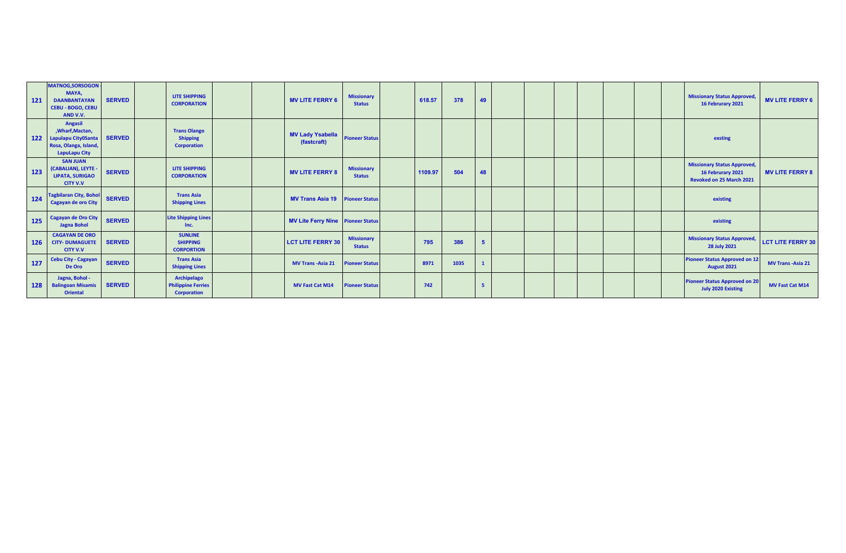| 121        | <b>MATNOG, SORSOGON</b><br>MAYA,<br><b>DAANBANTAYAN</b><br><b>CEBU - BOGO, CEBU</b><br>AND V.V.            | <b>SERVED</b> | <b>LITE SHIPPING</b><br><b>CORPORATION</b>                     |  | <b>MV LITE FERRY 6</b>                 | <b>Missionary</b><br><b>Status</b> | 618.57  | 378  | 49           |  |  |  | <b>Missionary Status Approved,</b><br>16 Februrary 2021                             | <b>MV LITE FERRY 6</b>    |
|------------|------------------------------------------------------------------------------------------------------------|---------------|----------------------------------------------------------------|--|----------------------------------------|------------------------------------|---------|------|--------------|--|--|--|-------------------------------------------------------------------------------------|---------------------------|
| 122        | <b>Angasil</b><br>, Wharf, Mactan,<br>Lapulapu City0Santa<br>Rosa, Olanga, Island,<br><b>LapuLapu City</b> | <b>SERVED</b> | <b>Trans Olango</b><br><b>Shipping</b><br><b>Corporation</b>   |  | <b>MV Lady Ysabella</b><br>(fastcraft) | <b>Pioneer Status</b>              |         |      |              |  |  |  | exsting                                                                             |                           |
| 123        | <b>SAN JUAN</b><br>(CABALIAN), LEYTE -<br><b>LIPATA, SURIGAO</b><br><b>CITY V.V</b>                        | <b>SERVED</b> | <b>LITE SHIPPING</b><br><b>CORPORATION</b>                     |  | <b>MV LITE FERRY 8</b>                 | <b>Missionary</b><br><b>Status</b> | 1109.97 | 504  | 48           |  |  |  | <b>Missionary Status Approved,</b><br>16 Februrary 2021<br>Revoked on 25 March 2021 | <b>MV LITE FERRY 8</b>    |
| 124        | <b>Tagbilaran City, Bohol</b><br><b>Cagayan de oro City</b>                                                | <b>SERVED</b> | <b>Trans Asia</b><br><b>Shipping Lines</b>                     |  | <b>MV Trans Asia 19 Pioneer Status</b> |                                    |         |      |              |  |  |  | existing                                                                            |                           |
| 125        | Cagayan de Oro City<br><b>Jagna Bohol</b>                                                                  | <b>SERVED</b> | <b>Lite Shipping Lines</b><br>Inc.                             |  | MV Lite Ferry Nine Pioneer Status      |                                    |         |      |              |  |  |  | existing                                                                            |                           |
| <b>126</b> | <b>CAGAYAN DE ORO</b><br><b>CITY- DUMAGUETE</b><br><b>CITY V.V</b>                                         | <b>SERVED</b> | <b>SUNLINE</b><br><b>SHIPPING</b><br><b>CORPORTION</b>         |  | <b>LCT LITE FERRY 30</b>               | <b>Missionary</b><br><b>Status</b> | 795     | 386  | 5            |  |  |  | <b>Missionary Status Approved,</b><br>28 July 2021                                  | <b>LCT LITE FERRY 30</b>  |
| $127$      | <b>Cebu City - Cagayan</b><br>De Oro                                                                       | <b>SERVED</b> | <b>Trans Asia</b><br><b>Shipping Lines</b>                     |  | <b>MV Trans - Asia 21</b>              | <b>Pioneer Status</b>              | 8971    | 1035 | $\mathbf{1}$ |  |  |  | <b>Pioneer Status Approved on 12</b><br>August 2021                                 | <b>MV Trans - Asia 21</b> |
| 128        | Jagna, Bohol -<br><b>Balingoan Misamis</b><br><b>Oriental</b>                                              | <b>SERVED</b> | Archipelago<br><b>Philippine Ferries</b><br><b>Corporation</b> |  | <b>MV Fast Cat M14</b>                 | <b>Pioneer Status</b>              | 742     |      | 5            |  |  |  | <b>Pioneer Status Approved on 20</b><br><b>July 2020 Existing</b>                   | MV Fast Cat M14           |